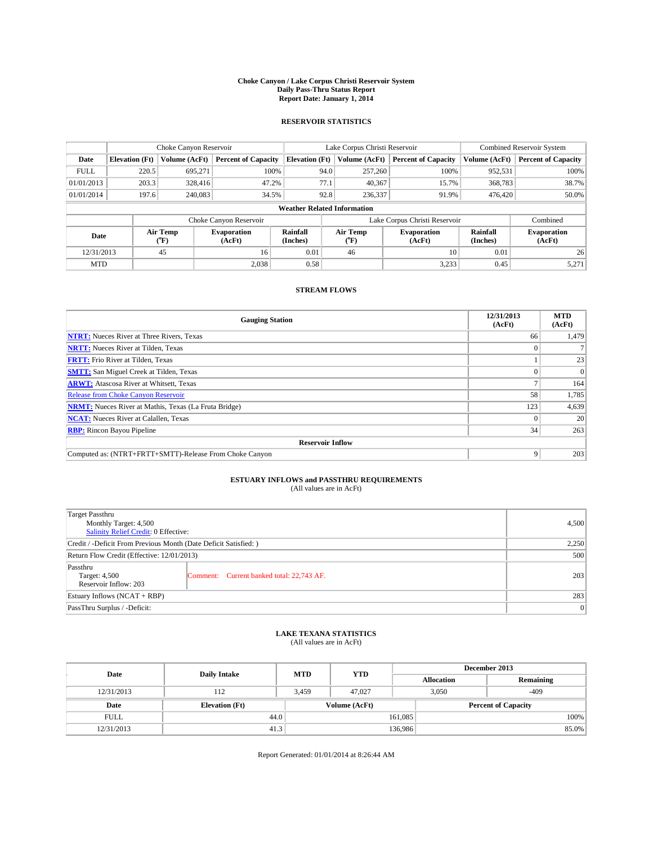#### **Choke Canyon / Lake Corpus Christi Reservoir System Daily Pass-Thru Status Report Report Date: January 1, 2014**

### **RESERVOIR STATISTICS**

|                          | Choke Canyon Reservoir |                              |                            |                                    | Lake Corpus Christi Reservoir | Combined Reservoir System                   |                              |                                             |
|--------------------------|------------------------|------------------------------|----------------------------|------------------------------------|-------------------------------|---------------------------------------------|------------------------------|---------------------------------------------|
| Date                     | <b>Elevation</b> (Ft)  | Volume (AcFt)                | <b>Percent of Capacity</b> | <b>Elevation (Ft)</b>              |                               | <b>Percent of Capacity</b><br>Volume (AcFt) |                              | <b>Percent of Capacity</b><br>Volume (AcFt) |
| <b>FULL</b>              | 220.5                  | 695.271                      | 100%                       | 94.0                               | 257,260                       | 100%                                        | 952,531                      | 100%                                        |
| 01/01/2013               | 203.3                  | 328,416                      | 47.2%                      | 77.1                               | 40,367                        | 15.7%                                       | 368,783                      | 38.7%                                       |
| 01/01/2014               | 197.6                  | 240,083                      | 34.5%                      | 92.8                               | 236,337                       | 91.9%                                       | 476,420                      | 50.0%                                       |
|                          |                        |                              |                            | <b>Weather Related Information</b> |                               |                                             |                              |                                             |
|                          |                        |                              | Choke Canyon Reservoir     |                                    |                               | Lake Corpus Christi Reservoir               |                              | Combined                                    |
| Air Temp<br>Date<br>(°F) |                        | <b>Evaporation</b><br>(AcFt) | Rainfall<br>(Inches)       | Air Temp<br>$(^{0}F)$              | <b>Evaporation</b><br>(AcFt)  | Rainfall<br>(Inches)                        | <b>Evaporation</b><br>(AcFt) |                                             |
| 12/31/2013               |                        | 45                           | 16                         | 0.01                               | 46                            | 10                                          | 0.01                         | 26                                          |
| <b>MTD</b>               |                        |                              | 2.038                      | 0.58                               |                               | 3,233                                       | 0.45                         | 5,271                                       |

### **STREAM FLOWS**

| <b>Gauging Station</b>                                       | 12/31/2013<br>(AcFt) | <b>MTD</b><br>(AcFt) |  |  |  |
|--------------------------------------------------------------|----------------------|----------------------|--|--|--|
| <b>NTRT:</b> Nueces River at Three Rivers, Texas             | 66                   | 1,479                |  |  |  |
| <b>NRTT:</b> Nueces River at Tilden, Texas                   |                      |                      |  |  |  |
| <b>FRTT:</b> Frio River at Tilden, Texas                     |                      | 23                   |  |  |  |
| <b>SMTT:</b> San Miguel Creek at Tilden, Texas               |                      | $\Omega$             |  |  |  |
| <b>ARWT:</b> Atascosa River at Whitsett, Texas               |                      | 164                  |  |  |  |
| <b>Release from Choke Canyon Reservoir</b>                   | 58                   | 1,785                |  |  |  |
| <b>NRMT:</b> Nueces River at Mathis, Texas (La Fruta Bridge) | 123                  | 4,639                |  |  |  |
| <b>NCAT:</b> Nueces River at Calallen, Texas                 |                      | 20                   |  |  |  |
| <b>RBP:</b> Rincon Bayou Pipeline                            | 34                   | 263                  |  |  |  |
| <b>Reservoir Inflow</b>                                      |                      |                      |  |  |  |
| Computed as: (NTRT+FRTT+SMTT)-Release From Choke Canyon      | 9                    | 203                  |  |  |  |

# **ESTUARY INFLOWS and PASSTHRU REQUIREMENTS**<br>(All values are in AcFt)

| Target Passthru                                                  |                                           |     |
|------------------------------------------------------------------|-------------------------------------------|-----|
| Monthly Target: 4,500<br>Salinity Relief Credit: 0 Effective:    | 4,500                                     |     |
| Credit / -Deficit From Previous Month (Date Deficit Satisfied: ) | 2,250                                     |     |
| Return Flow Credit (Effective: 12/01/2013)                       | 500                                       |     |
| Passthru<br>Target: 4,500<br>Reservoir Inflow: 203               | Comment: Current banked total: 22,743 AF. | 203 |
| Estuary Inflows (NCAT + RBP)                                     | 283                                       |     |
| PassThru Surplus / -Deficit:                                     | 0                                         |     |

# **LAKE TEXANA STATISTICS** (All values are in AcFt)

| Date        | <b>Daily Intake</b>   | <b>MTD</b>    | <b>YTD</b> | December 2013 |                            |           |  |
|-------------|-----------------------|---------------|------------|---------------|----------------------------|-----------|--|
|             |                       |               |            |               | <b>Allocation</b>          | Remaining |  |
| 12/31/2013  | 112                   | 3.459         | 47,027     |               | 3,050<br>$-409$            |           |  |
| Date        | <b>Elevation</b> (Ft) | Volume (AcFt) |            |               | <b>Percent of Capacity</b> |           |  |
| <b>FULL</b> | 44.0                  |               |            | 161,085       |                            | 100%      |  |
| 12/31/2013  | 41.3                  |               |            | 136,986       |                            | 85.0%     |  |

Report Generated: 01/01/2014 at 8:26:44 AM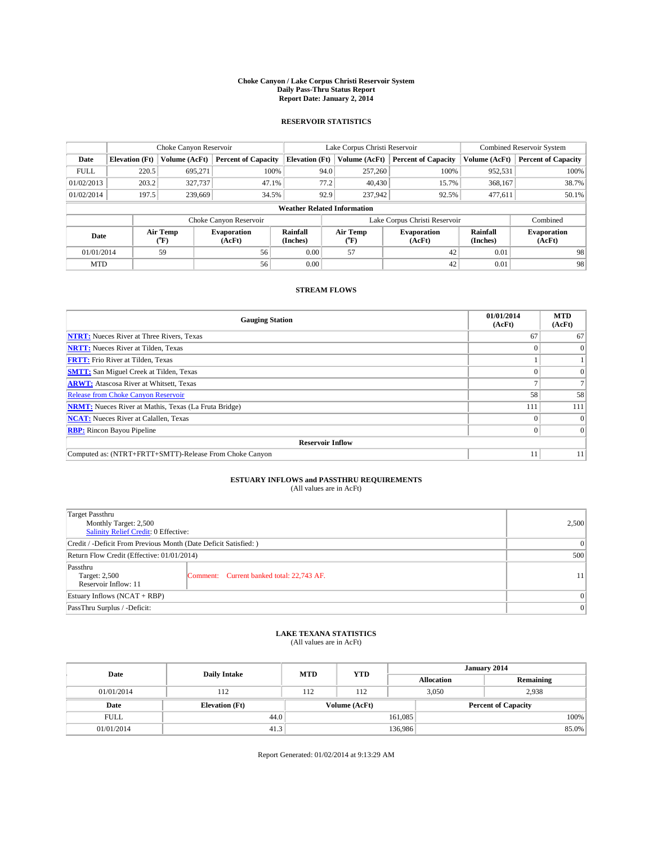#### **Choke Canyon / Lake Corpus Christi Reservoir System Daily Pass-Thru Status Report Report Date: January 2, 2014**

### **RESERVOIR STATISTICS**

|             | Choke Canyon Reservoir             |                  |                              |                       | Lake Corpus Christi Reservoir | <b>Combined Reservoir System</b> |                      |                              |  |
|-------------|------------------------------------|------------------|------------------------------|-----------------------|-------------------------------|----------------------------------|----------------------|------------------------------|--|
| Date        | <b>Elevation</b> (Ft)              | Volume (AcFt)    | <b>Percent of Capacity</b>   | <b>Elevation (Ft)</b> | Volume (AcFt)                 | <b>Percent of Capacity</b>       | Volume (AcFt)        | <b>Percent of Capacity</b>   |  |
| <b>FULL</b> | 220.5                              | 695.271          | 100%                         | 94.0                  | 257,260                       | 100%                             | 952,531              | 100%                         |  |
| 01/02/2013  | 203.2                              | 327,737          | 47.1%                        | 77.2                  | 40,430                        | 15.7%                            | 368,167              | 38.7%                        |  |
| 01/02/2014  | 197.5                              | 239,669          | 34.5%                        | 92.9                  | 237,942                       | 92.5%                            | 477.611              | $50.1\%$                     |  |
|             | <b>Weather Related Information</b> |                  |                              |                       |                               |                                  |                      |                              |  |
|             |                                    |                  | Choke Canyon Reservoir       |                       |                               | Lake Corpus Christi Reservoir    |                      | Combined                     |  |
| Date        |                                    | Air Temp<br>(°F) | <b>Evaporation</b><br>(AcFt) | Rainfall<br>(Inches)  | Air Temp<br>(°F)              | <b>Evaporation</b><br>(AcFt)     | Rainfall<br>(Inches) | <b>Evaporation</b><br>(AcFt) |  |
| 01/01/2014  |                                    | 59               | 56                           | 0.00                  | 57                            | 42                               | 0.01                 | 98                           |  |
| <b>MTD</b>  |                                    |                  | 56                           | 0.00                  |                               | 42                               | 0.01                 | 98                           |  |

### **STREAM FLOWS**

| <b>Gauging Station</b>                                       | 01/01/2014<br>(AcFt) | <b>MTD</b><br>(AcFt) |  |  |  |  |
|--------------------------------------------------------------|----------------------|----------------------|--|--|--|--|
| <b>NTRT:</b> Nueces River at Three Rivers, Texas             | 67                   | 67                   |  |  |  |  |
| <b>NRTT:</b> Nueces River at Tilden, Texas                   |                      | $\Omega$             |  |  |  |  |
| <b>FRTT:</b> Frio River at Tilden, Texas                     |                      |                      |  |  |  |  |
| <b>SMTT:</b> San Miguel Creek at Tilden, Texas               |                      | $\Omega$             |  |  |  |  |
| <b>ARWT:</b> Atascosa River at Whitsett, Texas               |                      |                      |  |  |  |  |
| <b>Release from Choke Canyon Reservoir</b>                   | 58                   | 58                   |  |  |  |  |
| <b>NRMT:</b> Nueces River at Mathis, Texas (La Fruta Bridge) | 111                  | 111                  |  |  |  |  |
| <b>NCAT:</b> Nueces River at Calallen, Texas                 |                      | $\Omega$             |  |  |  |  |
| <b>RBP:</b> Rincon Bayou Pipeline                            |                      | $\Omega$             |  |  |  |  |
| <b>Reservoir Inflow</b>                                      |                      |                      |  |  |  |  |
| Computed as: (NTRT+FRTT+SMTT)-Release From Choke Canyon      |                      | 11                   |  |  |  |  |

# **ESTUARY INFLOWS and PASSTHRU REQUIREMENTS**<br>(All values are in AcFt)

| Target Passthru<br>Monthly Target: 2,500<br>Salinity Relief Credit: 0 Effective: | 2,500                                     |    |
|----------------------------------------------------------------------------------|-------------------------------------------|----|
| Credit / -Deficit From Previous Month (Date Deficit Satisfied: )                 | 0                                         |    |
| Return Flow Credit (Effective: 01/01/2014)                                       | 500                                       |    |
| Passthru<br>Target: 2,500<br>Reservoir Inflow: 11                                | Comment: Current banked total: 22,743 AF. | 11 |
| Estuary Inflows (NCAT + RBP)                                                     | $\Omega$                                  |    |
| PassThru Surplus / -Deficit:                                                     | 0                                         |    |

## **LAKE TEXANA STATISTICS** (All values are in AcFt)

| Date        | <b>Daily Intake</b>   | <b>MTD</b>    | <b>YTD</b> | January 2014               |                   |           |  |
|-------------|-----------------------|---------------|------------|----------------------------|-------------------|-----------|--|
|             |                       |               |            |                            | <b>Allocation</b> | Remaining |  |
| 01/01/2014  | 112                   | 112           | 112        |                            | 3,050<br>2,938    |           |  |
| Date        | <b>Elevation</b> (Ft) | Volume (AcFt) |            | <b>Percent of Capacity</b> |                   |           |  |
| <b>FULL</b> | 44.0                  |               |            | 161,085                    |                   | 100%      |  |
| 01/01/2014  | 41.3                  |               |            | 136,986                    |                   | 85.0%     |  |

Report Generated: 01/02/2014 at 9:13:29 AM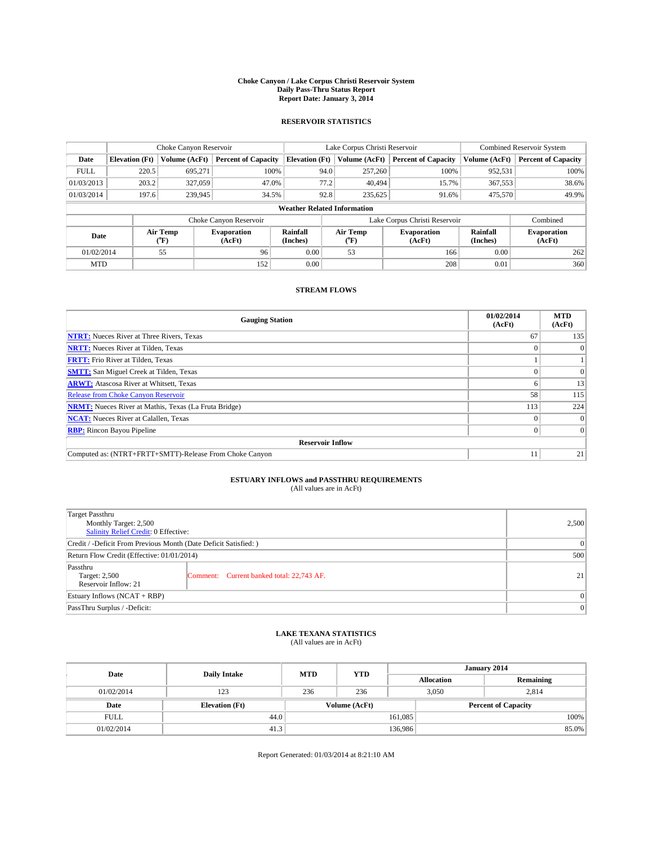#### **Choke Canyon / Lake Corpus Christi Reservoir System Daily Pass-Thru Status Report Report Date: January 3, 2014**

### **RESERVOIR STATISTICS**

|             | Choke Canyon Reservoir |                  |                              |                                    | Lake Corpus Christi Reservoir | <b>Combined Reservoir System</b> |                      |                              |
|-------------|------------------------|------------------|------------------------------|------------------------------------|-------------------------------|----------------------------------|----------------------|------------------------------|
| Date        | <b>Elevation</b> (Ft)  | Volume (AcFt)    | <b>Percent of Capacity</b>   | <b>Elevation (Ft)</b>              | Volume (AcFt)                 | <b>Percent of Capacity</b>       | Volume (AcFt)        | Percent of Capacity          |
| <b>FULL</b> | 220.5                  | 695.271          | 100%                         | 94.0                               | 257,260                       | 100%                             | 952,531              | 100%                         |
| 01/03/2013  | 203.2                  | 327,059          | 47.0%                        | 77.2                               | 40.494                        | 15.7%                            | 367,553              | 38.6%                        |
| 01/03/2014  | 197.6                  | 239,945          | 34.5%                        | 92.8                               | 235,625                       | 91.6%                            | 475,570              | 49.9%                        |
|             |                        |                  |                              | <b>Weather Related Information</b> |                               |                                  |                      |                              |
|             |                        |                  | Choke Canyon Reservoir       |                                    |                               | Lake Corpus Christi Reservoir    |                      | Combined                     |
| Date        |                        | Air Temp<br>(°F) | <b>Evaporation</b><br>(AcFt) | Rainfall<br>(Inches)               | Air Temp<br>(°F)              | <b>Evaporation</b><br>(AcFt)     | Rainfall<br>(Inches) | <b>Evaporation</b><br>(AcFt) |
| 01/02/2014  |                        | 55               | 96                           | 0.00                               | 53                            | 166                              | 0.00                 | 262                          |
| <b>MTD</b>  |                        |                  | 152                          | 0.00                               |                               | 208                              | 0.01                 | 360                          |

### **STREAM FLOWS**

| <b>Gauging Station</b>                                       | 01/02/2014<br>(AcFt) | <b>MTD</b><br>(AcFt) |  |  |  |  |
|--------------------------------------------------------------|----------------------|----------------------|--|--|--|--|
| <b>NTRT:</b> Nueces River at Three Rivers, Texas             | 67                   | 135                  |  |  |  |  |
| <b>NRTT:</b> Nueces River at Tilden, Texas                   |                      |                      |  |  |  |  |
| <b>FRTT:</b> Frio River at Tilden, Texas                     |                      |                      |  |  |  |  |
| <b>SMTT:</b> San Miguel Creek at Tilden, Texas               |                      | $\Omega$             |  |  |  |  |
| <b>ARWT:</b> Atascosa River at Whitsett, Texas               |                      | 13                   |  |  |  |  |
| <b>Release from Choke Canyon Reservoir</b>                   | 58                   | 115                  |  |  |  |  |
| <b>NRMT:</b> Nueces River at Mathis, Texas (La Fruta Bridge) | 113                  | 224                  |  |  |  |  |
| <b>NCAT:</b> Nueces River at Calallen, Texas                 |                      | $\Omega$             |  |  |  |  |
| <b>RBP:</b> Rincon Bayou Pipeline                            |                      | $\Omega$             |  |  |  |  |
| <b>Reservoir Inflow</b>                                      |                      |                      |  |  |  |  |
| Computed as: (NTRT+FRTT+SMTT)-Release From Choke Canyon      |                      | 21                   |  |  |  |  |

# **ESTUARY INFLOWS and PASSTHRU REQUIREMENTS**<br>(All values are in AcFt)

| Target Passthru<br>Monthly Target: 2,500<br>Salinity Relief Credit: 0 Effective: | 2,500                                     |    |  |
|----------------------------------------------------------------------------------|-------------------------------------------|----|--|
| Credit / -Deficit From Previous Month (Date Deficit Satisfied: )                 | 0                                         |    |  |
| Return Flow Credit (Effective: 01/01/2014)                                       |                                           |    |  |
| Passthru<br>Target: 2,500<br>Reservoir Inflow: 21                                | Comment: Current banked total: 22,743 AF. | 21 |  |
| Estuary Inflows (NCAT + RBP)                                                     | $\Omega$                                  |    |  |
| PassThru Surplus / -Deficit:                                                     | 0                                         |    |  |

## **LAKE TEXANA STATISTICS** (All values are in AcFt)

| Date        |                       | <b>MTD</b> | <b>YTD</b>    | January 2014      |                            |           |  |
|-------------|-----------------------|------------|---------------|-------------------|----------------------------|-----------|--|
|             | <b>Daily Intake</b>   |            |               | <b>Allocation</b> |                            | Remaining |  |
| 01/02/2014  | 123                   | 236        | 236           |                   | 3.050<br>2,814             |           |  |
| Date        | <b>Elevation</b> (Ft) |            | Volume (AcFt) |                   | <b>Percent of Capacity</b> |           |  |
| <b>FULL</b> | 44.0                  |            |               | 161,085           |                            | 100%      |  |
| 01/02/2014  | 41.3                  |            |               | 136,986           |                            | 85.0%     |  |

Report Generated: 01/03/2014 at 8:21:10 AM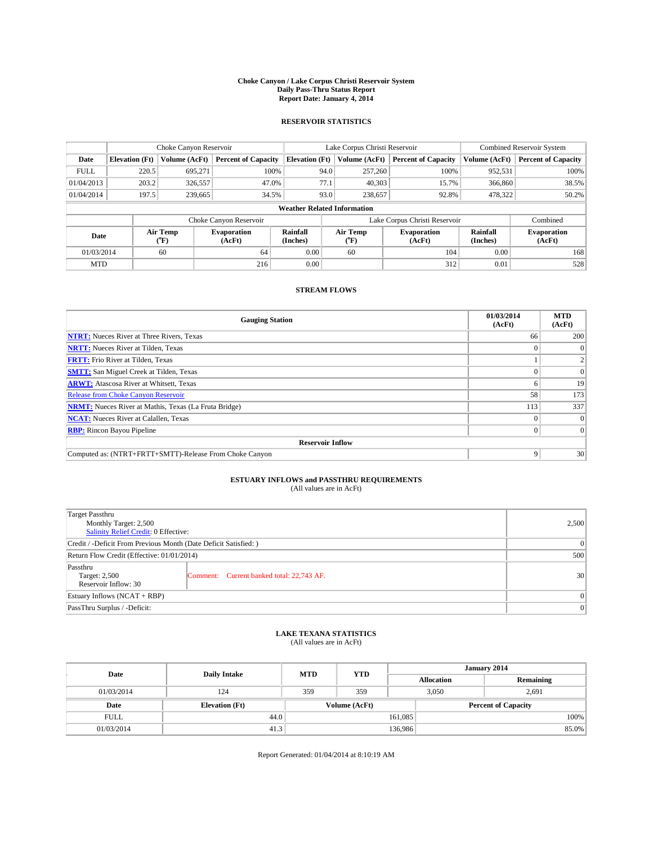#### **Choke Canyon / Lake Corpus Christi Reservoir System Daily Pass-Thru Status Report Report Date: January 4, 2014**

### **RESERVOIR STATISTICS**

|             | Choke Canyon Reservoir             |                  | Lake Corpus Christi Reservoir |                       |                  |         | <b>Combined Reservoir System</b> |                      |                              |
|-------------|------------------------------------|------------------|-------------------------------|-----------------------|------------------|---------|----------------------------------|----------------------|------------------------------|
| Date        | <b>Elevation</b> (Ft)              | Volume (AcFt)    | <b>Percent of Capacity</b>    | <b>Elevation (Ft)</b> | Volume (AcFt)    |         | <b>Percent of Capacity</b>       | Volume (AcFt)        | Percent of Capacity          |
| <b>FULL</b> | 220.5                              | 695,271          | 100%                          |                       | 94.0             | 257,260 | 100%                             | 952,531              | 100%                         |
| 01/04/2013  | 203.2                              | 326,557          | 47.0%                         | 77.1                  |                  | 40,303  | 15.7%                            | 366,860              | 38.5%                        |
| 01/04/2014  | 197.5                              | 239,665          | 34.5%                         |                       | 93.0             | 238,657 | 92.8%                            | 478,322              | $50.2\%$                     |
|             | <b>Weather Related Information</b> |                  |                               |                       |                  |         |                                  |                      |                              |
|             |                                    |                  | Choke Canyon Reservoir        |                       |                  |         | Lake Corpus Christi Reservoir    |                      | Combined                     |
| Date        |                                    | Air Temp<br>(°F) | <b>Evaporation</b><br>(AcFt)  | Rainfall<br>(Inches)  | Air Temp<br>("F) |         | <b>Evaporation</b><br>(AcFt)     | Rainfall<br>(Inches) | <b>Evaporation</b><br>(AcFt) |
| 01/03/2014  |                                    | 60               | 64                            | 0.00                  | 60               |         | 104                              | 0.00                 | 168                          |
| <b>MTD</b>  |                                    |                  | 216                           | 0.00                  |                  |         | 312                              | 0.01                 | 528                          |

### **STREAM FLOWS**

| <b>Gauging Station</b>                                       | 01/03/2014<br>(AcFt) | <b>MTD</b><br>(AcFt) |  |  |  |  |
|--------------------------------------------------------------|----------------------|----------------------|--|--|--|--|
| <b>NTRT:</b> Nueces River at Three Rivers, Texas             | 66                   | 200                  |  |  |  |  |
| <b>NRTT:</b> Nueces River at Tilden, Texas                   |                      |                      |  |  |  |  |
| <b>FRTT:</b> Frio River at Tilden, Texas                     |                      |                      |  |  |  |  |
| <b>SMTT:</b> San Miguel Creek at Tilden, Texas               |                      | $\Omega$             |  |  |  |  |
| <b>ARWT:</b> Atascosa River at Whitsett, Texas               |                      | 19                   |  |  |  |  |
| <b>Release from Choke Canyon Reservoir</b>                   | 58                   | 173                  |  |  |  |  |
| <b>NRMT:</b> Nueces River at Mathis, Texas (La Fruta Bridge) | 113                  | 337                  |  |  |  |  |
| <b>NCAT:</b> Nueces River at Calallen, Texas                 |                      | $\Omega$             |  |  |  |  |
| <b>RBP:</b> Rincon Bayou Pipeline                            |                      | $\Omega$             |  |  |  |  |
| <b>Reservoir Inflow</b>                                      |                      |                      |  |  |  |  |
| Computed as: (NTRT+FRTT+SMTT)-Release From Choke Canyon      | 9                    | 30 <sup>1</sup>      |  |  |  |  |

# **ESTUARY INFLOWS and PASSTHRU REQUIREMENTS**<br>(All values are in AcFt)

| <b>Target Passthru</b><br>Monthly Target: 2,500<br>Salinity Relief Credit: 0 Effective: |                                           |                 |  |  |
|-----------------------------------------------------------------------------------------|-------------------------------------------|-----------------|--|--|
| Credit / -Deficit From Previous Month (Date Deficit Satisfied: )                        |                                           |                 |  |  |
| Return Flow Credit (Effective: 01/01/2014)                                              |                                           |                 |  |  |
| Passthru<br>Target: 2,500<br>Reservoir Inflow: 30                                       | Comment: Current banked total: 22,743 AF. | 30 <sup>1</sup> |  |  |
| Estuary Inflows (NCAT + RBP)                                                            |                                           |                 |  |  |
| PassThru Surplus / -Deficit:                                                            | 0                                         |                 |  |  |

## **LAKE TEXANA STATISTICS** (All values are in AcFt)

| Date        |                       | <b>MTD</b> | <b>YTD</b>    | January 2014 |                            |           |  |
|-------------|-----------------------|------------|---------------|--------------|----------------------------|-----------|--|
|             | <b>Daily Intake</b>   |            |               |              | <b>Allocation</b>          | Remaining |  |
| 01/03/2014  | 124                   | 359        | 359           |              | 3,050<br>2,691             |           |  |
| Date        | <b>Elevation</b> (Ft) |            | Volume (AcFt) |              | <b>Percent of Capacity</b> |           |  |
| <b>FULL</b> | 44.0                  |            |               | 161,085      |                            | 100%      |  |
| 01/03/2014  | 41.3                  | 136,986    |               |              | 85.0%                      |           |  |

Report Generated: 01/04/2014 at 8:10:19 AM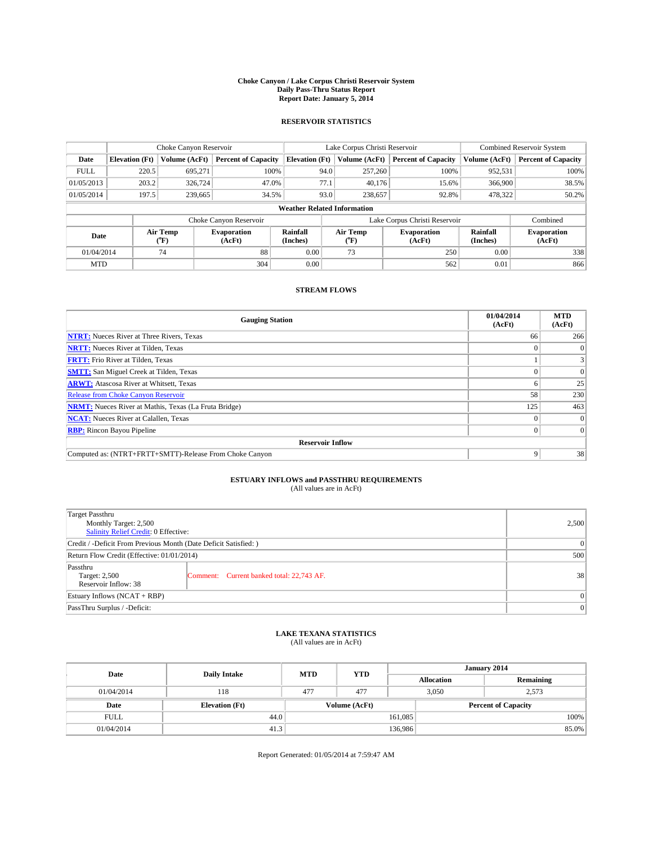#### **Choke Canyon / Lake Corpus Christi Reservoir System Daily Pass-Thru Status Report Report Date: January 5, 2014**

### **RESERVOIR STATISTICS**

|             |                                    | Choke Canyon Reservoir |                              |                       | Lake Corpus Christi Reservoir | <b>Combined Reservoir System</b> |                      |                              |  |
|-------------|------------------------------------|------------------------|------------------------------|-----------------------|-------------------------------|----------------------------------|----------------------|------------------------------|--|
| Date        | <b>Elevation</b> (Ft)              | Volume (AcFt)          | <b>Percent of Capacity</b>   | <b>Elevation (Ft)</b> | Volume (AcFt)                 | <b>Percent of Capacity</b>       | Volume (AcFt)        | Percent of Capacity          |  |
| <b>FULL</b> | 220.5                              | 695,271                | 100%                         |                       | 94.0<br>257,260               | 100%                             | 952,531              | 100%                         |  |
| 01/05/2013  | 203.2                              | 326,724                | 47.0%                        | 77.1                  | 40.176                        | 15.6%                            | 366,900              | 38.5%                        |  |
| 01/05/2014  | 197.5                              | 239,665                | 34.5%                        |                       | 93.0<br>238,657               | 92.8%                            | 478,322              | $50.2\%$                     |  |
|             | <b>Weather Related Information</b> |                        |                              |                       |                               |                                  |                      |                              |  |
|             |                                    |                        | Choke Canyon Reservoir       |                       |                               | Lake Corpus Christi Reservoir    |                      | Combined                     |  |
| Date        |                                    | Air Temp<br>(°F)       | <b>Evaporation</b><br>(AcFt) | Rainfall<br>(Inches)  | Air Temp<br>("F)              | <b>Evaporation</b><br>(AcFt)     | Rainfall<br>(Inches) | <b>Evaporation</b><br>(AcFt) |  |
| 01/04/2014  |                                    | 74                     | 88                           | 0.00                  | 73                            | 250                              | 0.00                 | 338                          |  |
| <b>MTD</b>  |                                    |                        | 304                          | 0.00                  |                               | 562                              | 0.01                 | 866                          |  |

### **STREAM FLOWS**

| <b>Gauging Station</b>                                       | 01/04/2014<br>(AcFt) | <b>MTD</b><br>(AcFt) |  |  |  |  |
|--------------------------------------------------------------|----------------------|----------------------|--|--|--|--|
| <b>NTRT:</b> Nueces River at Three Rivers, Texas             | 66                   | 266                  |  |  |  |  |
| <b>NRTT:</b> Nueces River at Tilden, Texas                   |                      |                      |  |  |  |  |
| <b>FRTT:</b> Frio River at Tilden, Texas                     |                      |                      |  |  |  |  |
| <b>SMTT:</b> San Miguel Creek at Tilden, Texas               |                      | $\Omega$             |  |  |  |  |
| <b>ARWT:</b> Atascosa River at Whitsett, Texas               |                      | 25                   |  |  |  |  |
| <b>Release from Choke Canyon Reservoir</b>                   | 58                   | 230                  |  |  |  |  |
| <b>NRMT:</b> Nueces River at Mathis, Texas (La Fruta Bridge) | 125                  | 463                  |  |  |  |  |
| <b>NCAT:</b> Nueces River at Calallen, Texas                 |                      | $\Omega$             |  |  |  |  |
| <b>RBP:</b> Rincon Bayou Pipeline                            | 0                    | $\Omega$             |  |  |  |  |
| <b>Reservoir Inflow</b>                                      |                      |                      |  |  |  |  |
| Computed as: (NTRT+FRTT+SMTT)-Release From Choke Canyon      | 9                    | 38                   |  |  |  |  |

# **ESTUARY INFLOWS and PASSTHRU REQUIREMENTS**<br>(All values are in AcFt)

| Target Passthru<br>Monthly Target: 2,500<br>Salinity Relief Credit: 0 Effective: |                                           |    |  |  |
|----------------------------------------------------------------------------------|-------------------------------------------|----|--|--|
| Credit / -Deficit From Previous Month (Date Deficit Satisfied: )                 |                                           |    |  |  |
| Return Flow Credit (Effective: 01/01/2014)                                       |                                           |    |  |  |
| Passthru<br>Target: 2,500<br>Reservoir Inflow: 38                                | Comment: Current banked total: 22,743 AF. | 38 |  |  |
| Estuary Inflows (NCAT + RBP)                                                     |                                           |    |  |  |
| PassThru Surplus / -Deficit:                                                     | 0                                         |    |  |  |

## **LAKE TEXANA STATISTICS** (All values are in AcFt)

| Date        |                       | <b>MTD</b> | <b>YTD</b>    | January 2014 |                            |           |  |
|-------------|-----------------------|------------|---------------|--------------|----------------------------|-----------|--|
|             | <b>Daily Intake</b>   |            |               |              | <b>Allocation</b>          | Remaining |  |
| 01/04/2014  | 118                   | 477        | 477           |              | 3.050<br>2,573             |           |  |
| Date        | <b>Elevation</b> (Ft) |            | Volume (AcFt) |              | <b>Percent of Capacity</b> |           |  |
| <b>FULL</b> | 44.0                  |            |               | 161,085      |                            | 100%      |  |
| 01/04/2014  | 41.3                  |            |               | 136,986      |                            | 85.0%     |  |

Report Generated: 01/05/2014 at 7:59:47 AM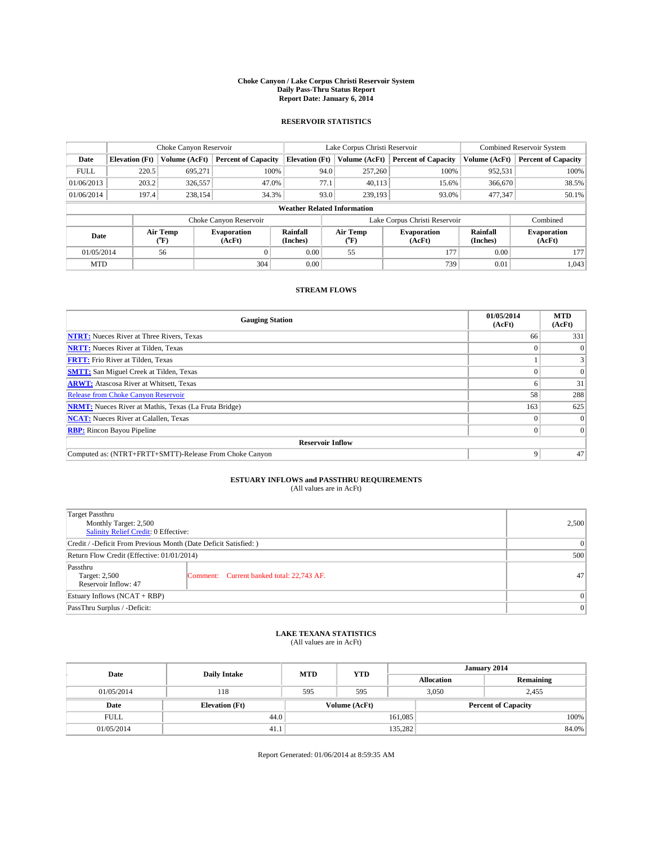#### **Choke Canyon / Lake Corpus Christi Reservoir System Daily Pass-Thru Status Report Report Date: January 6, 2014**

### **RESERVOIR STATISTICS**

|             |                                    | Choke Canyon Reservoir |                              |                       | Lake Corpus Christi Reservoir | Combined Reservoir System     |                      |                              |  |
|-------------|------------------------------------|------------------------|------------------------------|-----------------------|-------------------------------|-------------------------------|----------------------|------------------------------|--|
| Date        | <b>Elevation</b> (Ft)              | Volume (AcFt)          | <b>Percent of Capacity</b>   | <b>Elevation (Ft)</b> | Volume (AcFt)                 | <b>Percent of Capacity</b>    | Volume (AcFt)        | <b>Percent of Capacity</b>   |  |
| <b>FULL</b> | 220.5                              | 695.271                | 100%                         | 94.0                  | 257,260                       | 100%                          | 952,531              | 100%                         |  |
| 01/06/2013  | 203.2                              | 326,557                | 47.0%                        | 77.1                  | 40,113                        | 15.6%                         | 366,670              | 38.5%                        |  |
| 01/06/2014  | 197.4                              | 238,154                | 34.3%                        | 93.0                  | 239.193                       | 93.0%                         | 477,347              | 50.1%                        |  |
|             | <b>Weather Related Information</b> |                        |                              |                       |                               |                               |                      |                              |  |
|             |                                    |                        | Choke Canyon Reservoir       |                       |                               | Lake Corpus Christi Reservoir |                      | Combined                     |  |
| Date        |                                    | Air Temp<br>(°F)       | <b>Evaporation</b><br>(AcFt) | Rainfall<br>(Inches)  | Air Temp<br>$(^{0}F)$         | Evaporation<br>(AcFt)         | Rainfall<br>(Inches) | <b>Evaporation</b><br>(AcFt) |  |
| 01/05/2014  |                                    | 56                     | $\Omega$                     | 0.00                  | 55                            | 177                           | 0.00                 | 177                          |  |
| <b>MTD</b>  |                                    |                        | 304                          | 0.00                  |                               | 739                           | 0.01                 | 1,043                        |  |

### **STREAM FLOWS**

| <b>Gauging Station</b>                                       | 01/05/2014<br>(AcFt) | <b>MTD</b><br>(AcFt) |  |  |  |  |
|--------------------------------------------------------------|----------------------|----------------------|--|--|--|--|
| <b>NTRT:</b> Nueces River at Three Rivers, Texas             | 66                   | 331                  |  |  |  |  |
| <b>NRTT:</b> Nueces River at Tilden, Texas                   |                      | $\theta$             |  |  |  |  |
| <b>FRTT:</b> Frio River at Tilden, Texas                     |                      |                      |  |  |  |  |
| <b>SMTT:</b> San Miguel Creek at Tilden, Texas               |                      | $\Omega$             |  |  |  |  |
| <b>ARWT:</b> Atascosa River at Whitsett, Texas               |                      | 31                   |  |  |  |  |
| <b>Release from Choke Canyon Reservoir</b>                   | 58                   | 288                  |  |  |  |  |
| <b>NRMT:</b> Nueces River at Mathis, Texas (La Fruta Bridge) | 163                  | 625                  |  |  |  |  |
| <b>NCAT:</b> Nueces River at Calallen, Texas                 |                      | $\Omega$             |  |  |  |  |
| <b>RBP:</b> Rincon Bayou Pipeline                            | 0                    | $\Omega$             |  |  |  |  |
| <b>Reservoir Inflow</b>                                      |                      |                      |  |  |  |  |
| Computed as: (NTRT+FRTT+SMTT)-Release From Choke Canyon      | 9                    | 47                   |  |  |  |  |

# **ESTUARY INFLOWS and PASSTHRU REQUIREMENTS**<br>(All values are in AcFt)

| Target Passthru                                                  |                                           |    |  |  |  |
|------------------------------------------------------------------|-------------------------------------------|----|--|--|--|
| Monthly Target: 2,500                                            | 2,500                                     |    |  |  |  |
| Salinity Relief Credit: 0 Effective:                             |                                           |    |  |  |  |
| Credit / -Deficit From Previous Month (Date Deficit Satisfied: ) | 0                                         |    |  |  |  |
| Return Flow Credit (Effective: 01/01/2014)                       | 500                                       |    |  |  |  |
| Passthru                                                         |                                           |    |  |  |  |
| Target: 2,500                                                    | Comment: Current banked total: 22,743 AF. | 47 |  |  |  |
| Reservoir Inflow: 47                                             |                                           |    |  |  |  |
| Estuary Inflows (NCAT + RBP)                                     | $\Omega$                                  |    |  |  |  |
| PassThru Surplus / -Deficit:                                     | 0                                         |    |  |  |  |

## **LAKE TEXANA STATISTICS** (All values are in AcFt)

| Date        | <b>Daily Intake</b>   | <b>MTD</b> | <b>YTD</b>    | January 2014 |                            |           |  |
|-------------|-----------------------|------------|---------------|--------------|----------------------------|-----------|--|
|             |                       |            |               |              | <b>Allocation</b>          | Remaining |  |
| 01/05/2014  | 118                   | 595        | 595           |              | 3,050<br>2,455             |           |  |
| Date        | <b>Elevation</b> (Ft) |            | Volume (AcFt) |              | <b>Percent of Capacity</b> |           |  |
| <b>FULL</b> | 44.0                  |            |               | 161,085      |                            | 100%      |  |
| 01/05/2014  | 41.1                  |            |               | 135,282      |                            | 84.0%     |  |

Report Generated: 01/06/2014 at 8:59:35 AM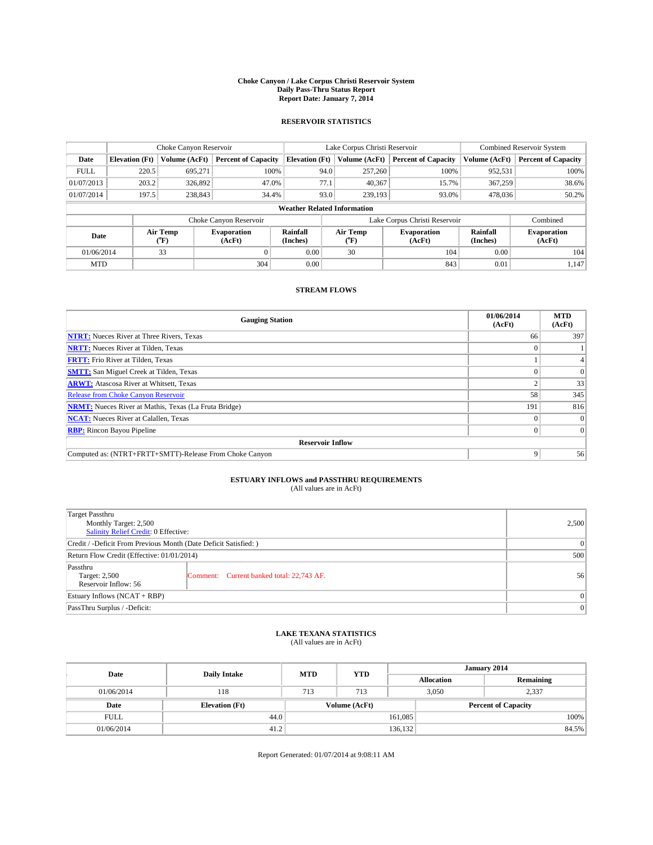#### **Choke Canyon / Lake Corpus Christi Reservoir System Daily Pass-Thru Status Report Report Date: January 7, 2014**

### **RESERVOIR STATISTICS**

|             | Choke Canyon Reservoir |                  |                              |                                    | Lake Corpus Christi Reservoir                                | <b>Combined Reservoir System</b> |                      |                              |
|-------------|------------------------|------------------|------------------------------|------------------------------------|--------------------------------------------------------------|----------------------------------|----------------------|------------------------------|
| Date        | <b>Elevation</b> (Ft)  | Volume (AcFt)    | <b>Percent of Capacity</b>   | <b>Elevation (Ft)</b>              | Volume (AcFt)                                                | <b>Percent of Capacity</b>       | Volume (AcFt)        | <b>Percent of Capacity</b>   |
| <b>FULL</b> | 220.5                  | 695.271          | 100%                         | 94.0                               | 257,260                                                      | 100%                             | 952,531              | 100%                         |
| 01/07/2013  | 203.2                  | 326,892          | 47.0%                        | 77.1                               | 40,367                                                       | 15.7%                            | 367,259              | 38.6%                        |
| 01/07/2014  | 197.5                  | 238,843          | 34.4%                        | 93.0                               | 239,193                                                      | 93.0%                            | 478,036              | 50.2%                        |
|             |                        |                  |                              | <b>Weather Related Information</b> |                                                              |                                  |                      |                              |
|             |                        |                  | Choke Canyon Reservoir       |                                    |                                                              | Lake Corpus Christi Reservoir    |                      | Combined                     |
| Date        |                        | Air Temp<br>(°F) | <b>Evaporation</b><br>(AcFt) | Rainfall<br>(Inches)               | Air Temp<br><b>Evaporation</b><br>(AcFt)<br>$\rm ^{(^o}\!F)$ |                                  | Rainfall<br>(Inches) | <b>Evaporation</b><br>(AcFt) |
| 01/06/2014  |                        | 33               |                              | 0.00                               | 30                                                           | 104                              | 0.00                 | 104                          |
| <b>MTD</b>  |                        |                  | 304                          | 0.00                               |                                                              | 843                              | 0.01                 | 1.147                        |

### **STREAM FLOWS**

| <b>Gauging Station</b>                                       | 01/06/2014<br>(AcFt) | <b>MTD</b><br>(AcFt) |  |  |  |
|--------------------------------------------------------------|----------------------|----------------------|--|--|--|
| <b>NTRT:</b> Nueces River at Three Rivers, Texas             | 66                   | 397                  |  |  |  |
| <b>NRTT:</b> Nueces River at Tilden, Texas                   |                      |                      |  |  |  |
| <b>FRTT:</b> Frio River at Tilden, Texas                     |                      |                      |  |  |  |
| <b>SMTT:</b> San Miguel Creek at Tilden, Texas               |                      | $\Omega$             |  |  |  |
| <b>ARWT:</b> Atascosa River at Whitsett, Texas               |                      | 33                   |  |  |  |
| <b>Release from Choke Canyon Reservoir</b>                   | 58                   | 345                  |  |  |  |
| <b>NRMT:</b> Nueces River at Mathis, Texas (La Fruta Bridge) | 191                  | 816                  |  |  |  |
| <b>NCAT:</b> Nueces River at Calallen, Texas                 |                      | $\overline{0}$       |  |  |  |
| <b>RBP:</b> Rincon Bayou Pipeline                            | 0                    | $\Omega$             |  |  |  |
| <b>Reservoir Inflow</b>                                      |                      |                      |  |  |  |
| Computed as: (NTRT+FRTT+SMTT)-Release From Choke Canyon      | 9                    | 56                   |  |  |  |

# **ESTUARY INFLOWS and PASSTHRU REQUIREMENTS**<br>(All values are in AcFt)

| <b>Target Passthru</b><br>Monthly Target: 2,500<br>Salinity Relief Credit: 0 Effective: | 2,500                                     |    |  |  |
|-----------------------------------------------------------------------------------------|-------------------------------------------|----|--|--|
| Credit / -Deficit From Previous Month (Date Deficit Satisfied: )                        |                                           |    |  |  |
| Return Flow Credit (Effective: 01/01/2014)                                              |                                           |    |  |  |
| Passthru<br>Target: 2,500<br>Reservoir Inflow: 56                                       | Comment: Current banked total: 22,743 AF. | 56 |  |  |
| Estuary Inflows (NCAT + RBP)                                                            |                                           |    |  |  |
| PassThru Surplus / -Deficit:                                                            | 0                                         |    |  |  |

## **LAKE TEXANA STATISTICS** (All values are in AcFt)

| Date        | <b>Daily Intake</b>   | <b>MTD</b> | <b>YTD</b>    | January 2014 |                   |                            |
|-------------|-----------------------|------------|---------------|--------------|-------------------|----------------------------|
|             |                       |            |               |              | <b>Allocation</b> | Remaining                  |
| 01/06/2014  | 118                   | 713        | 713           |              | 3,050<br>2,337    |                            |
| Date        | <b>Elevation</b> (Ft) |            | Volume (AcFt) |              |                   | <b>Percent of Capacity</b> |
| <b>FULL</b> | 44.0                  |            |               | 161,085      |                   | 100%                       |
| 01/06/2014  | 41.2                  |            |               | 136,132      |                   | 84.5%                      |

Report Generated: 01/07/2014 at 9:08:11 AM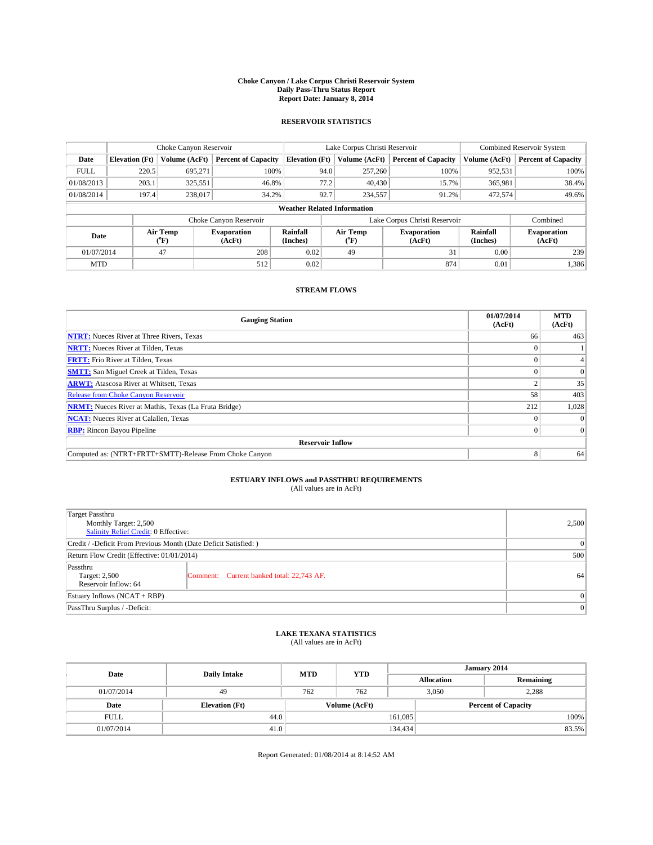#### **Choke Canyon / Lake Corpus Christi Reservoir System Daily Pass-Thru Status Report Report Date: January 8, 2014**

### **RESERVOIR STATISTICS**

|             | Choke Canyon Reservoir                                                                               |               |                              |                       | Lake Corpus Christi Reservoir | Combined Reservoir System     |               |                            |  |
|-------------|------------------------------------------------------------------------------------------------------|---------------|------------------------------|-----------------------|-------------------------------|-------------------------------|---------------|----------------------------|--|
| Date        | <b>Elevation</b> (Ft)                                                                                | Volume (AcFt) | <b>Percent of Capacity</b>   | <b>Elevation (Ft)</b> | Volume (AcFt)                 | <b>Percent of Capacity</b>    | Volume (AcFt) | <b>Percent of Capacity</b> |  |
| <b>FULL</b> | 220.5                                                                                                | 695.271       | 100%                         | 94.0                  | 257,260                       | 100%                          | 952,531       | 100%                       |  |
| 01/08/2013  | 203.1                                                                                                | 325,551       | 46.8%                        | 77.2                  | 40,430                        | 15.7%                         | 365,981       | 38.4%                      |  |
| 01/08/2014  | 197.4                                                                                                | 238,017       | 34.2%                        | 92.7                  | 234,557                       | 91.2%                         | 472,574       | 49.6%                      |  |
|             | <b>Weather Related Information</b>                                                                   |               |                              |                       |                               |                               |               |                            |  |
|             |                                                                                                      |               | Choke Canyon Reservoir       |                       |                               | Lake Corpus Christi Reservoir |               | Combined                   |  |
|             | Rainfall<br>Air Temp<br>Air Temp<br><b>Evaporation</b><br>Date<br>(Inches)<br>(°F)<br>(AcFt)<br>(°F) |               | <b>Evaporation</b><br>(AcFt) | Rainfall<br>(Inches)  | <b>Evaporation</b><br>(AcFt)  |                               |               |                            |  |
| 01/07/2014  |                                                                                                      | 47            | 208                          | 0.02                  | 49                            | 31                            | 0.00          | 239                        |  |
| <b>MTD</b>  |                                                                                                      |               | 512                          | 0.02                  |                               | 874                           | 0.01          | 1,386                      |  |

### **STREAM FLOWS**

| <b>Gauging Station</b>                                       | 01/07/2014<br>(AcFt) | <b>MTD</b><br>(AcFt) |  |  |  |
|--------------------------------------------------------------|----------------------|----------------------|--|--|--|
| <b>NTRT:</b> Nueces River at Three Rivers, Texas             | 66                   | 463                  |  |  |  |
| <b>NRTT:</b> Nueces River at Tilden, Texas                   |                      |                      |  |  |  |
| <b>FRTT:</b> Frio River at Tilden, Texas                     |                      |                      |  |  |  |
| <b>SMTT:</b> San Miguel Creek at Tilden, Texas               |                      | $\Omega$             |  |  |  |
| <b>ARWT:</b> Atascosa River at Whitsett, Texas               |                      | 35                   |  |  |  |
| <b>Release from Choke Canyon Reservoir</b>                   | 58                   | 403                  |  |  |  |
| <b>NRMT:</b> Nueces River at Mathis, Texas (La Fruta Bridge) | 212                  | 1,028                |  |  |  |
| <b>NCAT:</b> Nueces River at Calallen, Texas                 |                      | $\Omega$             |  |  |  |
| <b>RBP:</b> Rincon Bayou Pipeline                            |                      | $\Omega$             |  |  |  |
| <b>Reservoir Inflow</b>                                      |                      |                      |  |  |  |
| Computed as: (NTRT+FRTT+SMTT)-Release From Choke Canyon      | 8                    | 64                   |  |  |  |

# **ESTUARY INFLOWS and PASSTHRU REQUIREMENTS**<br>(All values are in AcFt)

| Target Passthru                                                  |                                           |    |  |  |
|------------------------------------------------------------------|-------------------------------------------|----|--|--|
| Monthly Target: 2,500                                            | 2,500                                     |    |  |  |
| Salinity Relief Credit: 0 Effective:                             |                                           |    |  |  |
| Credit / -Deficit From Previous Month (Date Deficit Satisfied: ) | 0                                         |    |  |  |
| Return Flow Credit (Effective: 01/01/2014)                       | 500                                       |    |  |  |
| Passthru                                                         |                                           |    |  |  |
| Target: 2,500                                                    | Comment: Current banked total: 22,743 AF. | 64 |  |  |
| Reservoir Inflow: 64                                             |                                           |    |  |  |
| Estuary Inflows (NCAT + RBP)                                     | $\Omega$                                  |    |  |  |
| PassThru Surplus / -Deficit:                                     | 0                                         |    |  |  |

## **LAKE TEXANA STATISTICS** (All values are in AcFt)

| Date        |                       | <b>MTD</b> | <b>YTD</b>    | January 2014      |                            |           |  |
|-------------|-----------------------|------------|---------------|-------------------|----------------------------|-----------|--|
|             | <b>Daily Intake</b>   |            |               | <b>Allocation</b> |                            | Remaining |  |
| 01/07/2014  | 49                    | 762        | 762           |                   | 3.050<br>2,288             |           |  |
| Date        | <b>Elevation</b> (Ft) |            | Volume (AcFt) |                   | <b>Percent of Capacity</b> |           |  |
| <b>FULL</b> | 44.0                  |            |               | 161,085           |                            | 100%      |  |
| 01/07/2014  | 41.0                  |            |               | 134,434           |                            | 83.5%     |  |

Report Generated: 01/08/2014 at 8:14:52 AM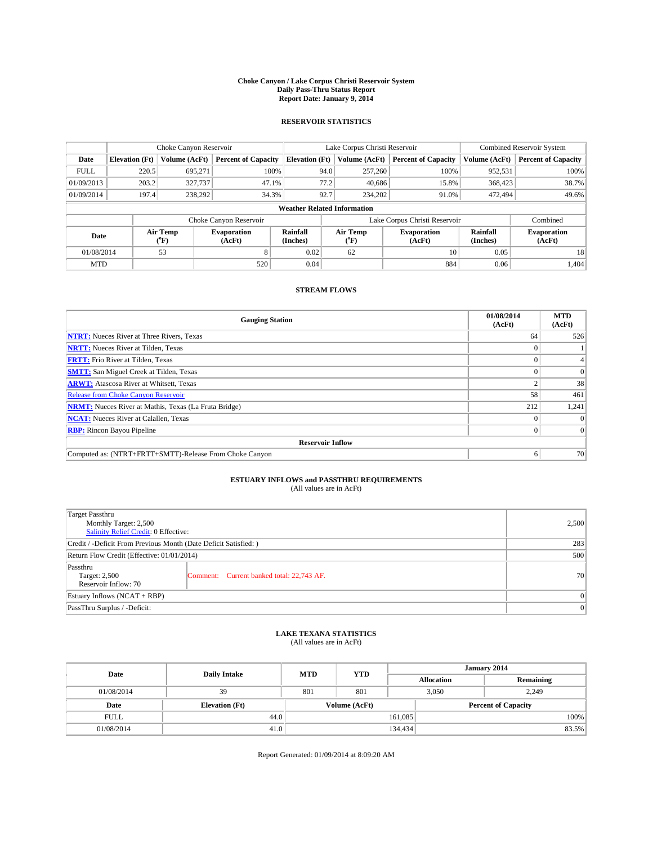#### **Choke Canyon / Lake Corpus Christi Reservoir System Daily Pass-Thru Status Report Report Date: January 9, 2014**

### **RESERVOIR STATISTICS**

|             | Choke Canyon Reservoir             |                  |                              |                                                                          | Lake Corpus Christi Reservoir               | Combined Reservoir System     |                      |                              |  |
|-------------|------------------------------------|------------------|------------------------------|--------------------------------------------------------------------------|---------------------------------------------|-------------------------------|----------------------|------------------------------|--|
| Date        | <b>Elevation</b> (Ft)              | Volume (AcFt)    | <b>Percent of Capacity</b>   | <b>Elevation (Ft)</b>                                                    | Volume (AcFt)<br><b>Percent of Capacity</b> |                               | Volume (AcFt)        | <b>Percent of Capacity</b>   |  |
| <b>FULL</b> | 220.5                              | 695.271          | 100%                         | 94.0                                                                     | 257,260                                     | 100%                          | 952,531              | 100%                         |  |
| 01/09/2013  | 203.2                              | 327,737          | 47.1%                        | 77.2                                                                     | 40,686                                      | 15.8%                         | 368,423              | 38.7%                        |  |
| 01/09/2014  | 197.4                              | 238,292          | 34.3%                        | 92.7                                                                     | 234,202                                     | 91.0%                         | 472,494              | 49.6%                        |  |
|             | <b>Weather Related Information</b> |                  |                              |                                                                          |                                             |                               |                      |                              |  |
|             |                                    |                  | Choke Canyon Reservoir       |                                                                          |                                             | Lake Corpus Christi Reservoir |                      | Combined                     |  |
| Date        |                                    | Air Temp<br>(°F) | <b>Evaporation</b><br>(AcFt) | Rainfall<br>Air Temp<br><b>Evaporation</b><br>(Inches)<br>(AcFt)<br>(°F) |                                             |                               | Rainfall<br>(Inches) | <b>Evaporation</b><br>(AcFt) |  |
| 01/08/2014  |                                    | 53               | 8                            | 0.02                                                                     | 62                                          | 10                            | 0.05                 | 18                           |  |
| <b>MTD</b>  |                                    |                  | 520                          | 0.04                                                                     |                                             | 884                           | 0.06                 | 1.404                        |  |

### **STREAM FLOWS**

| <b>Gauging Station</b>                                       | 01/08/2014<br>(AcFt) | <b>MTD</b><br>(AcFt) |  |  |  |  |
|--------------------------------------------------------------|----------------------|----------------------|--|--|--|--|
| <b>NTRT:</b> Nueces River at Three Rivers, Texas             | 64                   | 526                  |  |  |  |  |
| <b>NRTT:</b> Nueces River at Tilden, Texas                   |                      |                      |  |  |  |  |
| <b>FRTT:</b> Frio River at Tilden, Texas                     |                      |                      |  |  |  |  |
| <b>SMTT:</b> San Miguel Creek at Tilden, Texas               |                      | $\Omega$             |  |  |  |  |
| <b>ARWT:</b> Atascosa River at Whitsett, Texas               |                      | 38                   |  |  |  |  |
| <b>Release from Choke Canyon Reservoir</b>                   | 58                   | 461                  |  |  |  |  |
| <b>NRMT:</b> Nueces River at Mathis, Texas (La Fruta Bridge) | 212                  | 1,241                |  |  |  |  |
| <b>NCAT:</b> Nueces River at Calallen, Texas                 |                      | $\Omega$             |  |  |  |  |
| <b>RBP:</b> Rincon Bayou Pipeline                            |                      | $\Omega$             |  |  |  |  |
| <b>Reservoir Inflow</b>                                      |                      |                      |  |  |  |  |
| Computed as: (NTRT+FRTT+SMTT)-Release From Choke Canyon      | o                    | 70                   |  |  |  |  |

# **ESTUARY INFLOWS and PASSTHRU REQUIREMENTS**<br>(All values are in AcFt)

| Target Passthru<br>Monthly Target: 2,500<br>Salinity Relief Credit: 0 Effective: |                                           |    |  |  |
|----------------------------------------------------------------------------------|-------------------------------------------|----|--|--|
| Credit / -Deficit From Previous Month (Date Deficit Satisfied: )                 | 283                                       |    |  |  |
| Return Flow Credit (Effective: 01/01/2014)                                       | 500                                       |    |  |  |
| Passthru<br>Target: 2,500<br>Reservoir Inflow: 70                                | Comment: Current banked total: 22,743 AF. | 70 |  |  |
| Estuary Inflows (NCAT + RBP)                                                     | $\Omega$                                  |    |  |  |
| PassThru Surplus / -Deficit:                                                     | $\Omega$                                  |    |  |  |

## **LAKE TEXANA STATISTICS** (All values are in AcFt)

| Date        |                       | <b>MTD</b> | <b>YTD</b>    | January 2014      |                            |           |  |
|-------------|-----------------------|------------|---------------|-------------------|----------------------------|-----------|--|
|             | <b>Daily Intake</b>   |            |               | <b>Allocation</b> |                            | Remaining |  |
| 01/08/2014  | 39                    | 801        | 801           |                   | 3.050<br>2,249             |           |  |
| Date        | <b>Elevation</b> (Ft) |            | Volume (AcFt) |                   | <b>Percent of Capacity</b> |           |  |
| <b>FULL</b> | 44.0                  |            |               | 161,085           |                            | 100%      |  |
| 01/08/2014  | 41.0                  |            |               | 134,434           |                            | 83.5%     |  |

Report Generated: 01/09/2014 at 8:09:20 AM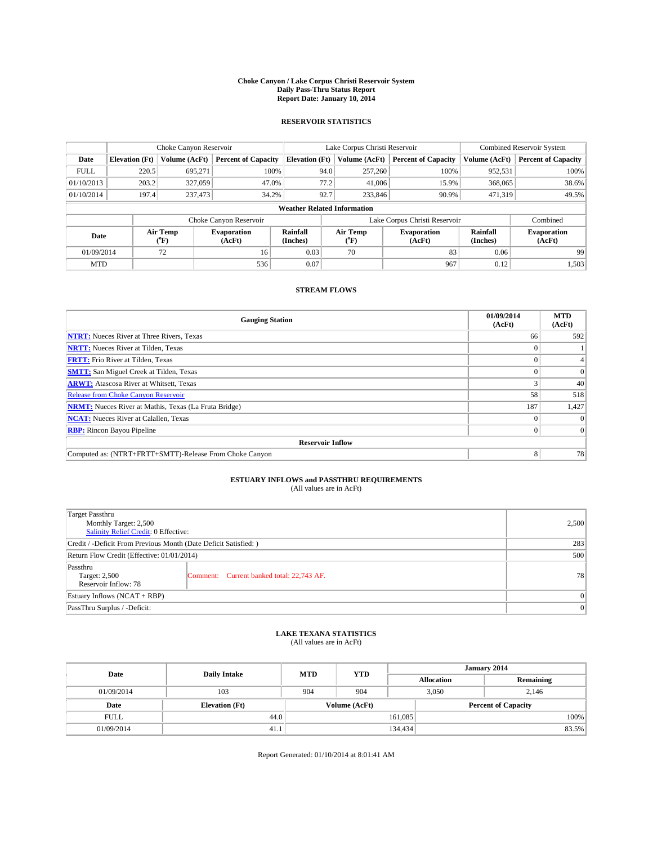#### **Choke Canyon / Lake Corpus Christi Reservoir System Daily Pass-Thru Status Report Report Date: January 10, 2014**

### **RESERVOIR STATISTICS**

|                                                                                                      | Choke Canyon Reservoir             |               |                              |                       | Lake Corpus Christi Reservoir | <b>Combined Reservoir System</b> |               |                     |  |
|------------------------------------------------------------------------------------------------------|------------------------------------|---------------|------------------------------|-----------------------|-------------------------------|----------------------------------|---------------|---------------------|--|
| Date                                                                                                 | <b>Elevation</b> (Ft)              | Volume (AcFt) | <b>Percent of Capacity</b>   | <b>Elevation (Ft)</b> | Volume (AcFt)                 | <b>Percent of Capacity</b>       | Volume (AcFt) | Percent of Capacity |  |
| <b>FULL</b>                                                                                          | 220.5                              | 695.271       | 100%                         | 94.0                  | 257,260                       | 100%                             | 952,531       | 100%                |  |
| 01/10/2013                                                                                           | 203.2                              | 327,059       | 47.0%                        | 77.2                  | 41,006                        | 15.9%                            | 368,065       | 38.6%               |  |
| 01/10/2014                                                                                           | 197.4                              | 237,473       | 34.2%                        | 92.7                  | 233,846                       | 90.9%                            | 471.319       | 49.5%               |  |
|                                                                                                      | <b>Weather Related Information</b> |               |                              |                       |                               |                                  |               |                     |  |
|                                                                                                      |                                    |               | Choke Canyon Reservoir       |                       |                               | Lake Corpus Christi Reservoir    |               | Combined            |  |
| Rainfall<br>Air Temp<br>Air Temp<br><b>Evaporation</b><br>Date<br>(Inches)<br>(°F)<br>(AcFt)<br>(°F) |                                    |               | <b>Evaporation</b><br>(AcFt) | Rainfall<br>(Inches)  | <b>Evaporation</b><br>(AcFt)  |                                  |               |                     |  |
| 01/09/2014                                                                                           |                                    | 72            | 16                           | 0.03                  | 70                            | 83                               | 0.06          | 99                  |  |
| <b>MTD</b>                                                                                           |                                    |               | 536                          | 0.07                  |                               | 967                              | 0.12          | 1,503               |  |

### **STREAM FLOWS**

| <b>Gauging Station</b>                                       | 01/09/2014<br>(AcFt) | <b>MTD</b><br>(AcFt) |  |  |  |  |
|--------------------------------------------------------------|----------------------|----------------------|--|--|--|--|
| <b>NTRT:</b> Nueces River at Three Rivers, Texas             | 66                   | 592                  |  |  |  |  |
| <b>NRTT:</b> Nueces River at Tilden, Texas                   |                      |                      |  |  |  |  |
| <b>FRTT:</b> Frio River at Tilden, Texas                     |                      |                      |  |  |  |  |
| <b>SMTT:</b> San Miguel Creek at Tilden, Texas               |                      | $\Omega$             |  |  |  |  |
| <b>ARWT:</b> Atascosa River at Whitsett, Texas               |                      | 40                   |  |  |  |  |
| <b>Release from Choke Canyon Reservoir</b>                   | 58                   | 518                  |  |  |  |  |
| <b>NRMT:</b> Nueces River at Mathis, Texas (La Fruta Bridge) | 187                  | 1,427                |  |  |  |  |
| <b>NCAT:</b> Nueces River at Calallen, Texas                 |                      | $\Omega$             |  |  |  |  |
| <b>RBP:</b> Rincon Bayou Pipeline                            | 0                    | $\Omega$             |  |  |  |  |
| <b>Reservoir Inflow</b>                                      |                      |                      |  |  |  |  |
| Computed as: (NTRT+FRTT+SMTT)-Release From Choke Canyon      | 8                    | 78                   |  |  |  |  |

# **ESTUARY INFLOWS and PASSTHRU REQUIREMENTS**<br>(All values are in AcFt)

| Target Passthru                                                  |          |  |  |  |
|------------------------------------------------------------------|----------|--|--|--|
| Monthly Target: 2,500                                            | 2,500    |  |  |  |
| Salinity Relief Credit: 0 Effective:                             |          |  |  |  |
| Credit / -Deficit From Previous Month (Date Deficit Satisfied: ) | 283      |  |  |  |
| Return Flow Credit (Effective: 01/01/2014)                       | 500      |  |  |  |
| Passthru                                                         |          |  |  |  |
| Target: 2,500<br>Comment: Current banked total: 22,743 AF.       | 78       |  |  |  |
| Reservoir Inflow: 78                                             |          |  |  |  |
| Estuary Inflows (NCAT + RBP)                                     | $\Omega$ |  |  |  |
| PassThru Surplus / -Deficit:                                     | 0        |  |  |  |

# **LAKE TEXANA STATISTICS** (All values are in AcFt)

| Date        | <b>Daily Intake</b>   | <b>MTD</b> | <b>YTD</b>    | January 2014 |                            |           |  |
|-------------|-----------------------|------------|---------------|--------------|----------------------------|-----------|--|
|             |                       |            |               |              | <b>Allocation</b>          | Remaining |  |
| 01/09/2014  | 103                   | 904        | 904           |              | 3.050<br>2.146             |           |  |
| Date        | <b>Elevation</b> (Ft) |            | Volume (AcFt) |              | <b>Percent of Capacity</b> |           |  |
| <b>FULL</b> | 44.0                  |            |               | 161,085      |                            | 100%      |  |
| 01/09/2014  | 41.1                  | 134,434    |               |              | 83.5%                      |           |  |

Report Generated: 01/10/2014 at 8:01:41 AM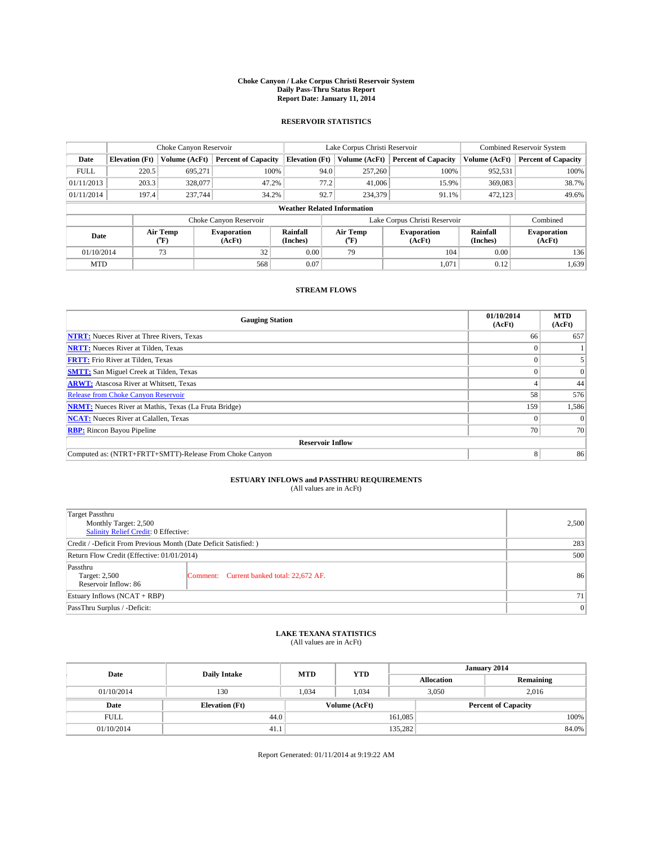#### **Choke Canyon / Lake Corpus Christi Reservoir System Daily Pass-Thru Status Report Report Date: January 11, 2014**

### **RESERVOIR STATISTICS**

|                                                          | Choke Canyon Reservoir |                      |                            |                                    | Lake Corpus Christi Reservoir | <b>Combined Reservoir System</b> |               |                            |
|----------------------------------------------------------|------------------------|----------------------|----------------------------|------------------------------------|-------------------------------|----------------------------------|---------------|----------------------------|
| Date                                                     | <b>Elevation</b> (Ft)  | Volume (AcFt)        | <b>Percent of Capacity</b> | <b>Elevation (Ft)</b>              | Volume (AcFt)                 | <b>Percent of Capacity</b>       | Volume (AcFt) | <b>Percent of Capacity</b> |
| <b>FULL</b>                                              | 220.5                  | 695,271              | 100%                       | 94.0                               | 257,260                       | 100%                             | 952,531       | 100%                       |
| 01/11/2013                                               | 203.3                  | 328,077              | 47.2%                      | 77.2                               | 41,006                        | 15.9%                            | 369,083       | 38.7%                      |
| 01/11/2014                                               | 197.4                  | 237,744              | 34.2%                      | 92.7                               | 234,379                       | 91.1%                            | 472,123       | 49.6%                      |
|                                                          |                        |                      |                            | <b>Weather Related Information</b> |                               |                                  |               |                            |
|                                                          |                        |                      | Choke Canyon Reservoir     |                                    |                               | Lake Corpus Christi Reservoir    |               | Combined                   |
| Air Temp<br><b>Evaporation</b><br>Date<br>(°F)<br>(AcFt) |                        | Rainfall<br>(Inches) | Air Temp<br>("F)           | <b>Evaporation</b><br>(AcFt)       | Rainfall<br>(Inches)          | <b>Evaporation</b><br>(AcFt)     |               |                            |
| 01/10/2014                                               |                        | 73                   | 32                         | 0.00                               | 79<br>104                     |                                  | 0.00          | 136                        |
| <b>MTD</b>                                               |                        |                      | 568                        | 0.07                               |                               | 1,071                            | 0.12          | 1,639                      |

### **STREAM FLOWS**

| <b>Gauging Station</b>                                       | 01/10/2014<br>(AcFt) | <b>MTD</b><br>(AcFt) |  |  |  |
|--------------------------------------------------------------|----------------------|----------------------|--|--|--|
| <b>NTRT:</b> Nueces River at Three Rivers, Texas             | 66                   | 657                  |  |  |  |
| <b>NRTT:</b> Nueces River at Tilden, Texas                   |                      |                      |  |  |  |
| <b>FRTT:</b> Frio River at Tilden, Texas                     |                      |                      |  |  |  |
| <b>SMTT:</b> San Miguel Creek at Tilden, Texas               |                      | $\Omega$             |  |  |  |
| <b>ARWT:</b> Atascosa River at Whitsett, Texas               |                      | 44                   |  |  |  |
| <b>Release from Choke Canyon Reservoir</b>                   | 58                   | 576                  |  |  |  |
| <b>NRMT:</b> Nueces River at Mathis, Texas (La Fruta Bridge) | 159                  | 1,586                |  |  |  |
| <b>NCAT:</b> Nueces River at Calallen, Texas                 |                      | $\Omega$             |  |  |  |
| <b>RBP:</b> Rincon Bayou Pipeline                            | <b>70</b>            | 70                   |  |  |  |
| <b>Reservoir Inflow</b>                                      |                      |                      |  |  |  |
| Computed as: (NTRT+FRTT+SMTT)-Release From Choke Canyon      | 8                    | 86                   |  |  |  |

# **ESTUARY INFLOWS and PASSTHRU REQUIREMENTS**<br>(All values are in AcFt)

| <b>Target Passthru</b><br>Monthly Target: 2,500<br>Salinity Relief Credit: 0 Effective: | 2,500                                     |    |
|-----------------------------------------------------------------------------------------|-------------------------------------------|----|
| Credit / -Deficit From Previous Month (Date Deficit Satisfied: )                        | 283                                       |    |
| Return Flow Credit (Effective: 01/01/2014)                                              | 500                                       |    |
| Passthru<br>Target: 2,500<br>Reservoir Inflow: 86                                       | Comment: Current banked total: 22,672 AF. | 86 |
| Estuary Inflows $(NCAT + RBP)$                                                          | 71 <sup>1</sup>                           |    |
| PassThru Surplus / -Deficit:                                                            | 0                                         |    |

# **LAKE TEXANA STATISTICS** (All values are in AcFt)

| Date        | <b>Daily Intake</b>   | <b>MTD</b>    | <b>YTD</b> | January 2014      |                            |           |  |
|-------------|-----------------------|---------------|------------|-------------------|----------------------------|-----------|--|
|             |                       |               |            | <b>Allocation</b> |                            | Remaining |  |
| 01/10/2014  | 130                   | 1,034         | 1,034      |                   | 3,050                      | 2,016     |  |
| Date        | <b>Elevation</b> (Ft) | Volume (AcFt) |            |                   | <b>Percent of Capacity</b> |           |  |
| <b>FULL</b> | 44.0                  |               |            | 161.085           |                            | 100%      |  |
| 01/10/2014  | 41.1                  | 135,282       |            |                   |                            | 84.0%     |  |

Report Generated: 01/11/2014 at 9:19:22 AM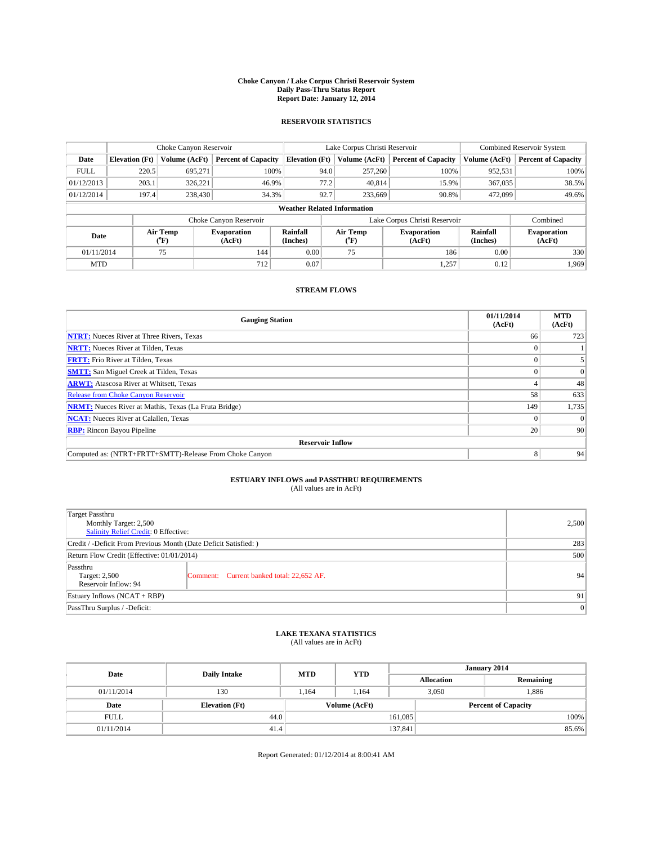#### **Choke Canyon / Lake Corpus Christi Reservoir System Daily Pass-Thru Status Report Report Date: January 12, 2014**

### **RESERVOIR STATISTICS**

|             | Choke Canyon Reservoir             |                  |                              |                       | Lake Corpus Christi Reservoir | <b>Combined Reservoir System</b> |                      |                              |  |
|-------------|------------------------------------|------------------|------------------------------|-----------------------|-------------------------------|----------------------------------|----------------------|------------------------------|--|
| Date        | <b>Elevation</b> (Ft)              | Volume (AcFt)    | <b>Percent of Capacity</b>   | <b>Elevation (Ft)</b> | Volume (AcFt)                 | <b>Percent of Capacity</b>       | Volume (AcFt)        | <b>Percent of Capacity</b>   |  |
| <b>FULL</b> | 220.5                              | 695.271          | 100%                         | 94.0                  | 257,260                       | 100%                             | 952,531              | 100%                         |  |
| 01/12/2013  | 203.1                              | 326,221          | 46.9%                        | 77.2                  | 40,814                        | 15.9%                            | 367,035              | 38.5%                        |  |
| 01/12/2014  | 197.4                              | 238,430          | 34.3%                        | 92.7                  | 233,669                       | 90.8%                            | 472,099              | $49.6\%$                     |  |
|             | <b>Weather Related Information</b> |                  |                              |                       |                               |                                  |                      |                              |  |
|             |                                    |                  | Choke Canyon Reservoir       |                       |                               | Lake Corpus Christi Reservoir    |                      | Combined                     |  |
| Date        |                                    | Air Temp<br>(°F) | <b>Evaporation</b><br>(AcFt) | Rainfall<br>(Inches)  | Air Temp<br>(°F)              | <b>Evaporation</b><br>(AcFt)     | Rainfall<br>(Inches) | <b>Evaporation</b><br>(AcFt) |  |
| 01/11/2014  |                                    | 75               | 144                          | 0.00                  | 75                            | 186                              | 0.00                 | 330                          |  |
| <b>MTD</b>  |                                    |                  | 712                          | 0.07                  |                               | 1,257                            | 0.12                 | 1.969                        |  |

### **STREAM FLOWS**

| <b>Gauging Station</b>                                       | 01/11/2014<br>(AcFt) | <b>MTD</b><br>(AcFt) |  |  |  |  |
|--------------------------------------------------------------|----------------------|----------------------|--|--|--|--|
| <b>NTRT:</b> Nueces River at Three Rivers, Texas             | 66                   | 723                  |  |  |  |  |
| <b>NRTT:</b> Nueces River at Tilden, Texas                   |                      |                      |  |  |  |  |
| <b>FRTT:</b> Frio River at Tilden, Texas                     |                      |                      |  |  |  |  |
| <b>SMTT:</b> San Miguel Creek at Tilden, Texas               |                      | $\Omega$             |  |  |  |  |
| <b>ARWT:</b> Atascosa River at Whitsett, Texas               |                      | 48                   |  |  |  |  |
| <b>Release from Choke Canyon Reservoir</b>                   | 58                   | 633                  |  |  |  |  |
| <b>NRMT:</b> Nueces River at Mathis, Texas (La Fruta Bridge) | 149                  | 1,735                |  |  |  |  |
| <b>NCAT:</b> Nueces River at Calallen, Texas                 |                      | $\Omega$             |  |  |  |  |
| <b>RBP:</b> Rincon Bayou Pipeline                            | 20                   | 90                   |  |  |  |  |
| <b>Reservoir Inflow</b>                                      |                      |                      |  |  |  |  |
| Computed as: (NTRT+FRTT+SMTT)-Release From Choke Canyon      | 8                    | 94                   |  |  |  |  |

# **ESTUARY INFLOWS and PASSTHRU REQUIREMENTS**<br>(All values are in AcFt)

| Target Passthru                                                  |                                           |    |  |  |
|------------------------------------------------------------------|-------------------------------------------|----|--|--|
| Monthly Target: 2,500                                            | 2,500                                     |    |  |  |
| Salinity Relief Credit: 0 Effective:                             |                                           |    |  |  |
| Credit / -Deficit From Previous Month (Date Deficit Satisfied: ) | 283                                       |    |  |  |
| Return Flow Credit (Effective: 01/01/2014)                       | 500                                       |    |  |  |
| Passthru                                                         |                                           |    |  |  |
| Target: 2,500                                                    | Comment: Current banked total: 22,652 AF. | 94 |  |  |
| Reservoir Inflow: 94                                             |                                           |    |  |  |
| Estuary Inflows (NCAT + RBP)                                     | 91                                        |    |  |  |
| PassThru Surplus / -Deficit:                                     | 0                                         |    |  |  |

# **LAKE TEXANA STATISTICS** (All values are in AcFt)

| Date        | <b>Daily Intake</b>   | <b>MTD</b>    | <b>YTD</b> | January 2014 |                            |           |  |
|-------------|-----------------------|---------------|------------|--------------|----------------------------|-----------|--|
|             |                       |               |            |              | <b>Allocation</b>          | Remaining |  |
| 01/11/2014  | 130                   | 1.164         | 1.164      |              | 3,050<br>1,886             |           |  |
| Date        | <b>Elevation</b> (Ft) | Volume (AcFt) |            |              | <b>Percent of Capacity</b> |           |  |
| <b>FULL</b> | 44.0                  |               |            | 161,085      |                            | 100%      |  |
| 01/11/2014  | 41.4                  |               |            | 137,841      |                            | 85.6%     |  |

Report Generated: 01/12/2014 at 8:00:41 AM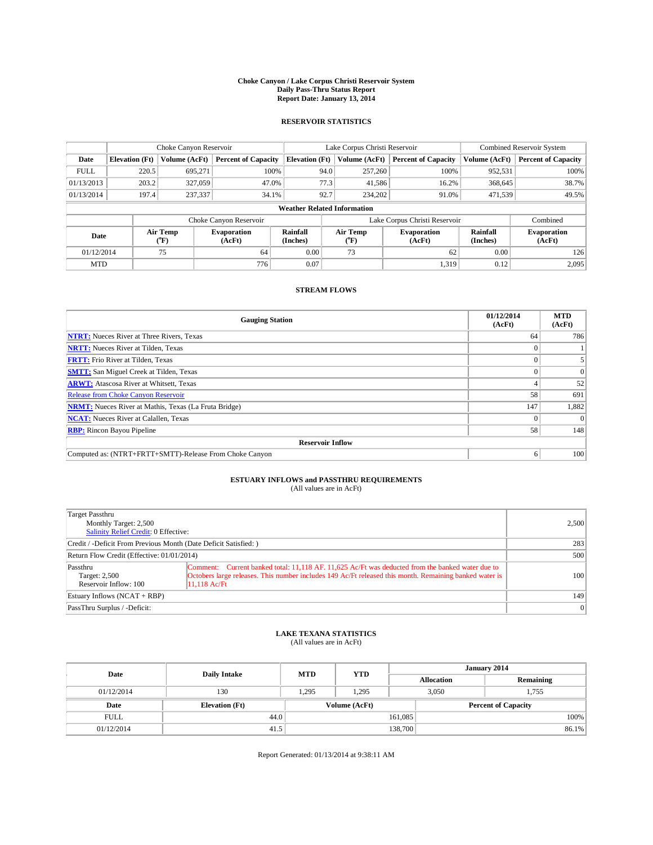#### **Choke Canyon / Lake Corpus Christi Reservoir System Daily Pass-Thru Status Report Report Date: January 13, 2014**

### **RESERVOIR STATISTICS**

|             |                       | Choke Canyon Reservoir |                              |                                    | Lake Corpus Christi Reservoir | <b>Combined Reservoir System</b> |                      |                              |
|-------------|-----------------------|------------------------|------------------------------|------------------------------------|-------------------------------|----------------------------------|----------------------|------------------------------|
| Date        | <b>Elevation</b> (Ft) | Volume (AcFt)          | <b>Percent of Capacity</b>   | <b>Elevation (Ft)</b>              | Volume (AcFt)                 | <b>Percent of Capacity</b>       | Volume (AcFt)        | Percent of Capacity          |
| <b>FULL</b> | 220.5                 | 695.271                | 100%                         | 94.0                               | 257,260                       | 100%                             | 952,531              | 100%                         |
| 01/13/2013  | 203.2                 | 327,059                | 47.0%                        | 77.3                               | 41,586                        | 16.2%                            | 368,645              | 38.7%                        |
| 01/13/2014  | 197.4                 | 237,337                | 34.1%                        | 92.7                               | 234,202                       | 91.0%                            | 471,539              | 49.5%                        |
|             |                       |                        |                              | <b>Weather Related Information</b> |                               |                                  |                      |                              |
|             |                       |                        | Choke Canyon Reservoir       |                                    | Lake Corpus Christi Reservoir |                                  | Combined             |                              |
| Date        |                       | Air Temp<br>(°F)       | <b>Evaporation</b><br>(AcFt) | Rainfall<br>(Inches)               | Air Temp<br>(°F)              | <b>Evaporation</b><br>(AcFt)     | Rainfall<br>(Inches) | <b>Evaporation</b><br>(AcFt) |
| 01/12/2014  |                       | 75                     | 64                           | 0.00                               | 73                            | 62                               | 0.00                 | 126                          |
|             | <b>MTD</b>            |                        | 776                          | 0.07                               |                               | 1,319                            | 0.12                 | 2.095                        |

### **STREAM FLOWS**

| <b>Gauging Station</b>                                       | 01/12/2014<br>(AcFt) | <b>MTD</b><br>(AcFt) |
|--------------------------------------------------------------|----------------------|----------------------|
| <b>NTRT:</b> Nueces River at Three Rivers, Texas             | 64                   | 786                  |
| <b>NRTT:</b> Nueces River at Tilden, Texas                   |                      |                      |
| <b>FRTT:</b> Frio River at Tilden, Texas                     |                      |                      |
| <b>SMTT:</b> San Miguel Creek at Tilden, Texas               |                      | $\Omega$             |
| <b>ARWT:</b> Atascosa River at Whitsett, Texas               |                      | 52                   |
| <b>Release from Choke Canyon Reservoir</b>                   | 58                   | 691                  |
| <b>NRMT:</b> Nueces River at Mathis, Texas (La Fruta Bridge) | 147                  | 1,882                |
| <b>NCAT:</b> Nueces River at Calallen, Texas                 |                      | $\Omega$             |
| <b>RBP:</b> Rincon Bayou Pipeline                            | 58                   | 148                  |
| <b>Reservoir Inflow</b>                                      |                      |                      |
| Computed as: (NTRT+FRTT+SMTT)-Release From Choke Canyon      | <sub>0</sub>         | 100                  |

# **ESTUARY INFLOWS and PASSTHRU REQUIREMENTS**<br>(All values are in AcFt)

| Target Passthru<br>Monthly Target: 2,500<br>Salinity Relief Credit: 0 Effective: |                                                                                                                                                                                                                            | 2,500     |  |  |
|----------------------------------------------------------------------------------|----------------------------------------------------------------------------------------------------------------------------------------------------------------------------------------------------------------------------|-----------|--|--|
| Credit / -Deficit From Previous Month (Date Deficit Satisfied: )                 |                                                                                                                                                                                                                            |           |  |  |
| Return Flow Credit (Effective: 01/01/2014)                                       |                                                                                                                                                                                                                            |           |  |  |
| Passthru<br>Target: 2,500<br>Reservoir Inflow: 100                               | Comment: Current banked total: 11,118 AF, 11,625 Ac/Ft was deducted from the banked water due to<br>Octobers large releases. This number includes 149 Ac/Ft released this month. Remaining banked water is<br>11.118 Ac/Ft | 100       |  |  |
| Estuary Inflows (NCAT + RBP)                                                     |                                                                                                                                                                                                                            | 149       |  |  |
| PassThru Surplus / -Deficit:                                                     |                                                                                                                                                                                                                            | $\vert$ 0 |  |  |

## **LAKE TEXANA STATISTICS** (All values are in AcFt)

| Date        | <b>Daily Intake</b>   | <b>MTD</b> | <b>YTD</b>    | January 2014      |  |                            |       |  |
|-------------|-----------------------|------------|---------------|-------------------|--|----------------------------|-------|--|
|             |                       |            |               | <b>Allocation</b> |  | Remaining                  |       |  |
| 01/12/2014  | 130                   | 1,295      | 1.295         | 3,050             |  | 1.755                      |       |  |
| Date        | <b>Elevation</b> (Ft) |            | Volume (AcFt) |                   |  | <b>Percent of Capacity</b> |       |  |
| <b>FULL</b> | 44.0                  |            |               | 161,085           |  |                            | 100%  |  |
| 01/12/2014  | 41.5                  |            |               | 138,700           |  |                            | 86.1% |  |

Report Generated: 01/13/2014 at 9:38:11 AM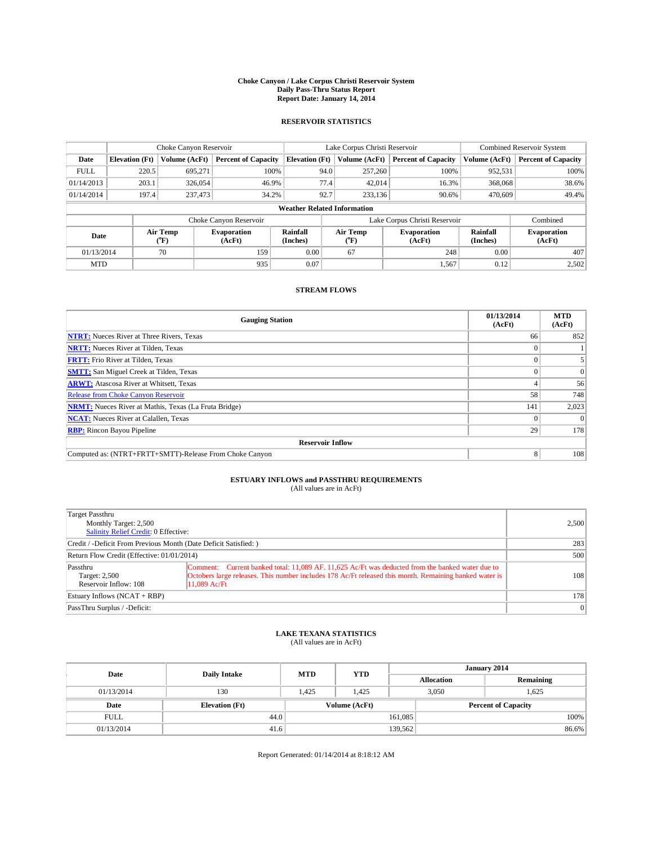#### **Choke Canyon / Lake Corpus Christi Reservoir System Daily Pass-Thru Status Report Report Date: January 14, 2014**

### **RESERVOIR STATISTICS**

|             |                       | Choke Canyon Reservoir |                              |                                    | Lake Corpus Christi Reservoir | <b>Combined Reservoir System</b> |                      |                              |
|-------------|-----------------------|------------------------|------------------------------|------------------------------------|-------------------------------|----------------------------------|----------------------|------------------------------|
| Date        | <b>Elevation</b> (Ft) | Volume (AcFt)          | <b>Percent of Capacity</b>   | <b>Elevation (Ft)</b>              | Volume (AcFt)                 | <b>Percent of Capacity</b>       | Volume (AcFt)        | Percent of Capacity          |
| <b>FULL</b> | 220.5                 | 695.271                | 100%                         | 94.0                               | 257,260                       | 100%                             | 952,531              | 100%                         |
| 01/14/2013  | 203.1                 | 326,054                | 46.9%                        | 77.4                               | 42,014                        | 16.3%                            | 368,068              | 38.6%                        |
| 01/14/2014  | 197.4                 | 237,473                | 34.2%                        | 92.7                               | 233,136                       | 90.6%                            | 470,609              | 49.4%                        |
|             |                       |                        |                              | <b>Weather Related Information</b> |                               |                                  |                      |                              |
|             |                       |                        | Choke Canyon Reservoir       |                                    | Lake Corpus Christi Reservoir |                                  |                      |                              |
| Date        |                       | Air Temp<br>(°F)       | <b>Evaporation</b><br>(AcFt) | Rainfall<br>(Inches)               | Air Temp<br>(°F)              | <b>Evaporation</b><br>(AcFt)     | Rainfall<br>(Inches) | <b>Evaporation</b><br>(AcFt) |
| 01/13/2014  |                       | 70                     | 159                          | 0.00                               | 67                            | 248                              | 0.00                 | 407                          |
| <b>MTD</b>  |                       |                        | 935                          | 0.07                               |                               | 1,567                            | 0.12                 | 2,502                        |

### **STREAM FLOWS**

| <b>Gauging Station</b>                                       | 01/13/2014<br>(AcFt) | <b>MTD</b><br>(AcFt) |  |  |  |  |  |
|--------------------------------------------------------------|----------------------|----------------------|--|--|--|--|--|
| <b>NTRT:</b> Nueces River at Three Rivers, Texas             | 66                   | 852                  |  |  |  |  |  |
| <b>NRTT:</b> Nueces River at Tilden, Texas                   |                      |                      |  |  |  |  |  |
| <b>FRTT:</b> Frio River at Tilden, Texas                     |                      |                      |  |  |  |  |  |
| <b>SMTT:</b> San Miguel Creek at Tilden, Texas               |                      | $\Omega$             |  |  |  |  |  |
| <b>ARWT:</b> Atascosa River at Whitsett, Texas               |                      | 56                   |  |  |  |  |  |
| Release from Choke Canyon Reservoir                          | 58                   | 748                  |  |  |  |  |  |
| <b>NRMT:</b> Nueces River at Mathis, Texas (La Fruta Bridge) | 141                  | 2,023                |  |  |  |  |  |
| <b>NCAT:</b> Nueces River at Calallen, Texas                 |                      | $\Omega$             |  |  |  |  |  |
| <b>RBP:</b> Rincon Bayou Pipeline                            | 29                   | 178                  |  |  |  |  |  |
| <b>Reservoir Inflow</b>                                      |                      |                      |  |  |  |  |  |
| Computed as: (NTRT+FRTT+SMTT)-Release From Choke Canyon      | 8                    | 108                  |  |  |  |  |  |

# **ESTUARY INFLOWS and PASSTHRU REQUIREMENTS**<br>(All values are in AcFt)

| Target Passthru<br>Monthly Target: 2,500<br>Salinity Relief Credit: 0 Effective: |                                                                                                                                                                                                                              | 2,500     |  |  |
|----------------------------------------------------------------------------------|------------------------------------------------------------------------------------------------------------------------------------------------------------------------------------------------------------------------------|-----------|--|--|
| Credit / -Deficit From Previous Month (Date Deficit Satisfied: )                 |                                                                                                                                                                                                                              |           |  |  |
| Return Flow Credit (Effective: 01/01/2014)                                       |                                                                                                                                                                                                                              |           |  |  |
| Passthru<br>Target: 2,500<br>Reservoir Inflow: 108                               | Comment: Current banked total: 11,089 AF, 11,625 Ac/Ft was deducted from the banked water due to<br>Octobers large releases. This number includes 178 Ac/Ft released this month. Remaining banked water is<br>$11.089$ Ac/Ft | 108       |  |  |
| Estuary Inflows (NCAT + RBP)                                                     |                                                                                                                                                                                                                              | 178       |  |  |
| PassThru Surplus / -Deficit:                                                     |                                                                                                                                                                                                                              | $\vert$ 0 |  |  |

## **LAKE TEXANA STATISTICS** (All values are in AcFt)

| Date        | <b>Daily Intake</b>   | <b>MTD</b> | <b>YTD</b>    | January 2014      |                            |           |  |
|-------------|-----------------------|------------|---------------|-------------------|----------------------------|-----------|--|
|             |                       |            |               | <b>Allocation</b> |                            | Remaining |  |
| 01/13/2014  | 130                   | 1.425      | 1.425         |                   | 3,050<br>1.625             |           |  |
| Date        | <b>Elevation</b> (Ft) |            | Volume (AcFt) |                   | <b>Percent of Capacity</b> |           |  |
| <b>FULL</b> | 44.0                  |            |               | 161,085           |                            | 100%      |  |
| 01/13/2014  | 41.6                  |            |               | 139,562           |                            | 86.6%     |  |

Report Generated: 01/14/2014 at 8:18:12 AM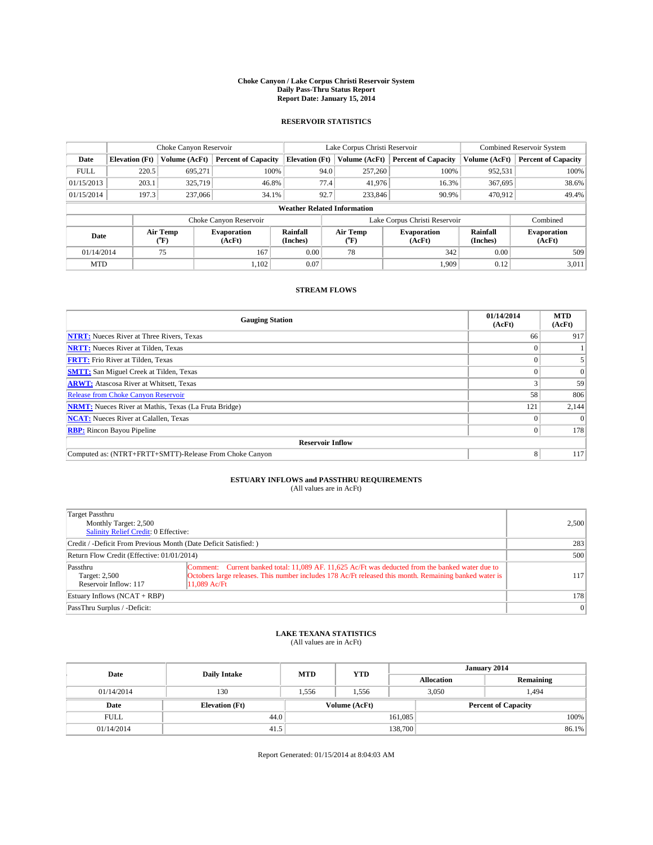#### **Choke Canyon / Lake Corpus Christi Reservoir System Daily Pass-Thru Status Report Report Date: January 15, 2014**

### **RESERVOIR STATISTICS**

|             |                       | Choke Canyon Reservoir |                              |                                    | Lake Corpus Christi Reservoir             | <b>Combined Reservoir System</b> |                      |                              |
|-------------|-----------------------|------------------------|------------------------------|------------------------------------|-------------------------------------------|----------------------------------|----------------------|------------------------------|
| Date        | <b>Elevation</b> (Ft) | Volume (AcFt)          | <b>Percent of Capacity</b>   | <b>Elevation (Ft)</b>              | Volume (AcFt)                             | <b>Percent of Capacity</b>       | Volume (AcFt)        | Percent of Capacity          |
| <b>FULL</b> | 220.5                 | 695.271                | 100%                         | 94.0                               | 257,260                                   | 100%                             | 952,531              | 100%                         |
| 01/15/2013  | 203.1                 | 325,719                | 46.8%                        | 77.4                               | 41,976                                    | 16.3%                            | 367,695              | 38.6%                        |
| 01/15/2014  | 197.3                 | 237,066                | 34.1%                        | 92.7                               | 233,846                                   | 90.9%                            | 470.912              | 49.4%                        |
|             |                       |                        |                              | <b>Weather Related Information</b> |                                           |                                  |                      |                              |
|             |                       |                        | Choke Canyon Reservoir       |                                    | Lake Corpus Christi Reservoir<br>Combined |                                  |                      |                              |
| Date        |                       | Air Temp<br>(°F)       | <b>Evaporation</b><br>(AcFt) | Rainfall<br>(Inches)               | Air Temp<br>(°F)                          | <b>Evaporation</b><br>(AcFt)     | Rainfall<br>(Inches) | <b>Evaporation</b><br>(AcFt) |
| 01/14/2014  |                       | 75                     | 167                          | 0.00                               | 78                                        | 342                              |                      | 509                          |
| <b>MTD</b>  |                       |                        | 1.102                        | 0.07                               |                                           | 1.909                            | 0.12                 | 3.011                        |

### **STREAM FLOWS**

| <b>Gauging Station</b>                                       | 01/14/2014<br>(AcFt) | <b>MTD</b><br>(AcFt) |
|--------------------------------------------------------------|----------------------|----------------------|
| <b>NTRT:</b> Nueces River at Three Rivers, Texas             | 66                   | 917                  |
| <b>NRTT:</b> Nueces River at Tilden, Texas                   |                      |                      |
| <b>FRTT:</b> Frio River at Tilden, Texas                     |                      |                      |
| <b>SMTT:</b> San Miguel Creek at Tilden, Texas               |                      | $\Omega$             |
| <b>ARWT:</b> Atascosa River at Whitsett, Texas               |                      | 59                   |
| <b>Release from Choke Canyon Reservoir</b>                   | 58                   | 806                  |
| <b>NRMT:</b> Nueces River at Mathis, Texas (La Fruta Bridge) | 121                  | 2,144                |
| <b>NCAT:</b> Nueces River at Calallen, Texas                 |                      | $\Omega$             |
| <b>RBP:</b> Rincon Bayou Pipeline                            | $\Omega$             | 178                  |
| <b>Reservoir Inflow</b>                                      |                      |                      |
| Computed as: (NTRT+FRTT+SMTT)-Release From Choke Canyon      | 8                    | 117                  |

## **ESTUARY INFLOWS and PASSTHRU REQUIREMENTS**<br>(All values are in AcFt)

| Target Passthru<br>Monthly Target: 2,500<br>Salinity Relief Credit: 0 Effective: |                                                                                                                                                                                                                            | 2,500           |  |  |
|----------------------------------------------------------------------------------|----------------------------------------------------------------------------------------------------------------------------------------------------------------------------------------------------------------------------|-----------------|--|--|
| Credit / -Deficit From Previous Month (Date Deficit Satisfied: )                 |                                                                                                                                                                                                                            |                 |  |  |
| Return Flow Credit (Effective: 01/01/2014)                                       |                                                                                                                                                                                                                            |                 |  |  |
| Passthru<br>Target: 2,500<br>Reservoir Inflow: 117                               | Comment: Current banked total: 11,089 AF. 11,625 Ac/Ft was deducted from the banked water due to<br>Octobers large releases. This number includes 178 Ac/Ft released this month. Remaining banked water is<br>11.089 Ac/Ft | 117             |  |  |
| Estuary Inflows (NCAT + RBP)                                                     |                                                                                                                                                                                                                            | 178             |  |  |
| PassThru Surplus / -Deficit:                                                     |                                                                                                                                                                                                                            | $\vert 0 \vert$ |  |  |

## **LAKE TEXANA STATISTICS** (All values are in AcFt)

| Date        | <b>Daily Intake</b>   | <b>MTD</b> | <b>YTD</b>    | January 2014      |                |                            |       |  |
|-------------|-----------------------|------------|---------------|-------------------|----------------|----------------------------|-------|--|
|             |                       |            |               | <b>Allocation</b> |                | Remaining                  |       |  |
| 01/14/2014  | 130                   | 1.556      | 1,556         |                   | 3,050<br>1.494 |                            |       |  |
| Date        | <b>Elevation</b> (Ft) |            | Volume (AcFt) |                   |                | <b>Percent of Capacity</b> |       |  |
| <b>FULL</b> | 44.0                  |            |               | 161,085           |                |                            | 100%  |  |
| 01/14/2014  | 41.5                  |            |               | 138,700           |                |                            | 86.1% |  |

Report Generated: 01/15/2014 at 8:04:03 AM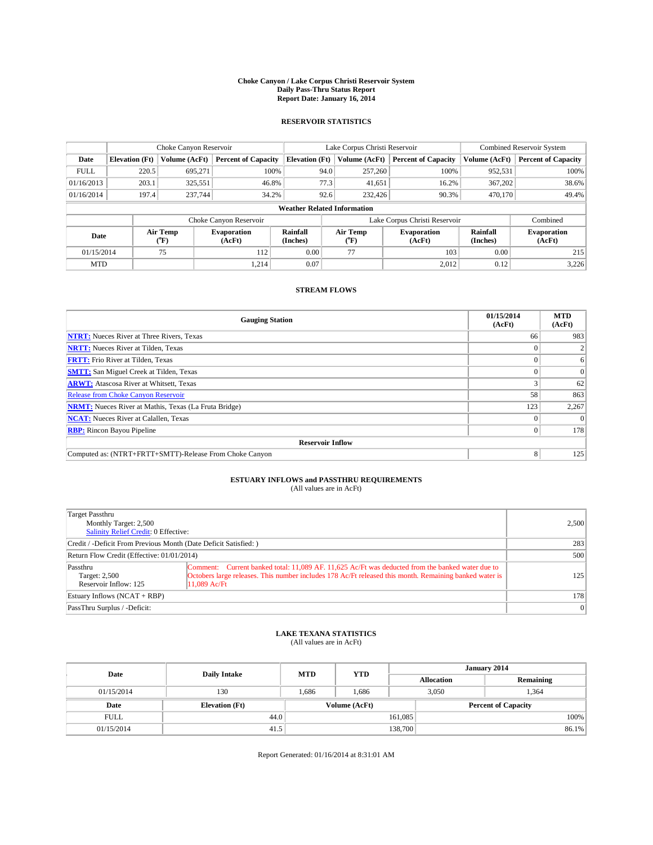#### **Choke Canyon / Lake Corpus Christi Reservoir System Daily Pass-Thru Status Report Report Date: January 16, 2014**

### **RESERVOIR STATISTICS**

|             | Choke Canyon Reservoir |                  |                              |                                    | Lake Corpus Christi Reservoir | <b>Combined Reservoir System</b> |                      |                              |
|-------------|------------------------|------------------|------------------------------|------------------------------------|-------------------------------|----------------------------------|----------------------|------------------------------|
| Date        | <b>Elevation</b> (Ft)  | Volume (AcFt)    | <b>Percent of Capacity</b>   | <b>Elevation (Ft)</b>              | Volume (AcFt)                 | <b>Percent of Capacity</b>       | Volume (AcFt)        | Percent of Capacity          |
| <b>FULL</b> | 220.5                  | 695.271          | 100%                         | 94.0                               | 257,260                       | 100%                             | 952,531              | 100%                         |
| 01/16/2013  | 203.1                  | 325,551          | 46.8%                        | 77.3                               | 41,651                        | 16.2%                            | 367,202              | 38.6%                        |
| 01/16/2014  | 197.4                  | 237,744          | 34.2%                        | 92.6                               | 232,426                       | 90.3%                            | 470,170              | 49.4%                        |
|             |                        |                  |                              | <b>Weather Related Information</b> |                               |                                  |                      |                              |
|             |                        |                  | Choke Canyon Reservoir       |                                    |                               | Lake Corpus Christi Reservoir    |                      | Combined                     |
| Date        |                        | Air Temp<br>(°F) | <b>Evaporation</b><br>(AcFt) | Rainfall<br>(Inches)               | Air Temp<br>("F)              | <b>Evaporation</b><br>(AcFt)     | Rainfall<br>(Inches) | <b>Evaporation</b><br>(AcFt) |
| 01/15/2014  |                        | 75               | 112                          | 0.00                               | 77                            | 103                              | 0.00                 | 215                          |
| <b>MTD</b>  |                        |                  | 1,214                        | 0.07                               |                               | 2,012                            | 0.12                 | 3,226                        |

### **STREAM FLOWS**

| <b>Gauging Station</b>                                       | 01/15/2014<br>(AcFt) | <b>MTD</b><br>(AcFt) |  |  |  |
|--------------------------------------------------------------|----------------------|----------------------|--|--|--|
| <b>NTRT:</b> Nueces River at Three Rivers, Texas             | 66                   | 983                  |  |  |  |
| <b>NRTT:</b> Nueces River at Tilden, Texas                   |                      |                      |  |  |  |
| <b>FRTT:</b> Frio River at Tilden, Texas                     |                      | 6                    |  |  |  |
| <b>SMTT:</b> San Miguel Creek at Tilden, Texas               |                      | $\Omega$             |  |  |  |
| <b>ARWT:</b> Atascosa River at Whitsett, Texas               |                      | 62                   |  |  |  |
| <b>Release from Choke Canyon Reservoir</b>                   | 58                   | 863                  |  |  |  |
| <b>NRMT:</b> Nueces River at Mathis, Texas (La Fruta Bridge) | 123                  | 2,267                |  |  |  |
| <b>NCAT:</b> Nueces River at Calallen, Texas                 |                      | $\Omega$             |  |  |  |
| <b>RBP:</b> Rincon Bayou Pipeline                            | 0                    | 178                  |  |  |  |
| <b>Reservoir Inflow</b>                                      |                      |                      |  |  |  |
| Computed as: (NTRT+FRTT+SMTT)-Release From Choke Canyon      | 8                    | 125                  |  |  |  |

## **ESTUARY INFLOWS and PASSTHRU REQUIREMENTS**<br>(All values are in AcFt)

| Target Passthru<br>Monthly Target: 2,500<br>Salinity Relief Credit: 0 Effective: | 2,500                                                                                                                                                                                                                        |                 |
|----------------------------------------------------------------------------------|------------------------------------------------------------------------------------------------------------------------------------------------------------------------------------------------------------------------------|-----------------|
| Credit / -Deficit From Previous Month (Date Deficit Satisfied: )                 | 283                                                                                                                                                                                                                          |                 |
| Return Flow Credit (Effective: 01/01/2014)                                       | 500                                                                                                                                                                                                                          |                 |
| Passthru<br>Target: 2,500<br>Reservoir Inflow: 125                               | Comment: Current banked total: 11,089 AF. 11,625 Ac/Ft was deducted from the banked water due to<br>Octobers large releases. This number includes 178 Ac/Ft released this month. Remaining banked water is<br>$11.089$ Ac/Ft | 125             |
| Estuary Inflows $(NCAT + RBP)$                                                   |                                                                                                                                                                                                                              | 178             |
| PassThru Surplus / -Deficit:                                                     |                                                                                                                                                                                                                              | $\vert 0 \vert$ |

## **LAKE TEXANA STATISTICS** (All values are in AcFt)

| Date        | <b>Daily Intake</b>   | <b>MTD</b> | <b>YTD</b>    | January 2014      |                            |           |       |
|-------------|-----------------------|------------|---------------|-------------------|----------------------------|-----------|-------|
|             |                       |            |               | <b>Allocation</b> |                            | Remaining |       |
| 01/15/2014  | 130                   | 1.686      | 1.686         | 3,050             |                            | 1.364     |       |
| Date        | <b>Elevation</b> (Ft) |            | Volume (AcFt) |                   | <b>Percent of Capacity</b> |           |       |
| <b>FULL</b> | 44.0                  |            |               | 161,085           |                            |           | 100%  |
| 01/15/2014  | 41.5                  |            |               | 138,700           |                            |           | 86.1% |

Report Generated: 01/16/2014 at 8:31:01 AM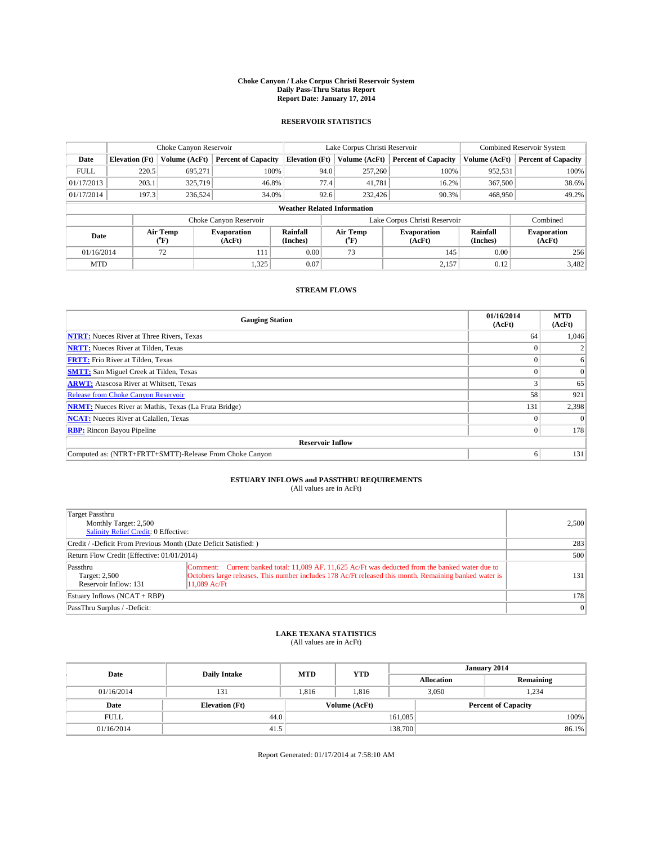#### **Choke Canyon / Lake Corpus Christi Reservoir System Daily Pass-Thru Status Report Report Date: January 17, 2014**

### **RESERVOIR STATISTICS**

|             | Choke Canyon Reservoir |                  |                              |                                    | Lake Corpus Christi Reservoir | Combined Reservoir System     |                      |                              |
|-------------|------------------------|------------------|------------------------------|------------------------------------|-------------------------------|-------------------------------|----------------------|------------------------------|
| Date        | <b>Elevation</b> (Ft)  | Volume (AcFt)    | <b>Percent of Capacity</b>   | <b>Elevation (Ft)</b>              | Volume (AcFt)                 | <b>Percent of Capacity</b>    | Volume (AcFt)        | <b>Percent of Capacity</b>   |
| <b>FULL</b> | 220.5                  | 695.271          | 100%                         | 94.0                               | 257,260                       | 100%                          | 952,531              | 100%                         |
| 01/17/2013  | 203.1                  | 325,719          | 46.8%                        | 77.4                               | 41,781                        | 16.2%                         | 367,500              | 38.6%                        |
| 01/17/2014  | 197.3                  | 236,524          | 34.0%                        | 92.6                               | 232,426                       | 90.3%                         | 468,950              | 49.2%                        |
|             |                        |                  |                              | <b>Weather Related Information</b> |                               |                               |                      |                              |
|             |                        |                  | Choke Canyon Reservoir       |                                    |                               | Lake Corpus Christi Reservoir |                      | Combined                     |
| Date        |                        | Air Temp<br>(°F) | <b>Evaporation</b><br>(AcFt) | Rainfall<br>(Inches)               | Air Temp<br>$(^{0}F)$         | <b>Evaporation</b><br>(AcFt)  | Rainfall<br>(Inches) | <b>Evaporation</b><br>(AcFt) |
| 01/16/2014  |                        | 72               | 111                          | 0.00                               | 73                            | 145                           | 0.00                 | 256                          |
| <b>MTD</b>  |                        |                  | 1,325                        | 0.07                               |                               | 2,157                         | 0.12                 | 3,482                        |

### **STREAM FLOWS**

| <b>Gauging Station</b>                                       | 01/16/2014<br>(AcFt) | <b>MTD</b><br>(AcFt) |  |  |  |
|--------------------------------------------------------------|----------------------|----------------------|--|--|--|
| <b>NTRT:</b> Nueces River at Three Rivers, Texas             | 64                   | 1,046                |  |  |  |
| <b>NRTT:</b> Nueces River at Tilden, Texas                   |                      |                      |  |  |  |
| <b>FRTT:</b> Frio River at Tilden, Texas                     |                      | 6                    |  |  |  |
| <b>SMTT:</b> San Miguel Creek at Tilden, Texas               |                      | $\Omega$             |  |  |  |
| <b>ARWT:</b> Atascosa River at Whitsett, Texas               |                      | 65                   |  |  |  |
| <b>Release from Choke Canyon Reservoir</b>                   | 58                   | 921                  |  |  |  |
| <b>NRMT:</b> Nueces River at Mathis, Texas (La Fruta Bridge) | 131                  | 2,398                |  |  |  |
| <b>NCAT:</b> Nueces River at Calallen, Texas                 |                      | $\Omega$             |  |  |  |
| <b>RBP:</b> Rincon Bayou Pipeline                            | 0 <sup>1</sup>       | 178                  |  |  |  |
| <b>Reservoir Inflow</b>                                      |                      |                      |  |  |  |
| Computed as: (NTRT+FRTT+SMTT)-Release From Choke Canyon      | 6                    | 131                  |  |  |  |

# **ESTUARY INFLOWS and PASSTHRU REQUIREMENTS**<br>(All values are in AcFt)

| Target Passthru<br>Monthly Target: 2,500<br>Salinity Relief Credit: 0 Effective: |                                                                                                                                                                                                                            | 2.500           |
|----------------------------------------------------------------------------------|----------------------------------------------------------------------------------------------------------------------------------------------------------------------------------------------------------------------------|-----------------|
| Credit / -Deficit From Previous Month (Date Deficit Satisfied: )                 | 283                                                                                                                                                                                                                        |                 |
| Return Flow Credit (Effective: 01/01/2014)                                       | 500                                                                                                                                                                                                                        |                 |
| Passthru<br>Target: 2,500<br>Reservoir Inflow: 131                               | Comment: Current banked total: 11,089 AF, 11,625 Ac/Ft was deducted from the banked water due to<br>Octobers large releases. This number includes 178 Ac/Ft released this month. Remaining banked water is<br>11.089 Ac/Ft | 131             |
| Estuary Inflows (NCAT + RBP)                                                     |                                                                                                                                                                                                                            | 178             |
| PassThru Surplus / -Deficit:                                                     |                                                                                                                                                                                                                            | $\vert 0 \vert$ |

# **LAKE TEXANA STATISTICS** (All values are in AcFt)

| Date        | <b>Daily Intake</b>   | <b>MTD</b> | <b>YTD</b>    | January 2014      |                            |           |       |
|-------------|-----------------------|------------|---------------|-------------------|----------------------------|-----------|-------|
|             |                       |            |               | <b>Allocation</b> |                            | Remaining |       |
| 01/16/2014  | 131                   | 1.816      | 1,816         | 3,050             |                            | 1.234     |       |
| Date        | <b>Elevation</b> (Ft) |            | Volume (AcFt) |                   | <b>Percent of Capacity</b> |           |       |
| <b>FULL</b> | 44.0                  |            |               | 161,085           |                            |           | 100%  |
| 01/16/2014  | 41.5                  |            |               | 138,700           |                            |           | 86.1% |

Report Generated: 01/17/2014 at 7:58:10 AM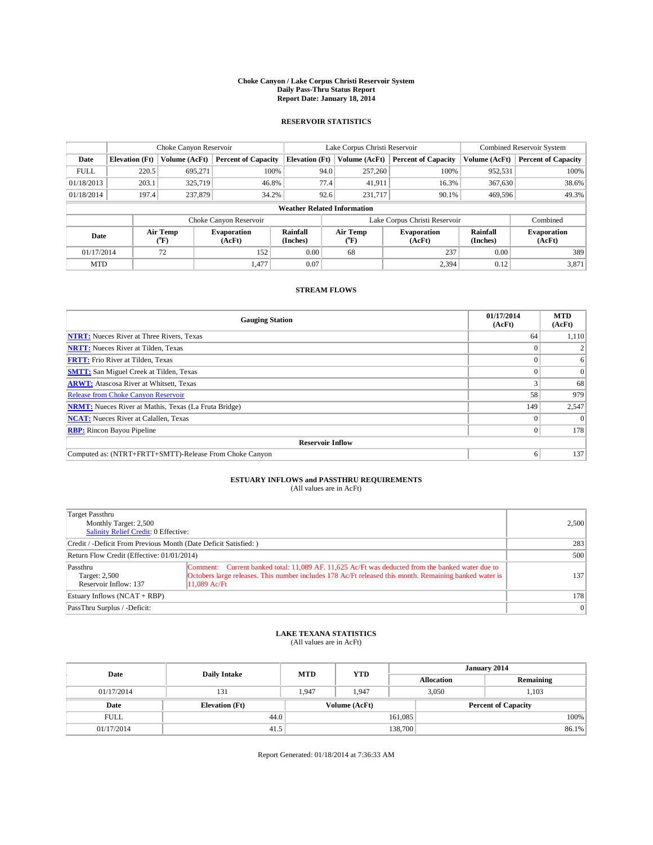#### **Choke Canyon / Lake Corpus Christi Reservoir System Daily Pass-Thru Status Report Report Date: January 18, 2014**

### **RESERVOIR STATISTICS**

|             |                       | Choke Canyon Reservoir |                              |                                    | Lake Corpus Christi Reservoir | <b>Combined Reservoir System</b> |                      |                              |
|-------------|-----------------------|------------------------|------------------------------|------------------------------------|-------------------------------|----------------------------------|----------------------|------------------------------|
| Date        | <b>Elevation</b> (Ft) | Volume (AcFt)          | <b>Percent of Capacity</b>   | <b>Elevation (Ft)</b>              | Volume (AcFt)                 | <b>Percent of Capacity</b>       | Volume (AcFt)        | Percent of Capacity          |
| <b>FULL</b> | 220.5                 | 695.271                | 100%                         | 94.0                               | 257,260                       | 100%                             | 952,531              | 100%                         |
| 01/18/2013  | 203.1                 | 325,719                | 46.8%                        | 77.4                               | 41,911                        | 16.3%                            | 367,630              | 38.6%                        |
| 01/18/2014  | 197.4                 | 237,879                | 34.2%                        | 92.6                               | 231,717                       | 90.1%                            | 469.596              | 49.3%                        |
|             |                       |                        |                              | <b>Weather Related Information</b> |                               |                                  |                      |                              |
|             |                       |                        | Choke Canyon Reservoir       |                                    |                               | Lake Corpus Christi Reservoir    |                      | Combined                     |
| Date        |                       | Air Temp<br>(°F)       | <b>Evaporation</b><br>(AcFt) | Rainfall<br>(Inches)               | Air Temp<br>(°F)              | <b>Evaporation</b><br>(AcFt)     | Rainfall<br>(Inches) | <b>Evaporation</b><br>(AcFt) |
| 01/17/2014  |                       | 72                     | 152                          | 0.00<br>68                         |                               | 237                              | 0.00                 | 389                          |
| <b>MTD</b>  |                       |                        | 1,477                        | 0.07                               |                               | 2,394                            | 0.12                 | 3,871                        |

### **STREAM FLOWS**

| <b>Gauging Station</b>                                       | 01/17/2014<br>(AcFt) | <b>MTD</b><br>(AcFt) |  |  |  |
|--------------------------------------------------------------|----------------------|----------------------|--|--|--|
| <b>NTRT:</b> Nueces River at Three Rivers, Texas             | 64                   | 1,110                |  |  |  |
| <b>NRTT:</b> Nueces River at Tilden, Texas                   |                      |                      |  |  |  |
| <b>FRTT:</b> Frio River at Tilden, Texas                     |                      | 6                    |  |  |  |
| <b>SMTT:</b> San Miguel Creek at Tilden, Texas               |                      | $\overline{0}$       |  |  |  |
| <b>ARWT:</b> Atascosa River at Whitsett, Texas               |                      | 68                   |  |  |  |
| <b>Release from Choke Canyon Reservoir</b>                   | 58                   | 979                  |  |  |  |
| <b>NRMT:</b> Nueces River at Mathis, Texas (La Fruta Bridge) | 149                  | 2,547                |  |  |  |
| <b>NCAT:</b> Nueces River at Calallen, Texas                 |                      | $\Omega$             |  |  |  |
| <b>RBP:</b> Rincon Bayou Pipeline                            | 0                    | 178                  |  |  |  |
| <b>Reservoir Inflow</b>                                      |                      |                      |  |  |  |
| Computed as: (NTRT+FRTT+SMTT)-Release From Choke Canyon      | 6                    | 137                  |  |  |  |

# **ESTUARY INFLOWS and PASSTHRU REQUIREMENTS**<br>(All values are in AcFt)

| Target Passthru<br>Monthly Target: 2,500<br>Salinity Relief Credit: 0 Effective: | 2,500                                                                                                                                                                                                                        |           |  |  |
|----------------------------------------------------------------------------------|------------------------------------------------------------------------------------------------------------------------------------------------------------------------------------------------------------------------------|-----------|--|--|
| Credit / -Deficit From Previous Month (Date Deficit Satisfied: )                 | 283                                                                                                                                                                                                                          |           |  |  |
| Return Flow Credit (Effective: 01/01/2014)                                       |                                                                                                                                                                                                                              |           |  |  |
| Passthru<br>Target: 2,500<br>Reservoir Inflow: 137                               | Comment: Current banked total: 11,089 AF, 11,625 Ac/Ft was deducted from the banked water due to<br>Octobers large releases. This number includes 178 Ac/Ft released this month. Remaining banked water is<br>$11.089$ Ac/Ft | 137       |  |  |
| Estuary Inflows (NCAT + RBP)                                                     |                                                                                                                                                                                                                              | 178       |  |  |
| PassThru Surplus / -Deficit:                                                     |                                                                                                                                                                                                                              | $\vert$ 0 |  |  |

## **LAKE TEXANA STATISTICS** (All values are in AcFt)

| Date        | <b>Daily Intake</b>   | <b>MTD</b> | <b>YTD</b>    | January 2014      |                            |           |  |
|-------------|-----------------------|------------|---------------|-------------------|----------------------------|-----------|--|
|             |                       |            |               | <b>Allocation</b> |                            | Remaining |  |
| 01/17/2014  | 131                   | 1.947      | 1.947         | 3,050             |                            | 1.103     |  |
| Date        | <b>Elevation</b> (Ft) |            | Volume (AcFt) |                   | <b>Percent of Capacity</b> |           |  |
| <b>FULL</b> | 44.0                  |            |               | 161,085           |                            | 100%      |  |
| 01/17/2014  | 41.5                  |            |               | 138,700           |                            | 86.1%     |  |

Report Generated: 01/18/2014 at 7:36:33 AM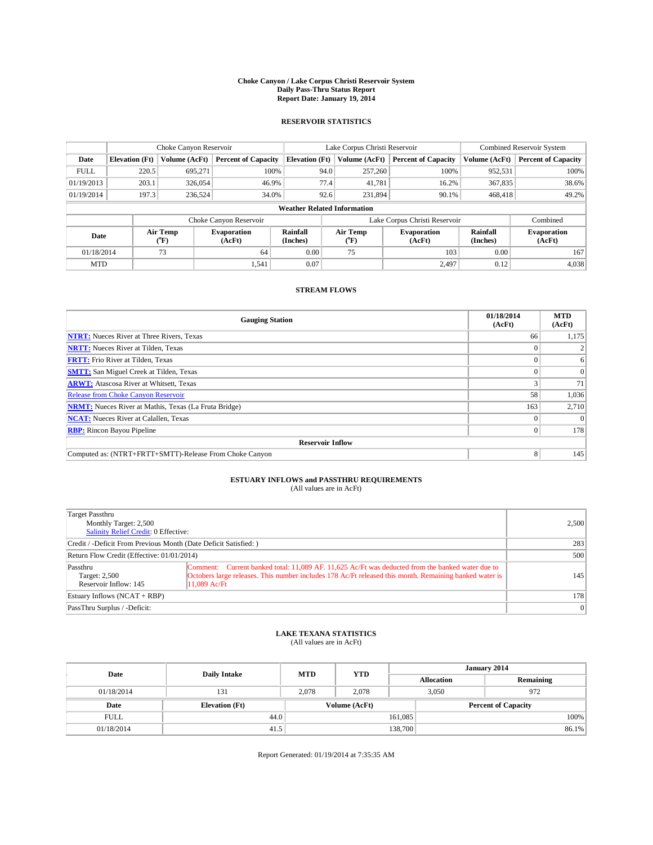#### **Choke Canyon / Lake Corpus Christi Reservoir System Daily Pass-Thru Status Report Report Date: January 19, 2014**

### **RESERVOIR STATISTICS**

|             |                        | Choke Canyon Reservoir |                              |                                    | Lake Corpus Christi Reservoir | <b>Combined Reservoir System</b> |                      |                              |
|-------------|------------------------|------------------------|------------------------------|------------------------------------|-------------------------------|----------------------------------|----------------------|------------------------------|
| Date        | <b>Elevation</b> (Ft)  | Volume (AcFt)          | <b>Percent of Capacity</b>   | <b>Elevation (Ft)</b>              | Volume (AcFt)                 | <b>Percent of Capacity</b>       | Volume (AcFt)        | Percent of Capacity          |
| <b>FULL</b> | 220.5                  | 695.271                | 100%                         | 94.0                               | 257,260                       | 100%                             | 952,531              | 100%                         |
| 01/19/2013  | 203.1                  | 326,054                | 46.9%                        | 77.4                               | 41,781                        | 16.2%                            | 367,835              | 38.6%                        |
| 01/19/2014  | 197.3                  | 236,524                | 34.0%                        | 92.6                               | 231,894                       | 90.1%                            | 468,418              | 49.2%                        |
|             |                        |                        |                              | <b>Weather Related Information</b> |                               |                                  |                      |                              |
|             |                        |                        | Choke Canyon Reservoir       |                                    | Lake Corpus Christi Reservoir |                                  | Combined             |                              |
| Date        |                        | Air Temp<br>(°F)       | <b>Evaporation</b><br>(AcFt) | Rainfall<br>(Inches)               | Air Temp<br>(°F)              | <b>Evaporation</b><br>(AcFt)     | Rainfall<br>(Inches) | <b>Evaporation</b><br>(AcFt) |
|             | 01/18/2014<br>73<br>64 |                        | 0.00                         | 75                                 | 103                           | 0.00                             | 167                  |                              |
| <b>MTD</b>  |                        |                        | 1,541                        | 0.07                               |                               | 2.497                            | 0.12                 | 4,038                        |

### **STREAM FLOWS**

| <b>Gauging Station</b>                                       | 01/18/2014<br>(AcFt) | <b>MTD</b><br>(AcFt) |  |  |  |  |
|--------------------------------------------------------------|----------------------|----------------------|--|--|--|--|
| <b>NTRT:</b> Nueces River at Three Rivers, Texas             | 66                   | 1,175                |  |  |  |  |
| <b>NRTT:</b> Nueces River at Tilden, Texas                   |                      |                      |  |  |  |  |
| <b>FRTT:</b> Frio River at Tilden, Texas                     |                      | 6                    |  |  |  |  |
| <b>SMTT:</b> San Miguel Creek at Tilden, Texas               |                      | $\Omega$             |  |  |  |  |
| <b>ARWT:</b> Atascosa River at Whitsett, Texas               |                      | 71                   |  |  |  |  |
| <b>Release from Choke Canyon Reservoir</b>                   | 58                   | 1,036                |  |  |  |  |
| <b>NRMT:</b> Nueces River at Mathis, Texas (La Fruta Bridge) | 163                  | 2,710                |  |  |  |  |
| <b>NCAT:</b> Nueces River at Calallen, Texas                 |                      | $\Omega$             |  |  |  |  |
| <b>RBP:</b> Rincon Bayou Pipeline                            | 0                    | 178                  |  |  |  |  |
| <b>Reservoir Inflow</b>                                      |                      |                      |  |  |  |  |
| Computed as: (NTRT+FRTT+SMTT)-Release From Choke Canyon      | 8                    | 145                  |  |  |  |  |

## **ESTUARY INFLOWS and PASSTHRU REQUIREMENTS**<br>(All values are in AcFt)

| Target Passthru<br>Monthly Target: 2,500<br>Salinity Relief Credit: 0 Effective: | 2,500                                                                                                                                                                                                                        |           |
|----------------------------------------------------------------------------------|------------------------------------------------------------------------------------------------------------------------------------------------------------------------------------------------------------------------------|-----------|
| Credit / -Deficit From Previous Month (Date Deficit Satisfied: )                 | 283                                                                                                                                                                                                                          |           |
| Return Flow Credit (Effective: 01/01/2014)                                       | 500                                                                                                                                                                                                                          |           |
| Passthru<br>Target: 2,500<br>Reservoir Inflow: 145                               | Comment: Current banked total: 11,089 AF, 11,625 Ac/Ft was deducted from the banked water due to<br>Octobers large releases. This number includes 178 Ac/Ft released this month. Remaining banked water is<br>$11.089$ Ac/Ft | 145       |
| Estuary Inflows (NCAT + RBP)                                                     |                                                                                                                                                                                                                              | 178       |
| PassThru Surplus / -Deficit:                                                     |                                                                                                                                                                                                                              | $\vert$ 0 |

## **LAKE TEXANA STATISTICS** (All values are in AcFt)

| Date        | <b>Daily Intake</b>   | <b>MTD</b> | <b>YTD</b>    | January 2014      |                            |           |       |
|-------------|-----------------------|------------|---------------|-------------------|----------------------------|-----------|-------|
|             |                       |            |               | <b>Allocation</b> |                            | Remaining |       |
| 01/18/2014  | 131                   | 2.078      | 2.078         |                   | 3,050<br>972               |           |       |
| Date        | <b>Elevation</b> (Ft) |            | Volume (AcFt) |                   | <b>Percent of Capacity</b> |           |       |
| <b>FULL</b> | 44.0                  |            |               | 161,085           |                            |           | 100%  |
| 01/18/2014  | 41.5                  |            |               | 138,700           |                            |           | 86.1% |

Report Generated: 01/19/2014 at 7:35:35 AM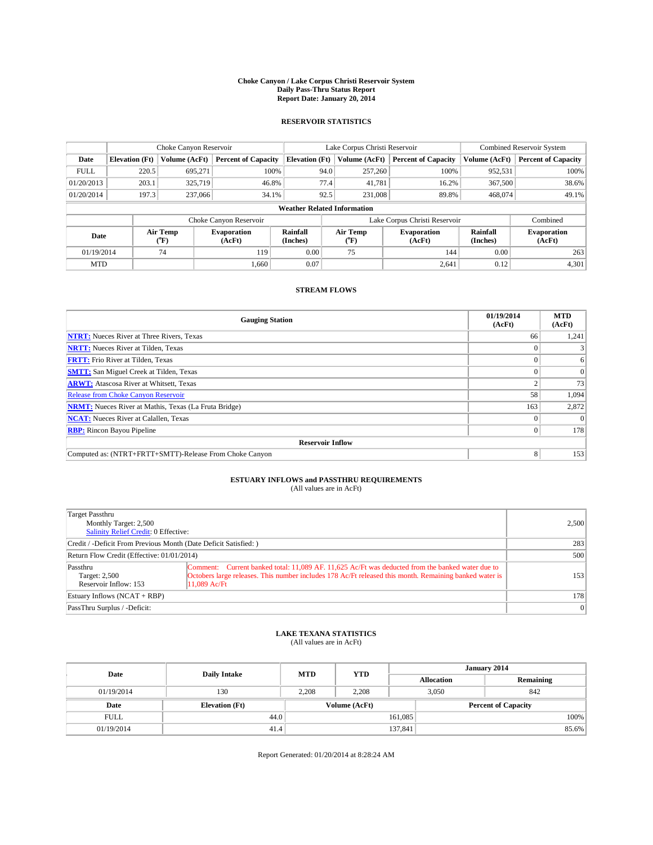#### **Choke Canyon / Lake Corpus Christi Reservoir System Daily Pass-Thru Status Report Report Date: January 20, 2014**

### **RESERVOIR STATISTICS**

|             |                       | Choke Canyon Reservoir |                              |                                    | Lake Corpus Christi Reservoir | <b>Combined Reservoir System</b> |                      |                              |
|-------------|-----------------------|------------------------|------------------------------|------------------------------------|-------------------------------|----------------------------------|----------------------|------------------------------|
| Date        | <b>Elevation</b> (Ft) | Volume (AcFt)          | <b>Percent of Capacity</b>   | <b>Elevation (Ft)</b>              | Volume (AcFt)                 | <b>Percent of Capacity</b>       | Volume (AcFt)        | Percent of Capacity          |
| <b>FULL</b> | 220.5                 | 695,271                | 100%                         | 94.0                               | 257,260                       | 100%                             | 952,531              | 100%                         |
| 01/20/2013  | 203.1                 | 325,719                | 46.8%                        | 77.4                               | 41,781                        | 16.2%                            | 367,500              | 38.6%                        |
| 01/20/2014  | 197.3                 | 237,066                | 34.1%                        | 92.5                               | 231,008                       | 89.8%                            | 468,074              | 49.1%                        |
|             |                       |                        |                              | <b>Weather Related Information</b> |                               |                                  |                      |                              |
|             |                       |                        | Choke Canyon Reservoir       |                                    |                               | Lake Corpus Christi Reservoir    |                      | Combined                     |
| Date        |                       | Air Temp<br>(°F)       | <b>Evaporation</b><br>(AcFt) | Rainfall<br>(Inches)               | Air Temp<br>("F)              | <b>Evaporation</b><br>(AcFt)     | Rainfall<br>(Inches) | <b>Evaporation</b><br>(AcFt) |
| 01/19/2014  |                       | 74                     | 119                          | 0.00                               | 75<br>144                     |                                  | 0.00                 | 263                          |
| <b>MTD</b>  |                       |                        | 1.660                        | 0.07                               |                               | 2,641                            | 0.12                 | 4,301                        |

### **STREAM FLOWS**

| <b>Gauging Station</b>                                       | 01/19/2014<br>(AcFt) | <b>MTD</b><br>(AcFt) |  |  |  |  |
|--------------------------------------------------------------|----------------------|----------------------|--|--|--|--|
| <b>NTRT:</b> Nueces River at Three Rivers, Texas             | 66                   | 1,241                |  |  |  |  |
| <b>NRTT:</b> Nueces River at Tilden, Texas                   |                      |                      |  |  |  |  |
| <b>FRTT:</b> Frio River at Tilden, Texas                     |                      | 6                    |  |  |  |  |
| <b>SMTT:</b> San Miguel Creek at Tilden, Texas               |                      | $\Omega$             |  |  |  |  |
| <b>ARWT:</b> Atascosa River at Whitsett, Texas               |                      | 73                   |  |  |  |  |
| <b>Release from Choke Canyon Reservoir</b>                   | 58                   | 1,094                |  |  |  |  |
| <b>NRMT:</b> Nueces River at Mathis, Texas (La Fruta Bridge) | 163                  | 2,872                |  |  |  |  |
| <b>NCAT:</b> Nueces River at Calallen, Texas                 |                      | $\Omega$             |  |  |  |  |
| <b>RBP:</b> Rincon Bayou Pipeline                            | 0                    | 178                  |  |  |  |  |
| <b>Reservoir Inflow</b>                                      |                      |                      |  |  |  |  |
| Computed as: (NTRT+FRTT+SMTT)-Release From Choke Canyon      | 8                    | 153                  |  |  |  |  |

## **ESTUARY INFLOWS and PASSTHRU REQUIREMENTS**<br>(All values are in AcFt)

| Target Passthru<br>Monthly Target: 2,500<br>Salinity Relief Credit: 0 Effective: |                                                                                                                                                                                                                              | 2,500     |
|----------------------------------------------------------------------------------|------------------------------------------------------------------------------------------------------------------------------------------------------------------------------------------------------------------------------|-----------|
| Credit / -Deficit From Previous Month (Date Deficit Satisfied: )                 | 283                                                                                                                                                                                                                          |           |
| Return Flow Credit (Effective: 01/01/2014)                                       | 500                                                                                                                                                                                                                          |           |
| Passthru<br>Target: 2,500<br>Reservoir Inflow: 153                               | Comment: Current banked total: 11,089 AF, 11,625 Ac/Ft was deducted from the banked water due to<br>Octobers large releases. This number includes 178 Ac/Ft released this month. Remaining banked water is<br>$11.089$ Ac/Ft | 153       |
| Estuary Inflows (NCAT + RBP)                                                     |                                                                                                                                                                                                                              | 178       |
| PassThru Surplus / -Deficit:                                                     |                                                                                                                                                                                                                              | $\vert$ 0 |

## **LAKE TEXANA STATISTICS** (All values are in AcFt)

| Date        | <b>Daily Intake</b>   | <b>MTD</b> | <b>YTD</b>    | January 2014      |                            |           |       |
|-------------|-----------------------|------------|---------------|-------------------|----------------------------|-----------|-------|
|             |                       |            |               | <b>Allocation</b> |                            | Remaining |       |
| 01/19/2014  | 130                   | 2.208      | 2.208         |                   | 3,050<br>842               |           |       |
| Date        | <b>Elevation</b> (Ft) |            | Volume (AcFt) |                   | <b>Percent of Capacity</b> |           |       |
| <b>FULL</b> | 44.0                  |            |               | 161,085           |                            |           | 100%  |
| 01/19/2014  | 41.4                  |            |               | 137,841           |                            |           | 85.6% |

Report Generated: 01/20/2014 at 8:28:24 AM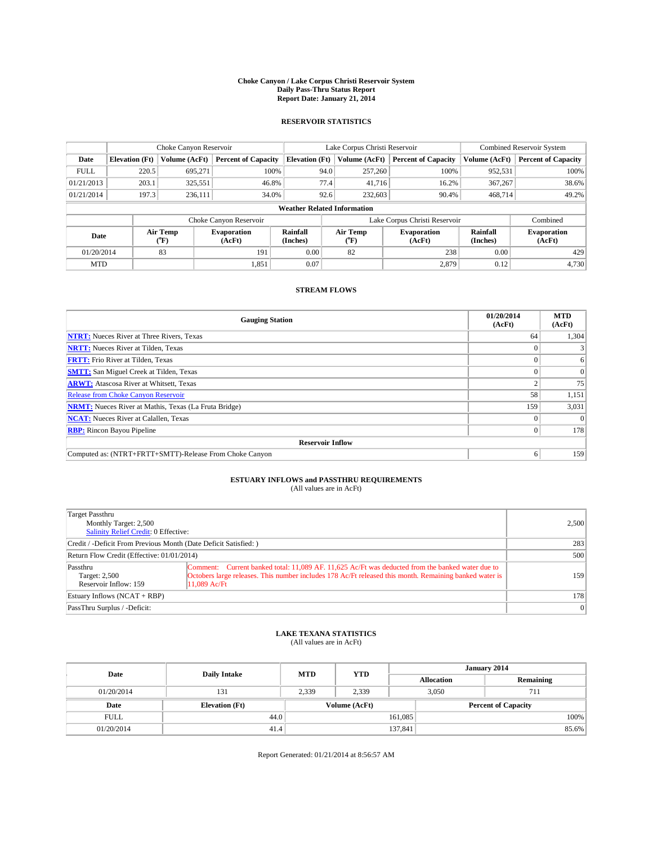#### **Choke Canyon / Lake Corpus Christi Reservoir System Daily Pass-Thru Status Report Report Date: January 21, 2014**

### **RESERVOIR STATISTICS**

|             |                       | Choke Canyon Reservoir |                              |                                    | Lake Corpus Christi Reservoir | Combined Reservoir System    |                      |                              |
|-------------|-----------------------|------------------------|------------------------------|------------------------------------|-------------------------------|------------------------------|----------------------|------------------------------|
| Date        | <b>Elevation</b> (Ft) | Volume (AcFt)          | <b>Percent of Capacity</b>   | <b>Elevation (Ft)</b>              | Volume (AcFt)                 | <b>Percent of Capacity</b>   | Volume (AcFt)        | <b>Percent of Capacity</b>   |
| <b>FULL</b> | 220.5                 | 695,271                | 100%                         | 94.0                               | 257,260                       | 100%                         | 952,531              | 100%                         |
| 01/21/2013  | 203.1                 | 325,551                | 46.8%                        | 77.4                               | 41,716                        | 16.2%                        | 367,267              | 38.6%                        |
| 01/21/2014  | 197.3                 | 236,111                | 34.0%                        | 92.6                               | 232,603                       | 90.4%                        | 468.714              | 49.2%                        |
|             |                       |                        |                              | <b>Weather Related Information</b> |                               |                              |                      |                              |
|             |                       |                        | Choke Canyon Reservoir       |                                    | Lake Corpus Christi Reservoir |                              | Combined             |                              |
| Date        |                       | Air Temp<br>(°F)       | <b>Evaporation</b><br>(AcFt) | Rainfall<br>(Inches)               | Air Temp<br>("F)              | <b>Evaporation</b><br>(AcFt) | Rainfall<br>(Inches) | <b>Evaporation</b><br>(AcFt) |
| 01/20/2014  |                       | 83                     | 191                          | 0.00                               | 82                            | 238                          | 0.00                 | 429                          |
| <b>MTD</b>  |                       |                        | 1,851                        | 0.07                               |                               | 2,879                        | 0.12                 | 4,730                        |

### **STREAM FLOWS**

| <b>Gauging Station</b>                                       | 01/20/2014<br>(AcFt) | <b>MTD</b><br>(AcFt) |  |  |  |  |
|--------------------------------------------------------------|----------------------|----------------------|--|--|--|--|
| <b>NTRT:</b> Nueces River at Three Rivers, Texas             | 64                   | 1,304                |  |  |  |  |
| <b>NRTT:</b> Nueces River at Tilden, Texas                   |                      |                      |  |  |  |  |
| <b>FRTT:</b> Frio River at Tilden, Texas                     |                      | 6                    |  |  |  |  |
| <b>SMTT:</b> San Miguel Creek at Tilden, Texas               |                      | $\Omega$             |  |  |  |  |
| <b>ARWT:</b> Atascosa River at Whitsett, Texas               |                      | 75                   |  |  |  |  |
| <b>Release from Choke Canyon Reservoir</b>                   | 58                   | 1,151                |  |  |  |  |
| <b>NRMT:</b> Nueces River at Mathis, Texas (La Fruta Bridge) | 159                  | 3,031                |  |  |  |  |
| <b>NCAT:</b> Nueces River at Calallen, Texas                 |                      | $\Omega$             |  |  |  |  |
| <b>RBP:</b> Rincon Bayou Pipeline                            | 0                    | 178                  |  |  |  |  |
| <b>Reservoir Inflow</b>                                      |                      |                      |  |  |  |  |
| Computed as: (NTRT+FRTT+SMTT)-Release From Choke Canyon      | 6                    | 159                  |  |  |  |  |

# **ESTUARY INFLOWS and PASSTHRU REQUIREMENTS**<br>(All values are in AcFt)

| Target Passthru<br>Monthly Target: 2,500<br>Salinity Relief Credit: 0 Effective: |                                                                                                                                                                                                                              | 2,500     |
|----------------------------------------------------------------------------------|------------------------------------------------------------------------------------------------------------------------------------------------------------------------------------------------------------------------------|-----------|
| Credit / -Deficit From Previous Month (Date Deficit Satisfied: )                 | 283                                                                                                                                                                                                                          |           |
| Return Flow Credit (Effective: 01/01/2014)                                       | 500                                                                                                                                                                                                                          |           |
| Passthru<br>Target: 2,500<br>Reservoir Inflow: 159                               | Comment: Current banked total: 11,089 AF, 11,625 Ac/Ft was deducted from the banked water due to<br>Octobers large releases. This number includes 178 Ac/Ft released this month. Remaining banked water is<br>$11.089$ Ac/Ft | 159       |
| Estuary Inflows (NCAT + RBP)                                                     |                                                                                                                                                                                                                              | 178       |
| PassThru Surplus / -Deficit:                                                     |                                                                                                                                                                                                                              | $\vert$ 0 |

## **LAKE TEXANA STATISTICS** (All values are in AcFt)

| Date        | <b>Daily Intake</b>   | <b>MTD</b> | <b>YTD</b> | January 2014      |  |                            |  |
|-------------|-----------------------|------------|------------|-------------------|--|----------------------------|--|
|             |                       |            |            | <b>Allocation</b> |  | Remaining                  |  |
| 01/20/2014  | 131                   | 2,339      | 2.339      | 3,050             |  | 711                        |  |
| Date        | <b>Elevation</b> (Ft) |            |            | Volume (AcFt)     |  | <b>Percent of Capacity</b> |  |
| <b>FULL</b> | 44.0                  |            |            | 161,085           |  | 100%                       |  |
| 01/20/2014  | 41.4                  |            |            | 137,841           |  | 85.6%                      |  |

Report Generated: 01/21/2014 at 8:56:57 AM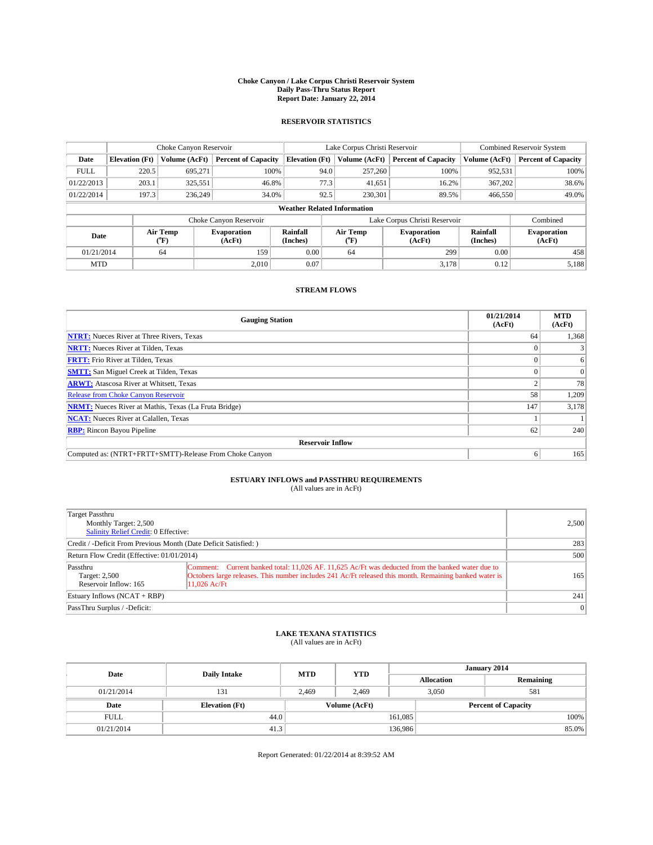#### **Choke Canyon / Lake Corpus Christi Reservoir System Daily Pass-Thru Status Report Report Date: January 22, 2014**

### **RESERVOIR STATISTICS**

|             |                                    | Choke Canyon Reservoir |                              |                       | Lake Corpus Christi Reservoir | <b>Combined Reservoir System</b> |                      |                              |  |  |
|-------------|------------------------------------|------------------------|------------------------------|-----------------------|-------------------------------|----------------------------------|----------------------|------------------------------|--|--|
| Date        | <b>Elevation</b> (Ft)              | Volume (AcFt)          | <b>Percent of Capacity</b>   | <b>Elevation (Ft)</b> | Volume (AcFt)                 | <b>Percent of Capacity</b>       | Volume (AcFt)        | Percent of Capacity          |  |  |
| <b>FULL</b> | 220.5                              | 695.271                | 100%                         |                       | 94.0<br>257,260               | 100%                             | 952,531              | 100%                         |  |  |
| 01/22/2013  | 203.1                              | 325,551                | 46.8%                        |                       | 77.3<br>41,651                | 16.2%                            | 367,202              | 38.6%                        |  |  |
| 01/22/2014  | 197.3                              | 236,249                | 34.0%                        |                       | 92.5<br>230.301               | 89.5%                            | 466,550              | 49.0%                        |  |  |
|             | <b>Weather Related Information</b> |                        |                              |                       |                               |                                  |                      |                              |  |  |
|             |                                    |                        | Choke Canyon Reservoir       |                       | Lake Corpus Christi Reservoir |                                  | Combined             |                              |  |  |
| Date        | Air Temp<br>(°F)                   |                        | <b>Evaporation</b><br>(AcFt) | Rainfall<br>(Inches)  | Air Temp<br>(°F)              | <b>Evaporation</b><br>(AcFt)     | Rainfall<br>(Inches) | <b>Evaporation</b><br>(AcFt) |  |  |
| 01/21/2014  |                                    | 64                     | 159                          | 0.00                  | 64                            | 299                              | 0.00                 | 458                          |  |  |
| <b>MTD</b>  |                                    |                        | 2.010                        | 0.07                  |                               | 3,178                            | 0.12                 | 5,188                        |  |  |

### **STREAM FLOWS**

| <b>Gauging Station</b>                                       | 01/21/2014<br>(AcFt) | <b>MTD</b><br>(AcFt) |  |  |  |  |  |
|--------------------------------------------------------------|----------------------|----------------------|--|--|--|--|--|
| <b>NTRT:</b> Nueces River at Three Rivers, Texas             | 64                   | 1,368                |  |  |  |  |  |
| <b>NRTT:</b> Nueces River at Tilden, Texas                   |                      |                      |  |  |  |  |  |
| <b>FRTT:</b> Frio River at Tilden, Texas                     |                      | 6                    |  |  |  |  |  |
| <b>SMTT:</b> San Miguel Creek at Tilden, Texas               |                      | $\Omega$             |  |  |  |  |  |
| <b>ARWT:</b> Atascosa River at Whitsett, Texas               |                      | 78                   |  |  |  |  |  |
| <b>Release from Choke Canyon Reservoir</b>                   | 58                   | 1,209                |  |  |  |  |  |
| <b>NRMT:</b> Nueces River at Mathis, Texas (La Fruta Bridge) | 147                  | 3,178                |  |  |  |  |  |
| <b>NCAT:</b> Nueces River at Calallen, Texas                 |                      |                      |  |  |  |  |  |
| <b>RBP:</b> Rincon Bayou Pipeline                            | 62                   | 240                  |  |  |  |  |  |
| <b>Reservoir Inflow</b>                                      |                      |                      |  |  |  |  |  |
| Computed as: (NTRT+FRTT+SMTT)-Release From Choke Canyon      | 6                    | 165                  |  |  |  |  |  |

# **ESTUARY INFLOWS and PASSTHRU REQUIREMENTS**<br>(All values are in AcFt)

| Target Passthru<br>Monthly Target: 2,500<br>Salinity Relief Credit: 0 Effective: | 2,500                                                                                                                                                                                                                        |           |  |  |
|----------------------------------------------------------------------------------|------------------------------------------------------------------------------------------------------------------------------------------------------------------------------------------------------------------------------|-----------|--|--|
| Credit / -Deficit From Previous Month (Date Deficit Satisfied: )                 |                                                                                                                                                                                                                              |           |  |  |
| Return Flow Credit (Effective: 01/01/2014)                                       | 500                                                                                                                                                                                                                          |           |  |  |
| Passthru<br>Target: 2,500<br>Reservoir Inflow: 165                               | Comment: Current banked total: 11,026 AF, 11,625 Ac/Ft was deducted from the banked water due to<br>Octobers large releases. This number includes 241 Ac/Ft released this month. Remaining banked water is<br>$11.026$ Ac/Ft | 165       |  |  |
| Estuary Inflows (NCAT + RBP)                                                     |                                                                                                                                                                                                                              | 241       |  |  |
| PassThru Surplus / -Deficit:                                                     |                                                                                                                                                                                                                              | $\vert$ 0 |  |  |

## **LAKE TEXANA STATISTICS** (All values are in AcFt)

| Date        | <b>Daily Intake</b>   | <b>MTD</b>    | <b>YTD</b> | January 2014      |                            |           |       |
|-------------|-----------------------|---------------|------------|-------------------|----------------------------|-----------|-------|
|             |                       |               |            | <b>Allocation</b> |                            | Remaining |       |
| 01/21/2014  | 131                   | 2.469         | 2.469      | 3,050             |                            | 581       |       |
| Date        | <b>Elevation</b> (Ft) | Volume (AcFt) |            |                   | <b>Percent of Capacity</b> |           |       |
| <b>FULL</b> | 44.0                  |               |            | 161,085           |                            |           | 100%  |
| 01/21/2014  | 41.3                  |               |            | 136,986           |                            |           | 85.0% |

Report Generated: 01/22/2014 at 8:39:52 AM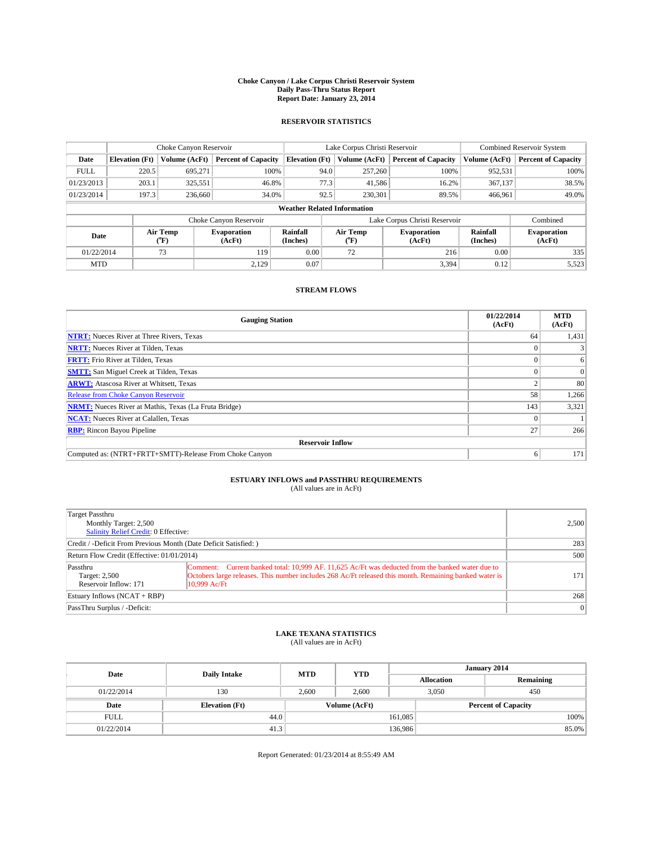#### **Choke Canyon / Lake Corpus Christi Reservoir System Daily Pass-Thru Status Report Report Date: January 23, 2014**

### **RESERVOIR STATISTICS**

|             |                                    | Choke Canyon Reservoir |                              |                       | Lake Corpus Christi Reservoir | <b>Combined Reservoir System</b> |                      |                              |  |  |
|-------------|------------------------------------|------------------------|------------------------------|-----------------------|-------------------------------|----------------------------------|----------------------|------------------------------|--|--|
| Date        | <b>Elevation</b> (Ft)              | Volume (AcFt)          | <b>Percent of Capacity</b>   | <b>Elevation (Ft)</b> | Volume (AcFt)                 | <b>Percent of Capacity</b>       | Volume (AcFt)        | Percent of Capacity          |  |  |
| <b>FULL</b> | 220.5                              | 695.271                | 100%                         | 94.0                  | 257,260                       | 100%                             | 952,531              | 100%                         |  |  |
| 01/23/2013  | 203.1                              | 325,551                | 46.8%                        | 77.3                  | 41,586                        | 16.2%                            | 367,137              | 38.5%                        |  |  |
| 01/23/2014  | 197.3                              | 236,660                | 34.0%                        | 92.5                  | 230.301                       | 89.5%                            | 466.961              | 49.0%                        |  |  |
|             | <b>Weather Related Information</b> |                        |                              |                       |                               |                                  |                      |                              |  |  |
|             |                                    |                        | Choke Canyon Reservoir       |                       | Lake Corpus Christi Reservoir |                                  |                      |                              |  |  |
| Date        |                                    | Air Temp<br>(°F)       | <b>Evaporation</b><br>(AcFt) | Rainfall<br>(Inches)  | Air Temp<br>(°F)              | <b>Evaporation</b><br>(AcFt)     | Rainfall<br>(Inches) | <b>Evaporation</b><br>(AcFt) |  |  |
| 01/22/2014  |                                    | 73                     | 119                          | 0.00                  | 72                            | 216                              | 0.00                 | 335                          |  |  |
| <b>MTD</b>  |                                    |                        | 2.129                        | 0.07                  |                               | 3,394                            | 0.12                 | 5,523                        |  |  |

### **STREAM FLOWS**

| <b>Gauging Station</b>                                       | 01/22/2014<br>(AcFt) | <b>MTD</b><br>(AcFt) |  |  |  |  |  |
|--------------------------------------------------------------|----------------------|----------------------|--|--|--|--|--|
| <b>NTRT:</b> Nueces River at Three Rivers, Texas             | 64                   | 1,431                |  |  |  |  |  |
| <b>NRTT:</b> Nueces River at Tilden, Texas                   |                      |                      |  |  |  |  |  |
| <b>FRTT:</b> Frio River at Tilden, Texas                     |                      | 6                    |  |  |  |  |  |
| <b>SMTT:</b> San Miguel Creek at Tilden, Texas               |                      | $\Omega$             |  |  |  |  |  |
| <b>ARWT:</b> Atascosa River at Whitsett, Texas               |                      | 80                   |  |  |  |  |  |
| <b>Release from Choke Canyon Reservoir</b>                   | 58                   | 1,266                |  |  |  |  |  |
| <b>NRMT:</b> Nueces River at Mathis, Texas (La Fruta Bridge) | 143                  | 3,321                |  |  |  |  |  |
| <b>NCAT:</b> Nueces River at Calallen, Texas                 |                      |                      |  |  |  |  |  |
| <b>RBP:</b> Rincon Bayou Pipeline                            | 27                   | 266                  |  |  |  |  |  |
| <b>Reservoir Inflow</b>                                      |                      |                      |  |  |  |  |  |
| Computed as: (NTRT+FRTT+SMTT)-Release From Choke Canyon      | 6                    | 171                  |  |  |  |  |  |

## **ESTUARY INFLOWS and PASSTHRU REQUIREMENTS**<br>(All values are in AcFt)

| Target Passthru<br>Monthly Target: 2,500<br>Salinity Relief Credit: 0 Effective: |                                                                                                                                                                                                                            | 2,500     |  |  |
|----------------------------------------------------------------------------------|----------------------------------------------------------------------------------------------------------------------------------------------------------------------------------------------------------------------------|-----------|--|--|
| Credit / -Deficit From Previous Month (Date Deficit Satisfied: )                 |                                                                                                                                                                                                                            |           |  |  |
| Return Flow Credit (Effective: 01/01/2014)                                       |                                                                                                                                                                                                                            |           |  |  |
| Passthru<br>Target: 2,500<br>Reservoir Inflow: 171                               | Comment: Current banked total: 10,999 AF, 11,625 Ac/Ft was deducted from the banked water due to<br>Octobers large releases. This number includes 268 Ac/Ft released this month. Remaining banked water is<br>10.999 Ac/Ft | 171       |  |  |
| Estuary Inflows (NCAT + RBP)                                                     |                                                                                                                                                                                                                            | 268       |  |  |
| PassThru Surplus / -Deficit:                                                     |                                                                                                                                                                                                                            | $\vert$ 0 |  |  |

## **LAKE TEXANA STATISTICS** (All values are in AcFt)

| Date        | <b>Daily Intake</b>   | <b>MTD</b>    | <b>YTD</b> | January 2014               |  |           |       |
|-------------|-----------------------|---------------|------------|----------------------------|--|-----------|-------|
|             |                       |               |            | <b>Allocation</b>          |  | Remaining |       |
| 01/22/2014  | 130                   | 2.600         | 2.600      | 3,050                      |  | 450       |       |
| Date        | <b>Elevation</b> (Ft) | Volume (AcFt) |            | <b>Percent of Capacity</b> |  |           |       |
| <b>FULL</b> | 44.0                  |               |            | 161,085                    |  |           | 100%  |
| 01/22/2014  | 41.3                  |               |            | 136,986                    |  |           | 85.0% |

Report Generated: 01/23/2014 at 8:55:49 AM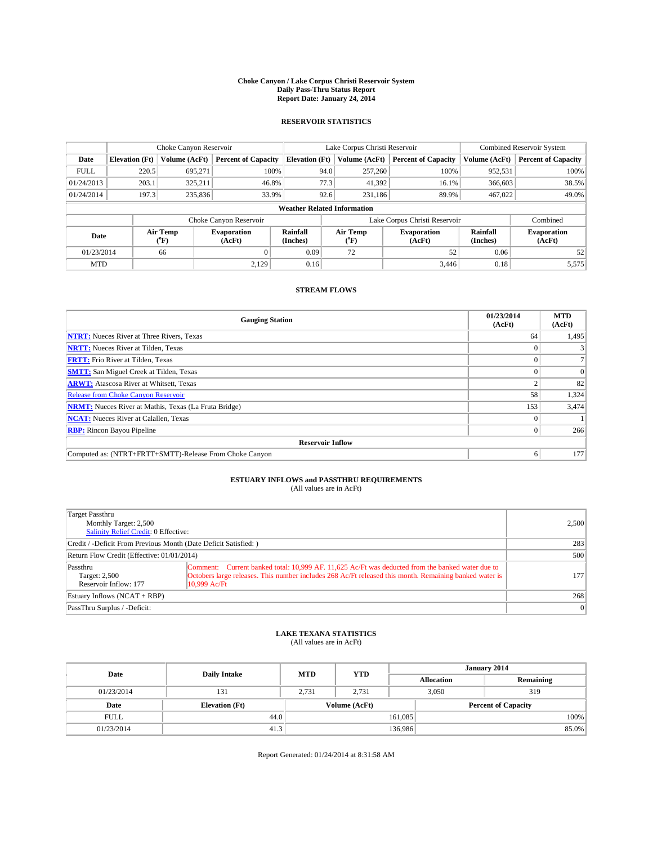#### **Choke Canyon / Lake Corpus Christi Reservoir System Daily Pass-Thru Status Report Report Date: January 24, 2014**

### **RESERVOIR STATISTICS**

|             |                                    | Choke Canyon Reservoir                       |                              |                       | Lake Corpus Christi Reservoir | <b>Combined Reservoir System</b> |                      |                              |  |  |  |         |  |  |  |  |  |       |
|-------------|------------------------------------|----------------------------------------------|------------------------------|-----------------------|-------------------------------|----------------------------------|----------------------|------------------------------|--|--|--|---------|--|--|--|--|--|-------|
| Date        | <b>Elevation</b> (Ft)              | Volume (AcFt)                                | <b>Percent of Capacity</b>   | <b>Elevation (Ft)</b> | Volume (AcFt)                 | <b>Percent of Capacity</b>       | Volume (AcFt)        | Percent of Capacity          |  |  |  |         |  |  |  |  |  |       |
| <b>FULL</b> | 220.5                              | 695.271                                      | 100%                         | 94.0                  | 257,260                       | 100%                             | 952,531              | 100%                         |  |  |  |         |  |  |  |  |  |       |
| 01/24/2013  | 203.1                              | 325,211                                      | 46.8%                        | 77.3                  | 41,392                        | 16.1%                            | 366,603              | 38.5%                        |  |  |  |         |  |  |  |  |  |       |
| 01/24/2014  | 197.3                              | 235,836<br>92.6<br>33.9%<br>231,186<br>89.9% |                              |                       |                               |                                  |                      |                              |  |  |  | 467.022 |  |  |  |  |  | 49.0% |
|             | <b>Weather Related Information</b> |                                              |                              |                       |                               |                                  |                      |                              |  |  |  |         |  |  |  |  |  |       |
|             |                                    |                                              | Choke Canyon Reservoir       |                       | Lake Corpus Christi Reservoir |                                  |                      |                              |  |  |  |         |  |  |  |  |  |       |
| Date        | Air Temp<br>(°F)                   |                                              | <b>Evaporation</b><br>(AcFt) | Rainfall<br>(Inches)  | Air Temp<br>(°F)              | <b>Evaporation</b><br>(AcFt)     | Rainfall<br>(Inches) | <b>Evaporation</b><br>(AcFt) |  |  |  |         |  |  |  |  |  |       |
| 01/23/2014  |                                    | 66                                           |                              | 0.09                  | 72                            | 52                               | 0.06                 | 52                           |  |  |  |         |  |  |  |  |  |       |
| <b>MTD</b>  |                                    |                                              | 2,129                        | 0.16                  |                               | 3.446                            | 0.18                 | 5,575                        |  |  |  |         |  |  |  |  |  |       |

### **STREAM FLOWS**

| <b>Gauging Station</b>                                       | 01/23/2014<br>(AcFt) | <b>MTD</b><br>(AcFt) |  |  |  |  |  |
|--------------------------------------------------------------|----------------------|----------------------|--|--|--|--|--|
| <b>NTRT:</b> Nueces River at Three Rivers, Texas             | 64                   | 1,495                |  |  |  |  |  |
| <b>NRTT:</b> Nueces River at Tilden, Texas                   |                      |                      |  |  |  |  |  |
| <b>FRTT:</b> Frio River at Tilden, Texas                     |                      |                      |  |  |  |  |  |
| <b>SMTT:</b> San Miguel Creek at Tilden, Texas               |                      | $\Omega$             |  |  |  |  |  |
| <b>ARWT:</b> Atascosa River at Whitsett, Texas               |                      | 82                   |  |  |  |  |  |
| <b>Release from Choke Canyon Reservoir</b>                   | 58                   | 1,324                |  |  |  |  |  |
| <b>NRMT:</b> Nueces River at Mathis, Texas (La Fruta Bridge) | 153                  | 3,474                |  |  |  |  |  |
| <b>NCAT:</b> Nueces River at Calallen, Texas                 |                      |                      |  |  |  |  |  |
| <b>RBP:</b> Rincon Bayou Pipeline                            | $\Omega$             | 266                  |  |  |  |  |  |
| <b>Reservoir Inflow</b>                                      |                      |                      |  |  |  |  |  |
| Computed as: (NTRT+FRTT+SMTT)-Release From Choke Canyon      | 6                    | 177                  |  |  |  |  |  |

# **ESTUARY INFLOWS and PASSTHRU REQUIREMENTS**<br>(All values are in AcFt)

| Target Passthru<br>Monthly Target: 2,500<br>Salinity Relief Credit: 0 Effective: |                                                                                                                                                                                                                            |           |  |  |
|----------------------------------------------------------------------------------|----------------------------------------------------------------------------------------------------------------------------------------------------------------------------------------------------------------------------|-----------|--|--|
| Credit / -Deficit From Previous Month (Date Deficit Satisfied: )                 |                                                                                                                                                                                                                            |           |  |  |
| Return Flow Credit (Effective: 01/01/2014)                                       | 500                                                                                                                                                                                                                        |           |  |  |
| Passthru<br>Target: 2,500<br>Reservoir Inflow: 177                               | Comment: Current banked total: 10,999 AF, 11,625 Ac/Ft was deducted from the banked water due to<br>Octobers large releases. This number includes 268 Ac/Ft released this month. Remaining banked water is<br>10.999 Ac/Ft | 177       |  |  |
| Estuary Inflows (NCAT + RBP)                                                     |                                                                                                                                                                                                                            | 268       |  |  |
| PassThru Surplus / -Deficit:                                                     |                                                                                                                                                                                                                            | $\vert$ 0 |  |  |

## **LAKE TEXANA STATISTICS** (All values are in AcFt)

| Date        | <b>Daily Intake</b>   | <b>MTD</b> | <b>YTD</b>    | January 2014               |              |           |       |
|-------------|-----------------------|------------|---------------|----------------------------|--------------|-----------|-------|
|             |                       |            |               | <b>Allocation</b>          |              | Remaining |       |
| 01/23/2014  | 131                   | 2.731      | 2.731         |                            | 3,050<br>319 |           |       |
| Date        | <b>Elevation</b> (Ft) |            | Volume (AcFt) | <b>Percent of Capacity</b> |              |           |       |
| <b>FULL</b> | 44.0                  |            |               | 161,085                    |              |           | 100%  |
| 01/23/2014  | 41.3                  |            |               | 136,986                    |              |           | 85.0% |

Report Generated: 01/24/2014 at 8:31:58 AM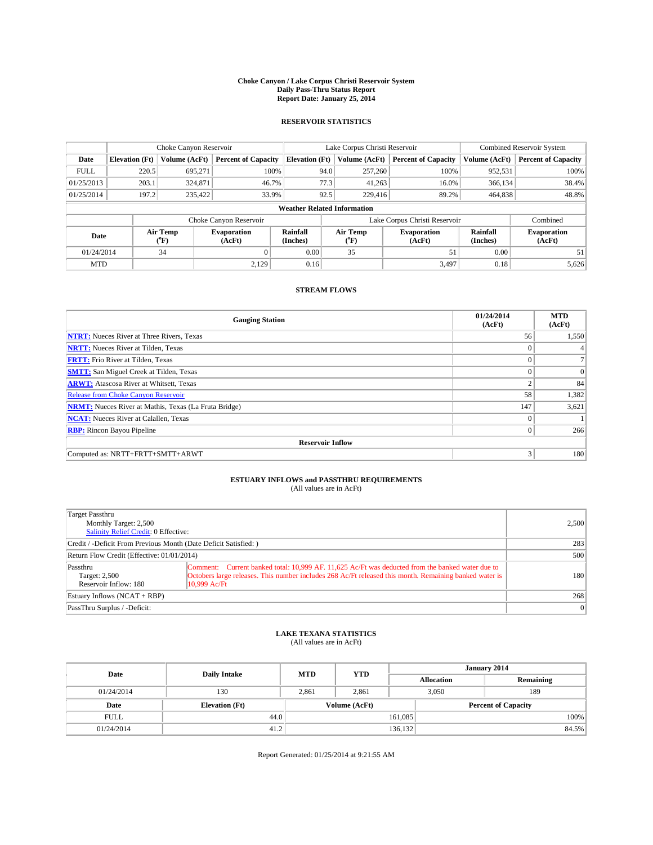#### **Choke Canyon / Lake Corpus Christi Reservoir System Daily Pass-Thru Status Report Report Date: January 25, 2014**

### **RESERVOIR STATISTICS**

|             | Choke Canyon Reservoir             |                  |                            |                      | Lake Corpus Christi Reservoir                                        | <b>Combined Reservoir System</b> |                      |                              |  |  |
|-------------|------------------------------------|------------------|----------------------------|----------------------|----------------------------------------------------------------------|----------------------------------|----------------------|------------------------------|--|--|
| Date        | <b>Elevation</b> (Ft)              | Volume (AcFt)    | <b>Percent of Capacity</b> |                      | <b>Elevation (Ft)</b><br>Volume (AcFt)<br><b>Percent of Capacity</b> |                                  | Volume (AcFt)        | Percent of Capacity          |  |  |
| <b>FULL</b> | 220.5                              | 695,271          | 100%                       | 94.0                 | 257,260                                                              | 100%                             | 952,531              | 100%                         |  |  |
| 01/25/2013  | 203.1                              | 324,871          | 46.7%                      | 77.3                 | 41,263                                                               | 16.0%                            | 366,134              | 38.4%                        |  |  |
| 01/25/2014  | 197.2                              | 235,422          | 33.9%                      | 92.5                 | 229,416                                                              | 89.2%                            | 464,838              | 48.8%                        |  |  |
|             | <b>Weather Related Information</b> |                  |                            |                      |                                                                      |                                  |                      |                              |  |  |
|             |                                    |                  | Choke Canyon Reservoir     |                      | Lake Corpus Christi Reservoir                                        |                                  | Combined             |                              |  |  |
| Date        |                                    | Air Temp<br>(°F) | Evaporation<br>(AcFt)      | Rainfall<br>(Inches) | Air Temp<br>("F)                                                     | <b>Evaporation</b><br>(AcFt)     | Rainfall<br>(Inches) | <b>Evaporation</b><br>(AcFt) |  |  |
| 01/24/2014  |                                    | 34               |                            | 0.00                 | 35                                                                   | 51                               | 0.00                 | 51                           |  |  |
|             | <b>MTD</b>                         |                  | 2.129                      | 0.16                 |                                                                      | 3.497                            | 0.18                 | 5,626                        |  |  |

### **STREAM FLOWS**

| <b>Gauging Station</b>                                       | 01/24/2014<br>(AcFt) | <b>MTD</b><br>(AcFt) |  |  |  |  |  |
|--------------------------------------------------------------|----------------------|----------------------|--|--|--|--|--|
| <b>NTRT:</b> Nueces River at Three Rivers, Texas             | 56                   | 1,550                |  |  |  |  |  |
| <b>NRTT:</b> Nueces River at Tilden, Texas                   | $\theta$             |                      |  |  |  |  |  |
| <b>FRTT:</b> Frio River at Tilden, Texas                     |                      |                      |  |  |  |  |  |
| <b>SMTT:</b> San Miguel Creek at Tilden, Texas               | $\theta$             | $\overline{0}$       |  |  |  |  |  |
| <b>ARWT:</b> Atascosa River at Whitsett, Texas               | $\overline{2}$       | 84                   |  |  |  |  |  |
| <b>Release from Choke Canyon Reservoir</b>                   | 58                   | 1,382                |  |  |  |  |  |
| <b>NRMT:</b> Nueces River at Mathis, Texas (La Fruta Bridge) | 147                  | 3,621                |  |  |  |  |  |
| <b>NCAT:</b> Nueces River at Calallen, Texas                 | $\theta$             |                      |  |  |  |  |  |
| <b>RBP:</b> Rincon Bayou Pipeline                            | $\theta$             | 266                  |  |  |  |  |  |
| <b>Reservoir Inflow</b>                                      |                      |                      |  |  |  |  |  |
| Computed as: NRTT+FRTT+SMTT+ARWT                             | 3                    | 180                  |  |  |  |  |  |

# **ESTUARY INFLOWS and PASSTHRU REQUIREMENTS**<br>(All values are in AcFt)

| Target Passthru<br>Monthly Target: 2,500<br>Salinity Relief Credit: 0 Effective: |                                                                                                                                                                                                                            | 2,500           |  |  |
|----------------------------------------------------------------------------------|----------------------------------------------------------------------------------------------------------------------------------------------------------------------------------------------------------------------------|-----------------|--|--|
| Credit / -Deficit From Previous Month (Date Deficit Satisfied: )                 |                                                                                                                                                                                                                            |                 |  |  |
| Return Flow Credit (Effective: 01/01/2014)                                       |                                                                                                                                                                                                                            |                 |  |  |
| Passthru<br>Target: 2,500<br>Reservoir Inflow: 180                               | Comment: Current banked total: 10,999 AF, 11,625 Ac/Ft was deducted from the banked water due to<br>Octobers large releases. This number includes 268 Ac/Ft released this month. Remaining banked water is<br>10.999 Ac/Ft | 180             |  |  |
| Estuary Inflows (NCAT + RBP)                                                     |                                                                                                                                                                                                                            | 268             |  |  |
| PassThru Surplus / -Deficit:                                                     |                                                                                                                                                                                                                            | $\vert 0 \vert$ |  |  |

## **LAKE TEXANA STATISTICS** (All values are in AcFt)

| Date        | <b>Daily Intake</b>   | <b>MTD</b> | <b>YTD</b>    | January 2014      |                            |           |  |
|-------------|-----------------------|------------|---------------|-------------------|----------------------------|-----------|--|
|             |                       |            |               | <b>Allocation</b> |                            | Remaining |  |
| 01/24/2014  | 130                   | 2,861      | 2,861         |                   | 3,050<br>189               |           |  |
| Date        | <b>Elevation</b> (Ft) |            | Volume (AcFt) |                   | <b>Percent of Capacity</b> |           |  |
| <b>FULL</b> | 44.0                  |            |               | 161,085           |                            | 100%      |  |
| 01/24/2014  | 41.2                  |            |               | 136, 132          |                            | 84.5%     |  |

Report Generated: 01/25/2014 at 9:21:55 AM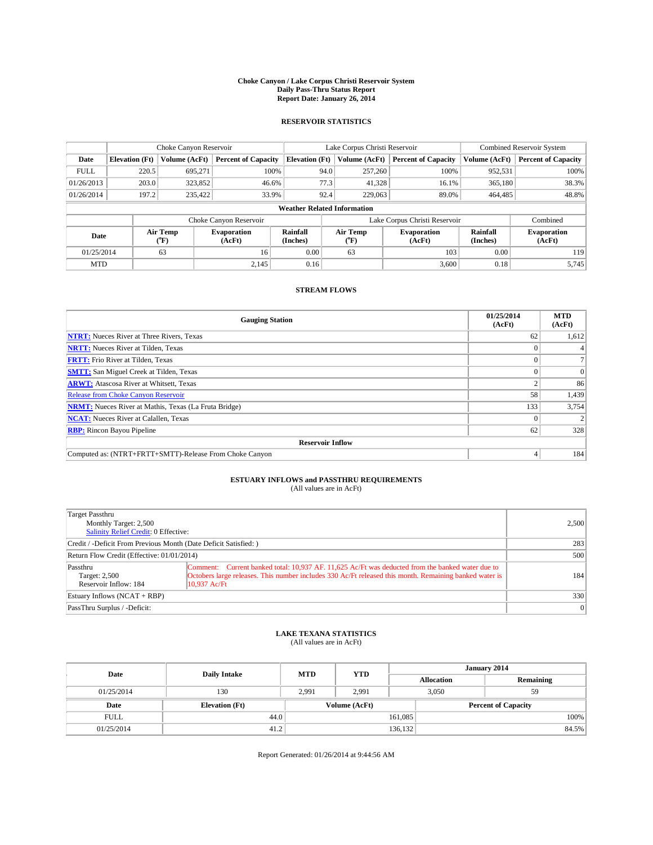#### **Choke Canyon / Lake Corpus Christi Reservoir System Daily Pass-Thru Status Report Report Date: January 26, 2014**

### **RESERVOIR STATISTICS**

|             | Choke Canyon Reservoir             |                  |                              |                       | Lake Corpus Christi Reservoir | <b>Combined Reservoir System</b> |                      |                              |  |  |
|-------------|------------------------------------|------------------|------------------------------|-----------------------|-------------------------------|----------------------------------|----------------------|------------------------------|--|--|
| Date        | <b>Elevation</b> (Ft)              | Volume (AcFt)    | <b>Percent of Capacity</b>   | <b>Elevation (Ft)</b> | Volume (AcFt)                 | <b>Percent of Capacity</b>       | Volume (AcFt)        | Percent of Capacity          |  |  |
| <b>FULL</b> | 220.5                              | 695,271          | 100%                         | 94.0                  | 257,260                       | 100%                             | 952,531              | 100%                         |  |  |
| 01/26/2013  | 203.0                              | 323,852          | 46.6%                        | 77.3                  | 41,328                        | 16.1%                            | 365,180              | 38.3%                        |  |  |
| 01/26/2014  | 197.2                              | 235,422          | 33.9%                        | 92.4                  | 229,063                       | 89.0%                            | 464,485              | 48.8%                        |  |  |
|             | <b>Weather Related Information</b> |                  |                              |                       |                               |                                  |                      |                              |  |  |
|             |                                    |                  | Choke Canyon Reservoir       |                       | Lake Corpus Christi Reservoir |                                  | Combined             |                              |  |  |
| Date        |                                    | Air Temp<br>(°F) | <b>Evaporation</b><br>(AcFt) | Rainfall<br>(Inches)  | Air Temp<br>("F)              | <b>Evaporation</b><br>(AcFt)     | Rainfall<br>(Inches) | <b>Evaporation</b><br>(AcFt) |  |  |
| 01/25/2014  |                                    | 63               | 16                           |                       | 63                            | 103                              | 0.00                 | 119                          |  |  |
|             | 2,145<br><b>MTD</b>                |                  | 0.16                         |                       | 3,600                         | 0.18                             | 5.745                |                              |  |  |

### **STREAM FLOWS**

| <b>Gauging Station</b>                                       | 01/25/2014<br>(AcFt) | <b>MTD</b><br>(AcFt) |  |  |  |  |
|--------------------------------------------------------------|----------------------|----------------------|--|--|--|--|
| <b>NTRT:</b> Nueces River at Three Rivers, Texas             | 62                   | 1,612                |  |  |  |  |
| <b>NRTT:</b> Nueces River at Tilden, Texas                   |                      |                      |  |  |  |  |
| <b>FRTT:</b> Frio River at Tilden, Texas                     |                      |                      |  |  |  |  |
| <b>SMTT:</b> San Miguel Creek at Tilden, Texas               |                      | $\Omega$             |  |  |  |  |
| <b>ARWT:</b> Atascosa River at Whitsett, Texas               |                      | 86                   |  |  |  |  |
| <b>Release from Choke Canyon Reservoir</b>                   | 58                   | 1,439                |  |  |  |  |
| <b>NRMT:</b> Nueces River at Mathis, Texas (La Fruta Bridge) | 133                  | 3,754                |  |  |  |  |
| <b>NCAT:</b> Nueces River at Calallen, Texas                 |                      |                      |  |  |  |  |
| <b>RBP:</b> Rincon Bayou Pipeline                            | 62                   | 328                  |  |  |  |  |
| <b>Reservoir Inflow</b>                                      |                      |                      |  |  |  |  |
| Computed as: (NTRT+FRTT+SMTT)-Release From Choke Canyon      |                      | 184                  |  |  |  |  |

# **ESTUARY INFLOWS and PASSTHRU REQUIREMENTS**<br>(All values are in AcFt)

| Target Passthru<br>Monthly Target: 2,500<br>Salinity Relief Credit: 0 Effective: | 2,500                                                                                                                                                                                                                        |           |  |  |
|----------------------------------------------------------------------------------|------------------------------------------------------------------------------------------------------------------------------------------------------------------------------------------------------------------------------|-----------|--|--|
| Credit / -Deficit From Previous Month (Date Deficit Satisfied: )                 | 283                                                                                                                                                                                                                          |           |  |  |
| Return Flow Credit (Effective: 01/01/2014)                                       | 500                                                                                                                                                                                                                          |           |  |  |
| Passthru<br>Target: 2,500<br>Reservoir Inflow: 184                               | Comment: Current banked total: 10.937 AF, 11.625 Ac/Ft was deducted from the banked water due to<br>Octobers large releases. This number includes 330 Ac/Ft released this month. Remaining banked water is<br>$10.937$ Ac/Ft | 184       |  |  |
| Estuary Inflows (NCAT + RBP)                                                     |                                                                                                                                                                                                                              |           |  |  |
| PassThru Surplus / -Deficit:                                                     |                                                                                                                                                                                                                              | $\vert$ 0 |  |  |

## **LAKE TEXANA STATISTICS** (All values are in AcFt)

| Date        | <b>Daily Intake</b>   | <b>MTD</b> | <b>YTD</b>    | January 2014      |                            |           |       |
|-------------|-----------------------|------------|---------------|-------------------|----------------------------|-----------|-------|
|             |                       |            |               | <b>Allocation</b> |                            | Remaining |       |
| 01/25/2014  | 130                   | 2.991      | 2.991         |                   | 3,050<br>59                |           |       |
| Date        | <b>Elevation</b> (Ft) |            | Volume (AcFt) |                   | <b>Percent of Capacity</b> |           |       |
| <b>FULL</b> | 44.0                  |            |               | 161,085           |                            |           | 100%  |
| 01/25/2014  | 41.2                  |            |               | 136,132           |                            |           | 84.5% |

Report Generated: 01/26/2014 at 9:44:56 AM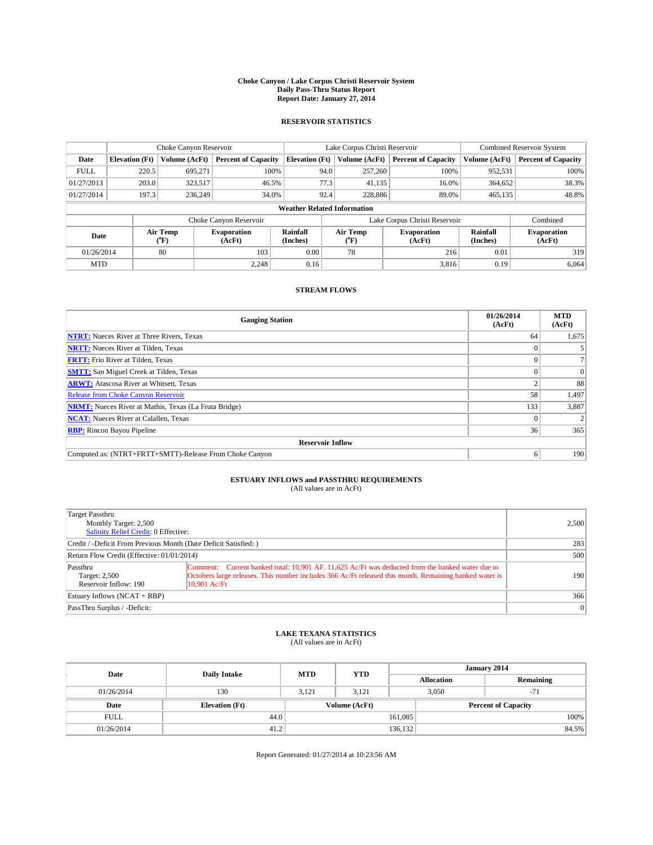#### **Choke Canyon / Lake Corpus Christi Reservoir System Daily Pass-Thru Status Report Report Date: January 27, 2014**

### **RESERVOIR STATISTICS**

|             |                                    | Choke Canyon Reservoir |                              |                       | Lake Corpus Christi Reservoir | <b>Combined Reservoir System</b> |                      |                              |  |  |
|-------------|------------------------------------|------------------------|------------------------------|-----------------------|-------------------------------|----------------------------------|----------------------|------------------------------|--|--|
| Date        | <b>Elevation</b> (Ft)              | Volume (AcFt)          | <b>Percent of Capacity</b>   | <b>Elevation (Ft)</b> | Volume (AcFt)                 | <b>Percent of Capacity</b>       | Volume (AcFt)        | Percent of Capacity          |  |  |
| <b>FULL</b> | 220.5                              | 695,271                | 100%                         | 94.0                  | 257,260                       | 100%                             | 952,531              | 100%                         |  |  |
| 01/27/2013  | 203.0                              | 323,517                | 46.5%                        | 77.3                  | 41,135                        | 16.0%                            | 364,652              | 38.3%                        |  |  |
| 01/27/2014  | 197.3                              | 236,249                | 34.0%                        | 92.4                  | 228,886                       | 89.0%                            | 465,135              | 48.8%                        |  |  |
|             | <b>Weather Related Information</b> |                        |                              |                       |                               |                                  |                      |                              |  |  |
|             |                                    |                        | Choke Canyon Reservoir       |                       | Lake Corpus Christi Reservoir |                                  | Combined             |                              |  |  |
| Date        |                                    | Air Temp<br>(°F)       | <b>Evaporation</b><br>(AcFt) | Rainfall<br>(Inches)  | Air Temp<br>("F)              | <b>Evaporation</b><br>(AcFt)     | Rainfall<br>(Inches) | <b>Evaporation</b><br>(AcFt) |  |  |
| 01/26/2014  |                                    | 80                     | 103                          | 0.00                  | 78                            | 216                              | 0.01                 | 319                          |  |  |
| <b>MTD</b>  |                                    |                        | 2.248                        | 0.16                  |                               | 3,816                            | 0.19                 | 6,064                        |  |  |

### **STREAM FLOWS**

| <b>Gauging Station</b>                                       | 01/26/2014<br>(AcFt) | <b>MTD</b><br>(AcFt) |  |  |  |  |
|--------------------------------------------------------------|----------------------|----------------------|--|--|--|--|
| <b>NTRT:</b> Nueces River at Three Rivers, Texas             | 64                   | 1,675                |  |  |  |  |
| <b>NRTT:</b> Nueces River at Tilden, Texas                   |                      |                      |  |  |  |  |
| <b>FRTT:</b> Frio River at Tilden, Texas                     |                      |                      |  |  |  |  |
| <b>SMTT:</b> San Miguel Creek at Tilden, Texas               |                      | $\Omega$             |  |  |  |  |
| <b>ARWT:</b> Atascosa River at Whitsett, Texas               |                      | 88                   |  |  |  |  |
| <b>Release from Choke Canyon Reservoir</b>                   | 58                   | 1,497                |  |  |  |  |
| <b>NRMT:</b> Nueces River at Mathis, Texas (La Fruta Bridge) | 133                  | 3,887                |  |  |  |  |
| <b>NCAT:</b> Nueces River at Calallen, Texas                 |                      |                      |  |  |  |  |
| <b>RBP:</b> Rincon Bayou Pipeline                            | 36                   | 365                  |  |  |  |  |
| <b>Reservoir Inflow</b>                                      |                      |                      |  |  |  |  |
| Computed as: (NTRT+FRTT+SMTT)-Release From Choke Canyon      | <sub>0</sub>         | 190                  |  |  |  |  |

# **ESTUARY INFLOWS and PASSTHRU REQUIREMENTS**<br>(All values are in AcFt)

| Target Passthru<br>Monthly Target: 2,500<br>Salinity Relief Credit: 0 Effective: |                                                                                                                                                                                                                              | 2,500     |  |  |
|----------------------------------------------------------------------------------|------------------------------------------------------------------------------------------------------------------------------------------------------------------------------------------------------------------------------|-----------|--|--|
| Credit / -Deficit From Previous Month (Date Deficit Satisfied: )                 |                                                                                                                                                                                                                              |           |  |  |
| Return Flow Credit (Effective: 01/01/2014)                                       |                                                                                                                                                                                                                              |           |  |  |
| Passthru<br>Target: 2,500<br>Reservoir Inflow: 190                               | Comment: Current banked total: 10,901 AF, 11,625 Ac/Ft was deducted from the banked water due to<br>Octobers large releases. This number includes 366 Ac/Ft released this month. Remaining banked water is<br>$10.901$ Ac/Ft | 190       |  |  |
| Estuary Inflows (NCAT + RBP)                                                     |                                                                                                                                                                                                                              | 366       |  |  |
| PassThru Surplus / -Deficit:                                                     |                                                                                                                                                                                                                              | $\vert$ 0 |  |  |

## **LAKE TEXANA STATISTICS** (All values are in AcFt)

| Date        | <b>Daily Intake</b>                    | <b>MTD</b> | <b>YTD</b> | January 2014               |                |           |       |
|-------------|----------------------------------------|------------|------------|----------------------------|----------------|-----------|-------|
|             |                                        |            |            | <b>Allocation</b>          |                | Remaining |       |
| 01/26/2014  | 130                                    | 3.121      | 3.121      |                            | 3,050<br>$-71$ |           |       |
| Date        | Volume (AcFt)<br><b>Elevation</b> (Ft) |            |            | <b>Percent of Capacity</b> |                |           |       |
| <b>FULL</b> | 44.0                                   |            |            | 161,085                    |                |           | 100%  |
| 01/26/2014  | 41.2                                   |            |            | 136,132                    |                |           | 84.5% |

Report Generated: 01/27/2014 at 10:23:56 AM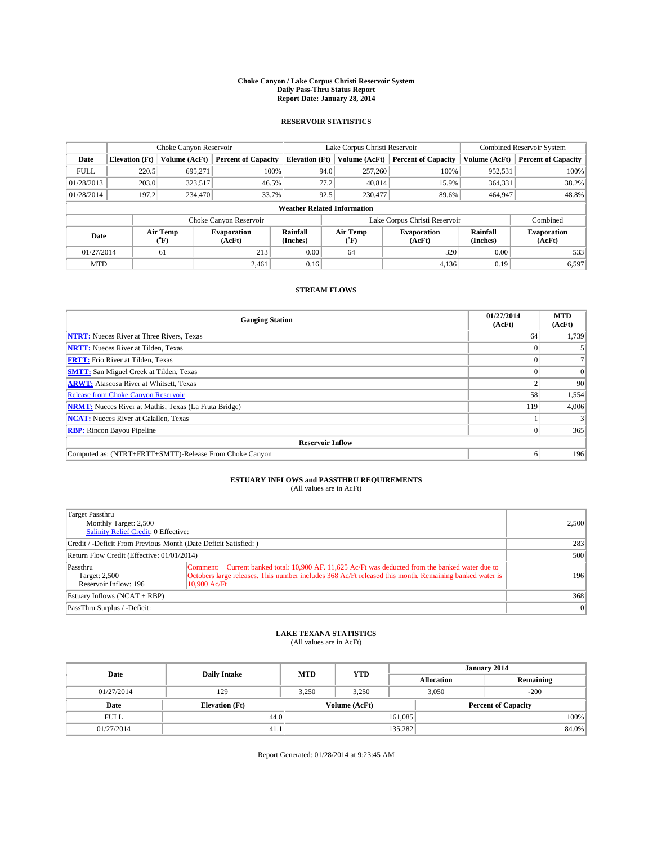#### **Choke Canyon / Lake Corpus Christi Reservoir System Daily Pass-Thru Status Report Report Date: January 28, 2014**

### **RESERVOIR STATISTICS**

|             |                                    | Choke Canyon Reservoir |                              |                       | Lake Corpus Christi Reservoir |                              |       |                      | <b>Combined Reservoir System</b> |  |  |
|-------------|------------------------------------|------------------------|------------------------------|-----------------------|-------------------------------|------------------------------|-------|----------------------|----------------------------------|--|--|
| Date        | <b>Elevation</b> (Ft)              | Volume (AcFt)          | <b>Percent of Capacity</b>   | <b>Elevation (Ft)</b> | Volume (AcFt)                 | <b>Percent of Capacity</b>   |       | Volume (AcFt)        | Percent of Capacity              |  |  |
| <b>FULL</b> | 220.5                              | 695.271                | 100%                         |                       | 94.0<br>257,260               |                              | 100%  | 952,531              | 100%                             |  |  |
| 01/28/2013  | 203.0                              | 323,517                | 46.5%                        |                       | 77.2<br>40,814                |                              | 15.9% | 364,331              | 38.2%                            |  |  |
| 01/28/2014  | 197.2                              | 234,470                | 33.7%                        |                       | 92.5<br>230,477               |                              | 89.6% | 464,947              | 48.8%                            |  |  |
|             | <b>Weather Related Information</b> |                        |                              |                       |                               |                              |       |                      |                                  |  |  |
|             |                                    |                        | Choke Canyon Reservoir       |                       | Lake Corpus Christi Reservoir |                              |       |                      | Combined                         |  |  |
| Date        |                                    | Air Temp<br>(°F)       | <b>Evaporation</b><br>(AcFt) | Rainfall<br>(Inches)  | Air Temp<br>(°F)              | <b>Evaporation</b><br>(AcFt) |       | Rainfall<br>(Inches) | <b>Evaporation</b><br>(AcFt)     |  |  |
|             | 01/27/2014<br>61                   |                        | 213                          | 0.00                  | 64                            |                              | 320   | 0.00                 | 533                              |  |  |
| <b>MTD</b>  |                                    |                        | 2.461                        | 0.16                  |                               |                              | 4,136 | 0.19                 | 6,597                            |  |  |

### **STREAM FLOWS**

| <b>Gauging Station</b>                                       | 01/27/2014<br>(AcFt) | <b>MTD</b><br>(AcFt) |  |  |  |  |
|--------------------------------------------------------------|----------------------|----------------------|--|--|--|--|
| <b>NTRT:</b> Nueces River at Three Rivers, Texas             | 64                   | 1,739                |  |  |  |  |
| <b>NRTT:</b> Nueces River at Tilden, Texas                   |                      |                      |  |  |  |  |
| <b>FRTT:</b> Frio River at Tilden, Texas                     |                      |                      |  |  |  |  |
| <b>SMTT:</b> San Miguel Creek at Tilden, Texas               |                      | $\Omega$             |  |  |  |  |
| <b>ARWT:</b> Atascosa River at Whitsett, Texas               |                      | 90                   |  |  |  |  |
| <b>Release from Choke Canyon Reservoir</b>                   | 58                   | 1,554                |  |  |  |  |
| <b>NRMT:</b> Nueces River at Mathis, Texas (La Fruta Bridge) | 119                  | 4,006                |  |  |  |  |
| <b>NCAT:</b> Nueces River at Calallen, Texas                 |                      |                      |  |  |  |  |
| <b>RBP:</b> Rincon Bayou Pipeline                            | $\Omega$             | 365                  |  |  |  |  |
| <b>Reservoir Inflow</b>                                      |                      |                      |  |  |  |  |
| Computed as: (NTRT+FRTT+SMTT)-Release From Choke Canyon      | 6                    | 196                  |  |  |  |  |

# **ESTUARY INFLOWS and PASSTHRU REQUIREMENTS**<br>(All values are in AcFt)

| Target Passthru<br>Monthly Target: 2,500<br>Salinity Relief Credit: 0 Effective: | 2,500                                                                                                                                                                                                                        |           |  |  |
|----------------------------------------------------------------------------------|------------------------------------------------------------------------------------------------------------------------------------------------------------------------------------------------------------------------------|-----------|--|--|
| Credit / -Deficit From Previous Month (Date Deficit Satisfied: )                 | 283                                                                                                                                                                                                                          |           |  |  |
| Return Flow Credit (Effective: 01/01/2014)                                       |                                                                                                                                                                                                                              |           |  |  |
| Passthru<br>Target: 2,500<br>Reservoir Inflow: 196                               | Comment: Current banked total: 10,900 AF, 11,625 Ac/Ft was deducted from the banked water due to<br>Octobers large releases. This number includes 368 Ac/Ft released this month. Remaining banked water is<br>$10.900$ Ac/Ft | 196       |  |  |
| Estuary Inflows (NCAT + RBP)                                                     | 368                                                                                                                                                                                                                          |           |  |  |
| PassThru Surplus / -Deficit:                                                     |                                                                                                                                                                                                                              | $\vert$ 0 |  |  |

## **LAKE TEXANA STATISTICS** (All values are in AcFt)

| Date        | <b>Daily Intake</b>   | <b>MTD</b> | <b>YTD</b>    | January 2014      |                            |           |  |
|-------------|-----------------------|------------|---------------|-------------------|----------------------------|-----------|--|
|             |                       |            |               | <b>Allocation</b> |                            | Remaining |  |
| 01/27/2014  | 129                   | 3.250      | 3.250         |                   | 3,050<br>$-200$            |           |  |
| Date        | <b>Elevation</b> (Ft) |            | Volume (AcFt) |                   | <b>Percent of Capacity</b> |           |  |
| <b>FULL</b> | 44.0                  |            |               | 161,085           |                            | 100%      |  |
| 01/27/2014  | 41.1                  |            |               | 135,282           |                            | 84.0%     |  |

Report Generated: 01/28/2014 at 9:23:45 AM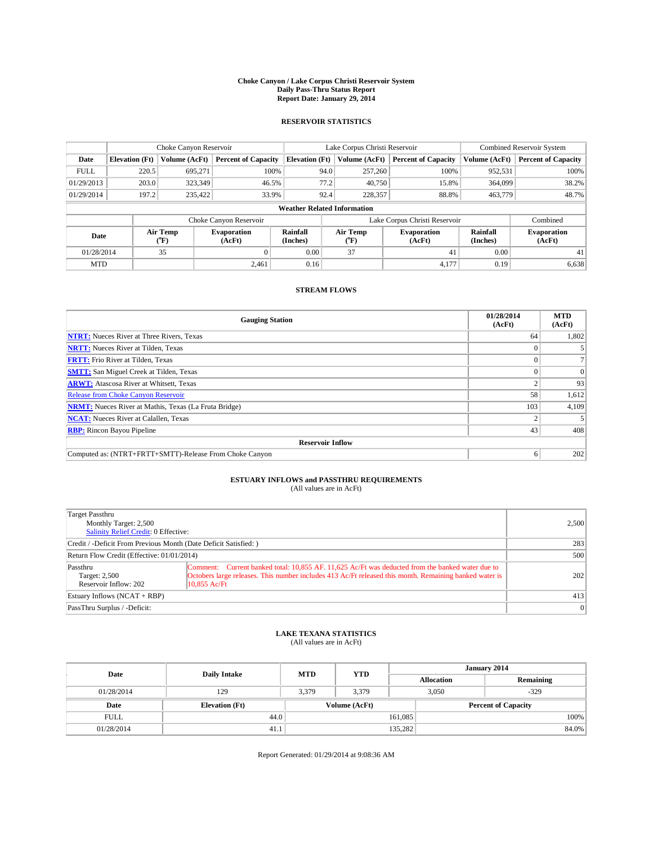#### **Choke Canyon / Lake Corpus Christi Reservoir System Daily Pass-Thru Status Report Report Date: January 29, 2014**

### **RESERVOIR STATISTICS**

|             |                                    | Choke Canyon Reservoir |                              |                       | Lake Corpus Christi Reservoir | <b>Combined Reservoir System</b> |                      |                              |  |
|-------------|------------------------------------|------------------------|------------------------------|-----------------------|-------------------------------|----------------------------------|----------------------|------------------------------|--|
| Date        | <b>Elevation</b> (Ft)              | Volume (AcFt)          | <b>Percent of Capacity</b>   | <b>Elevation (Ft)</b> | Volume (AcFt)                 | <b>Percent of Capacity</b>       | Volume (AcFt)        | Percent of Capacity          |  |
| <b>FULL</b> | 220.5                              | 695.271                | 100%                         | 94.0                  | 257,260                       | 100%                             | 952,531              | 100%                         |  |
| 01/29/2013  | 203.0                              | 323,349                | 46.5%                        | 77.2                  | 40,750                        | 15.8%                            | 364,099              | 38.2%                        |  |
| 01/29/2014  | 197.2                              | 235,422                | 33.9%                        | 92.4                  | 228,357                       | 88.8%                            | 463,779              | 48.7%                        |  |
|             | <b>Weather Related Information</b> |                        |                              |                       |                               |                                  |                      |                              |  |
|             |                                    |                        | Choke Canyon Reservoir       |                       | Lake Corpus Christi Reservoir |                                  | Combined             |                              |  |
| Date        |                                    | Air Temp<br>(°F)       | <b>Evaporation</b><br>(AcFt) | Rainfall<br>(Inches)  | Air Temp<br>(°F)              | <b>Evaporation</b><br>(AcFt)     | Rainfall<br>(Inches) | <b>Evaporation</b><br>(AcFt) |  |
| 01/28/2014  |                                    | 35                     |                              | 0.00                  | 37                            | 41                               | 0.00                 | 41                           |  |
| <b>MTD</b>  |                                    |                        | 2.461                        | 0.16                  |                               | 4,177                            | 0.19                 | 6,638                        |  |

### **STREAM FLOWS**

| <b>Gauging Station</b>                                       | 01/28/2014<br>(AcFt) | <b>MTD</b><br>(AcFt) |  |  |  |  |
|--------------------------------------------------------------|----------------------|----------------------|--|--|--|--|
| <b>NTRT:</b> Nueces River at Three Rivers, Texas             | 64                   | 1,802                |  |  |  |  |
| <b>NRTT:</b> Nueces River at Tilden, Texas                   |                      |                      |  |  |  |  |
| <b>FRTT:</b> Frio River at Tilden, Texas                     |                      |                      |  |  |  |  |
| <b>SMTT:</b> San Miguel Creek at Tilden, Texas               |                      | $\Omega$             |  |  |  |  |
| <b>ARWT:</b> Atascosa River at Whitsett, Texas               |                      | 93                   |  |  |  |  |
| <b>Release from Choke Canyon Reservoir</b>                   | 58                   | 1,612                |  |  |  |  |
| <b>NRMT:</b> Nueces River at Mathis, Texas (La Fruta Bridge) | 103                  | 4,109                |  |  |  |  |
| <b>NCAT:</b> Nueces River at Calallen, Texas                 |                      |                      |  |  |  |  |
| <b>RBP:</b> Rincon Bayou Pipeline                            | 43                   | 408                  |  |  |  |  |
| <b>Reservoir Inflow</b>                                      |                      |                      |  |  |  |  |
| Computed as: (NTRT+FRTT+SMTT)-Release From Choke Canyon      | o                    | 202                  |  |  |  |  |

# **ESTUARY INFLOWS and PASSTHRU REQUIREMENTS**<br>(All values are in AcFt)

| Target Passthru<br>Monthly Target: 2,500<br>Salinity Relief Credit: 0 Effective: | 2,500                                                                                                                                                                                                                        |           |  |  |
|----------------------------------------------------------------------------------|------------------------------------------------------------------------------------------------------------------------------------------------------------------------------------------------------------------------------|-----------|--|--|
| Credit / -Deficit From Previous Month (Date Deficit Satisfied: )                 | 283                                                                                                                                                                                                                          |           |  |  |
| Return Flow Credit (Effective: 01/01/2014)                                       |                                                                                                                                                                                                                              |           |  |  |
| Passthru<br>Target: 2,500<br>Reservoir Inflow: 202                               | Comment: Current banked total: 10,855 AF, 11,625 Ac/Ft was deducted from the banked water due to<br>Octobers large releases. This number includes 413 Ac/Ft released this month. Remaining banked water is<br>$10.855$ Ac/Ft | 202       |  |  |
| Estuary Inflows (NCAT + RBP)                                                     | 413                                                                                                                                                                                                                          |           |  |  |
| PassThru Surplus / -Deficit:                                                     |                                                                                                                                                                                                                              | $\vert$ 0 |  |  |

## **LAKE TEXANA STATISTICS** (All values are in AcFt)

| Date        | <b>Daily Intake</b>   | <b>MTD</b> | <b>YTD</b>    | January 2014      |                            |           |  |
|-------------|-----------------------|------------|---------------|-------------------|----------------------------|-----------|--|
|             |                       |            |               | <b>Allocation</b> |                            | Remaining |  |
| 01/28/2014  | 129                   | 3.379      | 3.379         |                   | 3,050<br>$-329$            |           |  |
| Date        | <b>Elevation</b> (Ft) |            | Volume (AcFt) |                   | <b>Percent of Capacity</b> |           |  |
| <b>FULL</b> | 44.0                  |            |               | 161,085           |                            | 100%      |  |
| 01/28/2014  | 41.1                  |            |               | 135,282           |                            | 84.0%     |  |

Report Generated: 01/29/2014 at 9:08:36 AM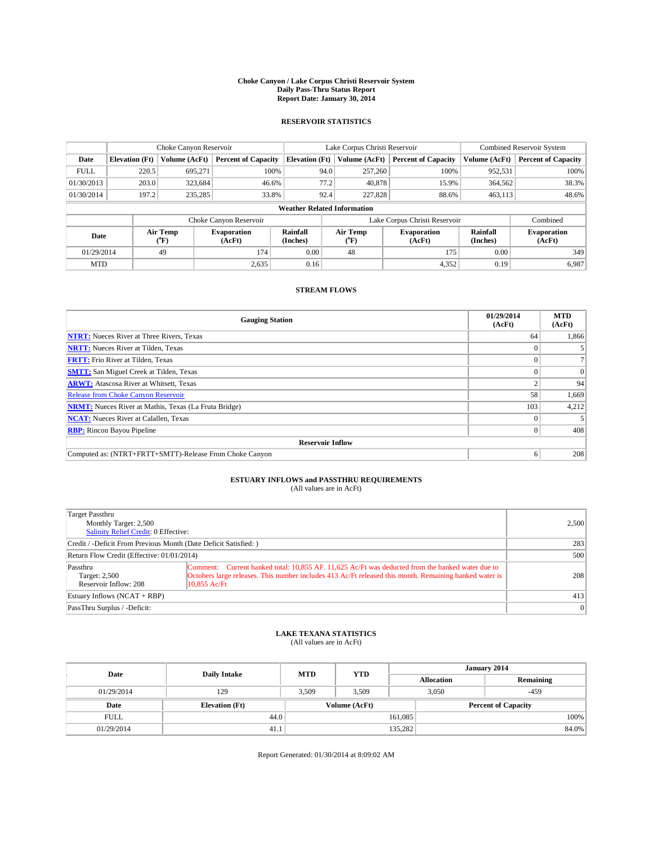#### **Choke Canyon / Lake Corpus Christi Reservoir System Daily Pass-Thru Status Report Report Date: January 30, 2014**

### **RESERVOIR STATISTICS**

|             |                                    | Choke Canyon Reservoir |                              | Lake Corpus Christi Reservoir |                               |  |                              | <b>Combined Reservoir System</b> |                              |  |
|-------------|------------------------------------|------------------------|------------------------------|-------------------------------|-------------------------------|--|------------------------------|----------------------------------|------------------------------|--|
| Date        | <b>Elevation</b> (Ft)              | Volume (AcFt)          | <b>Percent of Capacity</b>   | <b>Elevation (Ft)</b>         | Volume (AcFt)                 |  | <b>Percent of Capacity</b>   | Volume (AcFt)                    | Percent of Capacity          |  |
| <b>FULL</b> | 220.5                              | 695.271                | 100%                         |                               | 94.0<br>257,260               |  | 100%                         | 952,531                          | 100%                         |  |
| 01/30/2013  | 203.0                              | 323,684                | 46.6%                        |                               | 77.2<br>40,878                |  | 15.9%                        | 364,562                          | 38.3%                        |  |
| 01/30/2014  | 197.2                              | 235,285                | 33.8%                        |                               | 92.4<br>227,828               |  | 88.6%                        | 463,113                          | 48.6%                        |  |
|             | <b>Weather Related Information</b> |                        |                              |                               |                               |  |                              |                                  |                              |  |
|             |                                    |                        | Choke Canyon Reservoir       |                               | Lake Corpus Christi Reservoir |  |                              |                                  | Combined                     |  |
| Date        |                                    | Air Temp<br>(°F)       | <b>Evaporation</b><br>(AcFt) | Rainfall<br>(Inches)          | Air Temp<br>(°F)              |  | <b>Evaporation</b><br>(AcFt) | Rainfall<br>(Inches)             | <b>Evaporation</b><br>(AcFt) |  |
|             | 01/29/2014<br>49                   |                        | 174                          | 0.00                          | 48                            |  | 175                          | 0.00                             | 349                          |  |
| <b>MTD</b>  |                                    |                        | 2,635                        | 0.16                          |                               |  | 4,352                        | 0.19                             | 6,987                        |  |

### **STREAM FLOWS**

| <b>Gauging Station</b>                                       | 01/29/2014<br>(AcFt) | <b>MTD</b><br>(AcFt) |  |  |  |  |
|--------------------------------------------------------------|----------------------|----------------------|--|--|--|--|
| <b>NTRT:</b> Nueces River at Three Rivers, Texas             | 64                   | 1,866                |  |  |  |  |
| <b>NRTT:</b> Nueces River at Tilden, Texas                   |                      |                      |  |  |  |  |
| <b>FRTT:</b> Frio River at Tilden, Texas                     |                      |                      |  |  |  |  |
| <b>SMTT:</b> San Miguel Creek at Tilden, Texas               |                      | $\Omega$             |  |  |  |  |
| <b>ARWT:</b> Atascosa River at Whitsett, Texas               |                      | 94                   |  |  |  |  |
| <b>Release from Choke Canyon Reservoir</b>                   | 58                   | 1,669                |  |  |  |  |
| <b>NRMT:</b> Nueces River at Mathis, Texas (La Fruta Bridge) | 103                  | 4,212                |  |  |  |  |
| <b>NCAT:</b> Nueces River at Calallen, Texas                 |                      |                      |  |  |  |  |
| <b>RBP:</b> Rincon Bayou Pipeline                            | $\Omega$             | 408                  |  |  |  |  |
| <b>Reservoir Inflow</b>                                      |                      |                      |  |  |  |  |
| Computed as: (NTRT+FRTT+SMTT)-Release From Choke Canyon      | o                    | 208                  |  |  |  |  |

# **ESTUARY INFLOWS and PASSTHRU REQUIREMENTS**<br>(All values are in AcFt)

| Target Passthru<br>Monthly Target: 2,500<br>Salinity Relief Credit: 0 Effective: | 2,500                                                                                                                                                                                                                        |           |
|----------------------------------------------------------------------------------|------------------------------------------------------------------------------------------------------------------------------------------------------------------------------------------------------------------------------|-----------|
| Credit / -Deficit From Previous Month (Date Deficit Satisfied: )                 | 283                                                                                                                                                                                                                          |           |
| Return Flow Credit (Effective: 01/01/2014)                                       | 500                                                                                                                                                                                                                          |           |
| Passthru<br>Target: 2,500<br>Reservoir Inflow: 208                               | Comment: Current banked total: 10,855 AF, 11,625 Ac/Ft was deducted from the banked water due to<br>Octobers large releases. This number includes 413 Ac/Ft released this month. Remaining banked water is<br>$10.855$ Ac/Ft | 208       |
| Estuary Inflows (NCAT + RBP)                                                     | 413                                                                                                                                                                                                                          |           |
| PassThru Surplus / -Deficit:                                                     |                                                                                                                                                                                                                              | $\vert$ 0 |

## **LAKE TEXANA STATISTICS** (All values are in AcFt)

| Date        | <b>Daily Intake</b>   | <b>MTD</b> | <b>YTD</b>    | January 2014      |                            |           |  |
|-------------|-----------------------|------------|---------------|-------------------|----------------------------|-----------|--|
|             |                       |            |               | <b>Allocation</b> |                            | Remaining |  |
| 01/29/2014  | 129                   | 3.509      | 3.509         |                   | 3,050<br>$-459$            |           |  |
| Date        | <b>Elevation</b> (Ft) |            | Volume (AcFt) |                   | <b>Percent of Capacity</b> |           |  |
| <b>FULL</b> | 44.0                  |            |               | 161,085           |                            | 100%      |  |
| 01/29/2014  | 41.1                  |            |               | 135,282           |                            | 84.0%     |  |

Report Generated: 01/30/2014 at 8:09:02 AM